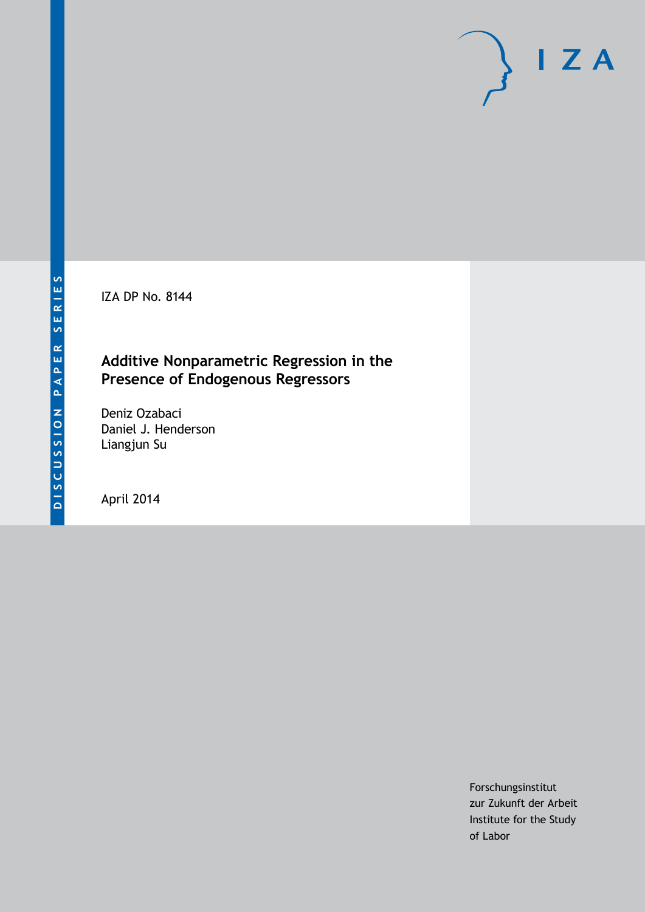IZA DP No. 8144

## **Additive Nonparametric Regression in the Presence of Endogenous Regressors**

Deniz Ozabaci Daniel J. Henderson Liangjun Su

April 2014

Forschungsinstitut zur Zukunft der Arbeit Institute for the Study of Labor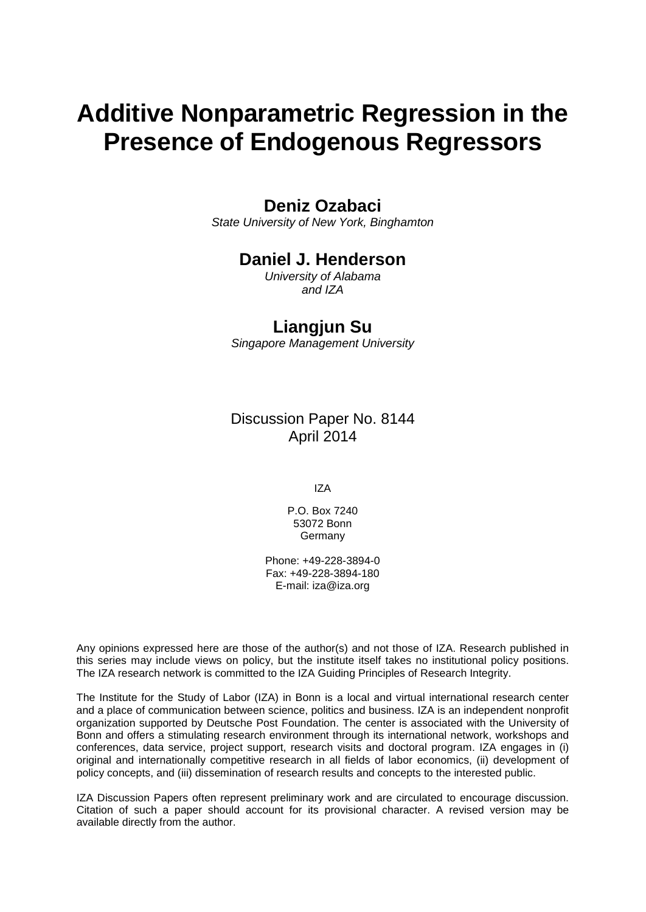# **Additive Nonparametric Regression in the Presence of Endogenous Regressors**

## **Deniz Ozabaci**

*State University of New York, Binghamton*

## **Daniel J. Henderson**

*University of Alabama and IZA*

## **Liangjun Su**

*Singapore Management University*

Discussion Paper No. 8144 April 2014

IZA

P.O. Box 7240 53072 Bonn Germany

Phone: +49-228-3894-0 Fax: +49-228-3894-180 E-mail: [iza@iza.org](mailto:iza@iza.org)

Any opinions expressed here are those of the author(s) and not those of IZA. Research published in this series may include views on policy, but the institute itself takes no institutional policy positions. The IZA research network is committed to the IZA Guiding Principles of Research Integrity.

The Institute for the Study of Labor (IZA) in Bonn is a local and virtual international research center and a place of communication between science, politics and business. IZA is an independent nonprofit organization supported by Deutsche Post Foundation. The center is associated with the University of Bonn and offers a stimulating research environment through its international network, workshops and conferences, data service, project support, research visits and doctoral program. IZA engages in (i) original and internationally competitive research in all fields of labor economics, (ii) development of policy concepts, and (iii) dissemination of research results and concepts to the interested public.

IZA Discussion Papers often represent preliminary work and are circulated to encourage discussion. Citation of such a paper should account for its provisional character. A revised version may be available directly from the author.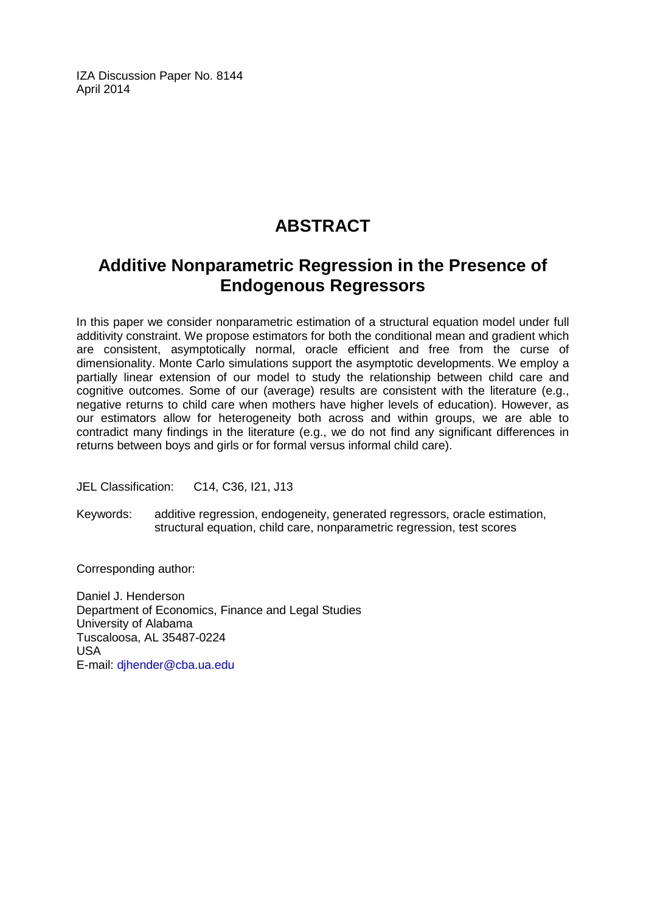IZA Discussion Paper No. 8144 April 2014

## **ABSTRACT**

## **Additive Nonparametric Regression in the Presence of Endogenous Regressors**

In this paper we consider nonparametric estimation of a structural equation model under full additivity constraint. We propose estimators for both the conditional mean and gradient which are consistent, asymptotically normal, oracle efficient and free from the curse of dimensionality. Monte Carlo simulations support the asymptotic developments. We employ a partially linear extension of our model to study the relationship between child care and cognitive outcomes. Some of our (average) results are consistent with the literature (e.g., negative returns to child care when mothers have higher levels of education). However, as our estimators allow for heterogeneity both across and within groups, we are able to contradict many findings in the literature (e.g., we do not find any significant differences in returns between boys and girls or for formal versus informal child care).

JEL Classification: C14, C36, I21, J13

Keywords: additive regression, endogeneity, generated regressors, oracle estimation, structural equation, child care, nonparametric regression, test scores

Corresponding author:

Daniel J. Henderson Department of Economics, Finance and Legal Studies University of Alabama Tuscaloosa, AL 35487-0224 USA E-mail: [djhender@cba.ua.edu](mailto:djhender@cba.ua.edu)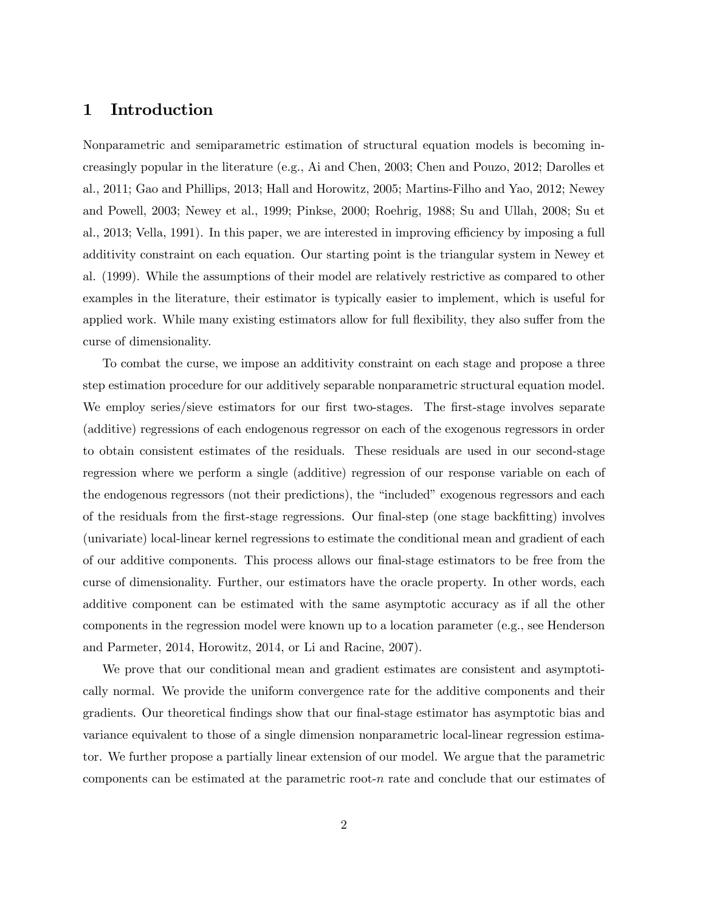## 1 Introduction

Nonparametric and semiparametric estimation of structural equation models is becoming increasingly popular in the literature (e.g., Ai and Chen, 2003; Chen and Pouzo, 2012; Darolles et al., 2011; Gao and Phillips, 2013; Hall and Horowitz, 2005; Martins-Filho and Yao, 2012; Newey and Powell, 2003; Newey et al., 1999; Pinkse, 2000; Roehrig, 1988; Su and Ullah, 2008; Su et al., 2013; Vella, 1991). In this paper, we are interested in improving efficiency by imposing a full additivity constraint on each equation. Our starting point is the triangular system in Newey et al. (1999). While the assumptions of their model are relatively restrictive as compared to other examples in the literature, their estimator is typically easier to implement, which is useful for applied work. While many existing estimators allow for full flexibility, they also suffer from the curse of dimensionality.

To combat the curse, we impose an additivity constraint on each stage and propose a three step estimation procedure for our additively separable nonparametric structural equation model. We employ series/sieve estimators for our first two-stages. The first-stage involves separate (additive) regressions of each endogenous regressor on each of the exogenous regressors in order to obtain consistent estimates of the residuals. These residuals are used in our second-stage regression where we perform a single (additive) regression of our response variable on each of the endogenous regressors (not their predictions), the "included" exogenous regressors and each of the residuals from the first-stage regressions. Our final-step (one stage backfitting) involves (univariate) local-linear kernel regressions to estimate the conditional mean and gradient of each of our additive components. This process allows our final-stage estimators to be free from the curse of dimensionality. Further, our estimators have the oracle property. In other words, each additive component can be estimated with the same asymptotic accuracy as if all the other components in the regression model were known up to a location parameter (e.g., see Henderson and Parmeter, 2014, Horowitz, 2014, or Li and Racine, 2007).

We prove that our conditional mean and gradient estimates are consistent and asymptotically normal. We provide the uniform convergence rate for the additive components and their gradients. Our theoretical findings show that our final-stage estimator has asymptotic bias and variance equivalent to those of a single dimension nonparametric local-linear regression estimator. We further propose a partially linear extension of our model. We argue that the parametric components can be estimated at the parametric root- $n$  rate and conclude that our estimates of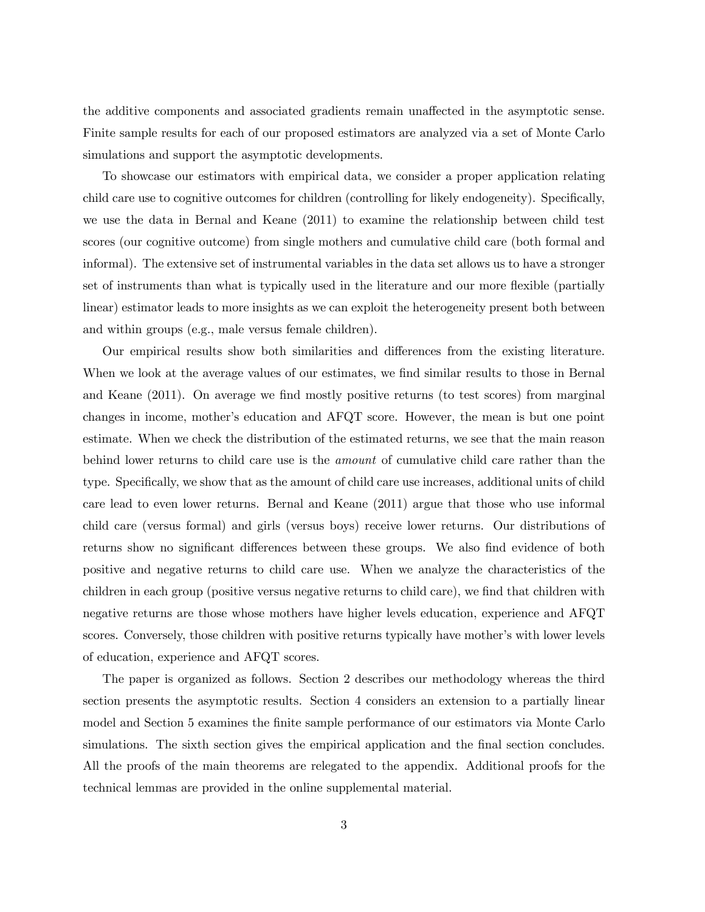the additive components and associated gradients remain unaffected in the asymptotic sense. Finite sample results for each of our proposed estimators are analyzed via a set of Monte Carlo simulations and support the asymptotic developments.

To showcase our estimators with empirical data, we consider a proper application relating child care use to cognitive outcomes for children (controlling for likely endogeneity). Specifically, we use the data in Bernal and Keane (2011) to examine the relationship between child test scores (our cognitive outcome) from single mothers and cumulative child care (both formal and informal). The extensive set of instrumental variables in the data set allows us to have a stronger set of instruments than what is typically used in the literature and our more flexible (partially linear) estimator leads to more insights as we can exploit the heterogeneity present both between and within groups (e.g., male versus female children).

Our empirical results show both similarities and differences from the existing literature. When we look at the average values of our estimates, we find similar results to those in Bernal and Keane (2011). On average we find mostly positive returns (to test scores) from marginal changes in income, mother's education and AFQT score. However, the mean is but one point estimate. When we check the distribution of the estimated returns, we see that the main reason behind lower returns to child care use is the amount of cumulative child care rather than the type. Specifically, we show that as the amount of child care use increases, additional units of child care lead to even lower returns. Bernal and Keane (2011) argue that those who use informal child care (versus formal) and girls (versus boys) receive lower returns. Our distributions of returns show no significant differences between these groups. We also find evidence of both positive and negative returns to child care use. When we analyze the characteristics of the children in each group (positive versus negative returns to child care), we find that children with negative returns are those whose mothers have higher levels education, experience and AFQT scores. Conversely, those children with positive returns typically have mother's with lower levels of education, experience and AFQT scores.

The paper is organized as follows. Section 2 describes our methodology whereas the third section presents the asymptotic results. Section 4 considers an extension to a partially linear model and Section 5 examines the finite sample performance of our estimators via Monte Carlo simulations. The sixth section gives the empirical application and the final section concludes. All the proofs of the main theorems are relegated to the appendix. Additional proofs for the technical lemmas are provided in the online supplemental material.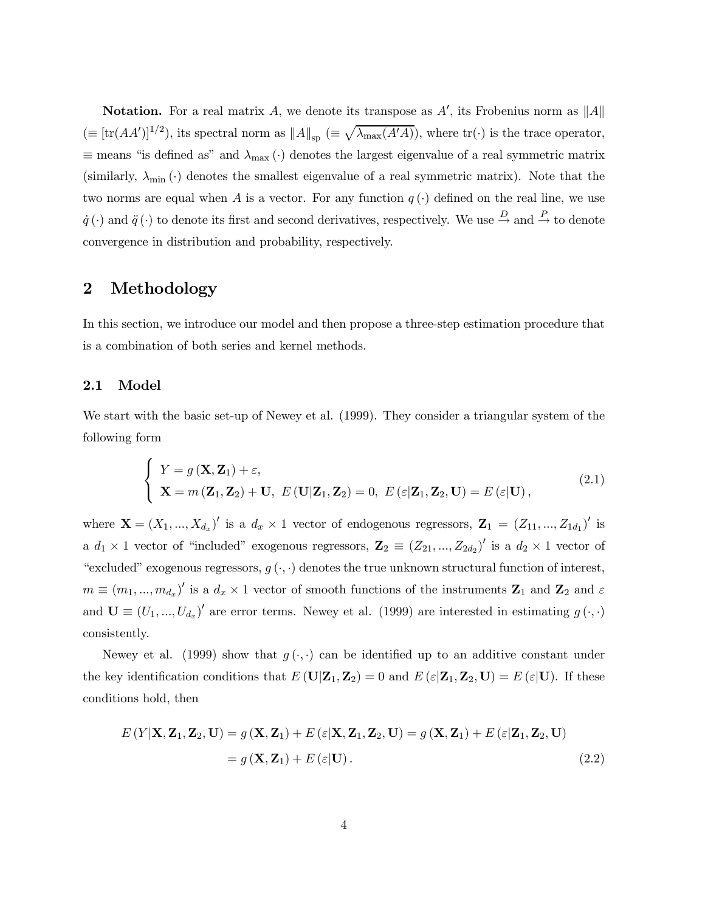**Notation.** For a real matrix A, we denote its transpose as  $A'$ , its Frobenius norm as  $||A||$  $(\equiv [\text{tr}(AA')]^{1/2})$ , its spectral norm as  $||A||_{\text{sp}} (\equiv \sqrt{\lambda_{\text{max}}(A'A)})$ , where  $\text{tr}(\cdot)$  is the trace operator,  $\equiv$  means "is defined as" and  $\lambda_{\text{max}}(\cdot)$  denotes the largest eigenvalue of a real symmetric matrix (similarly,  $\lambda_{\min}$ ) denotes the smallest eigenvalue of a real symmetric matrix). Note that the two norms are equal when A is a vector. For any function  $q(\cdot)$  defined on the real line, we use  $\dot{q}(\cdot)$  and  $\ddot{q}(\cdot)$  to denote its first and second derivatives, respectively. We use  $\overset{D}{\rightarrow}$  and  $\overset{P}{\rightarrow}$  to denote convergence in distribution and probability, respectively.

### 2 Methodology

In this section, we introduce our model and then propose a three-step estimation procedure that is a combination of both series and kernel methods.

#### 2.1 Model

We start with the basic set-up of Newey et al. (1999). They consider a triangular system of the following form

$$
\begin{cases}\nY = g\left(\mathbf{X}, \mathbf{Z}_1\right) + \varepsilon, \\
\mathbf{X} = m\left(\mathbf{Z}_1, \mathbf{Z}_2\right) + \mathbf{U}, \ E\left(\mathbf{U}|\mathbf{Z}_1, \mathbf{Z}_2\right) = 0, \ E\left(\varepsilon|\mathbf{Z}_1, \mathbf{Z}_2, \mathbf{U}\right) = E\left(\varepsilon|\mathbf{U}\right),\n\end{cases} (2.1)
$$

where  $\mathbf{X} = (X_1, ..., X_{d_x})'$  is a  $d_x \times 1$  vector of endogenous regressors,  $\mathbf{Z}_1 = (Z_{11}, ..., Z_{1d_1})'$  is a  $d_1 \times 1$  vector of "included" exogenous regressors,  $\mathbf{Z}_2 \equiv (Z_{21}, ..., Z_{2d_2})'$  is a  $d_2 \times 1$  vector of "excluded" exogenous regressors,  $g(\cdot, \cdot)$  denotes the true unknown structural function of interest,  $m \equiv (m_1, ..., m_{d_x})'$  is a  $d_x \times 1$  vector of smooth functions of the instruments  $\mathbf{Z}_1$  and  $\mathbf{Z}_2$  and  $\varepsilon$ and  $\mathbf{U} \equiv (U_1, ..., U_{d_x})'$  are error terms. Newey et al. (1999) are interested in estimating  $g(\cdot, \cdot)$ consistently.

Newey et al. (1999) show that  $g(\cdot, \cdot)$  can be identified up to an additive constant under the key identification conditions that  $E(\mathbf{U}|\mathbf{Z}_1, \mathbf{Z}_2)=0$  and  $E(\varepsilon|\mathbf{Z}_1, \mathbf{Z}_2, \mathbf{U}) = E(\varepsilon|\mathbf{U})$ . If these conditions hold, then

$$
E(Y|\mathbf{X}, \mathbf{Z}_1, \mathbf{Z}_2, \mathbf{U}) = g(\mathbf{X}, \mathbf{Z}_1) + E(\varepsilon|\mathbf{X}, \mathbf{Z}_1, \mathbf{Z}_2, \mathbf{U}) = g(\mathbf{X}, \mathbf{Z}_1) + E(\varepsilon|\mathbf{Z}_1, \mathbf{Z}_2, \mathbf{U})
$$
  
=  $g(\mathbf{X}, \mathbf{Z}_1) + E(\varepsilon|\mathbf{U}).$  (2.2)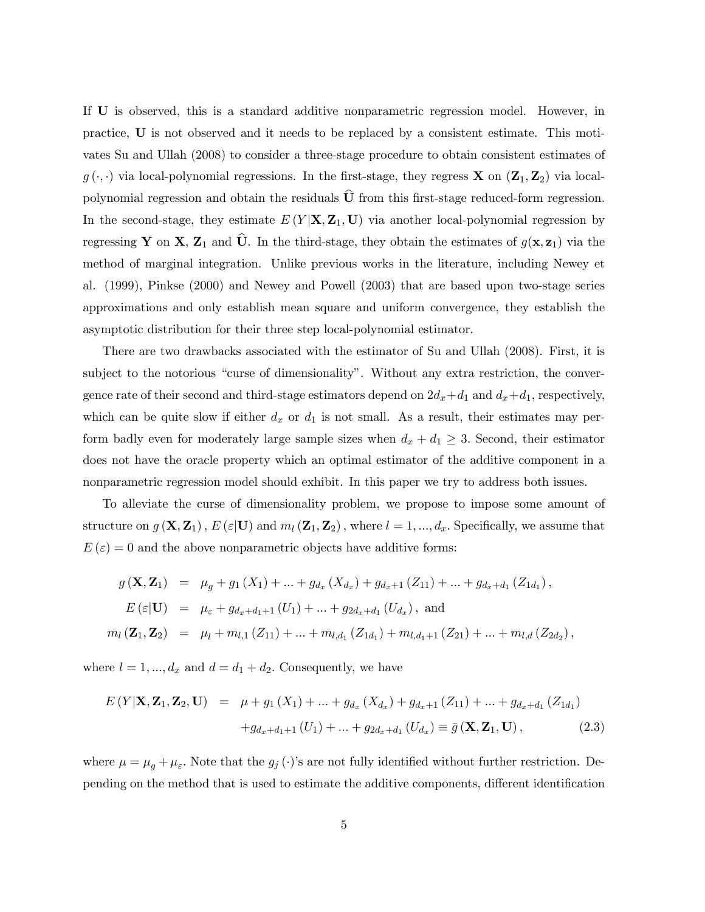If U is observed, this is a standard additive nonparametric regression model. However, in practice, U is not observed and it needs to be replaced by a consistent estimate. This motivates Su and Ullah (2008) to consider a three-stage procedure to obtain consistent estimates of  $g(\cdot, \cdot)$  via local-polynomial regressions. In the first-stage, they regress **X** on  $(\mathbf{Z}_1, \mathbf{Z}_2)$  via localpolynomial regression and obtain the residuals  **from this first-stage reduced-form regression.** In the second-stage, they estimate  $E(Y|\mathbf{X}, \mathbf{Z}_1, \mathbf{U})$  via another local-polynomial regression by regressing Y on X, Z<sub>1</sub> and  $\hat{U}$ . In the third-stage, they obtain the estimates of  $g(x, z_1)$  via the method of marginal integration. Unlike previous works in the literature, including Newey et al. (1999), Pinkse (2000) and Newey and Powell (2003) that are based upon two-stage series approximations and only establish mean square and uniform convergence, they establish the asymptotic distribution for their three step local-polynomial estimator.

There are two drawbacks associated with the estimator of Su and Ullah (2008). First, it is subject to the notorious "curse of dimensionality". Without any extra restriction, the convergence rate of their second and third-stage estimators depend on  $2d_x+d_1$  and  $d_x+d_1$ , respectively, which can be quite slow if either  $d_x$  or  $d_1$  is not small. As a result, their estimates may perform badly even for moderately large sample sizes when  $d_x + d_1 \geq 3$ . Second, their estimator does not have the oracle property which an optimal estimator of the additive component in a nonparametric regression model should exhibit. In this paper we try to address both issues.

To alleviate the curse of dimensionality problem, we propose to impose some amount of structure on  $g(\mathbf{X}, \mathbf{Z}_1)$ ,  $E(\varepsilon | \mathbf{U})$  and  $m_l(\mathbf{Z}_1, \mathbf{Z}_2)$ , where  $l = 1, ..., d_x$ . Specifically, we assume that  $E(\varepsilon)=0$  and the above nonparametric objects have additive forms:

$$
g(\mathbf{X}, \mathbf{Z}_{1}) = \mu_{g} + g_{1}(X_{1}) + ... + g_{d_{x}}(X_{d_{x}}) + g_{d_{x}+1}(Z_{11}) + ... + g_{d_{x}+d_{1}}(Z_{1d_{1}}),
$$
  
\n
$$
E(\varepsilon | \mathbf{U}) = \mu_{\varepsilon} + g_{d_{x}+d_{1}+1}(U_{1}) + ... + g_{2d_{x}+d_{1}}(U_{d_{x}}), \text{ and}
$$
  
\n
$$
m_{l}(\mathbf{Z}_{1}, \mathbf{Z}_{2}) = \mu_{l} + m_{l,1}(Z_{11}) + ... + m_{l,d_{1}}(Z_{1d_{1}}) + m_{l,d_{1}+1}(Z_{21}) + ... + m_{l,d}(Z_{2d_{2}}),
$$

where  $l = 1, ..., d_x$  and  $d = d_1 + d_2$ . Consequently, we have

$$
E(Y|\mathbf{X}, \mathbf{Z}_1, \mathbf{Z}_2, \mathbf{U}) = \mu + g_1(X_1) + \dots + g_{d_x}(X_{d_x}) + g_{d_x+1}(Z_{11}) + \dots + g_{d_x+d_1}(Z_{1d_1})
$$
  
+  $g_{d_x+d_1+1}(U_1) + \dots + g_{2d_x+d_1}(U_{d_x}) \equiv \bar{g}(\mathbf{X}, \mathbf{Z}_1, \mathbf{U}),$  (2.3)

where  $\mu = \mu_g + \mu_\varepsilon$ . Note that the  $g_j(\cdot)$ 's are not fully identified without further restriction. Depending on the method that is used to estimate the additive components, different identification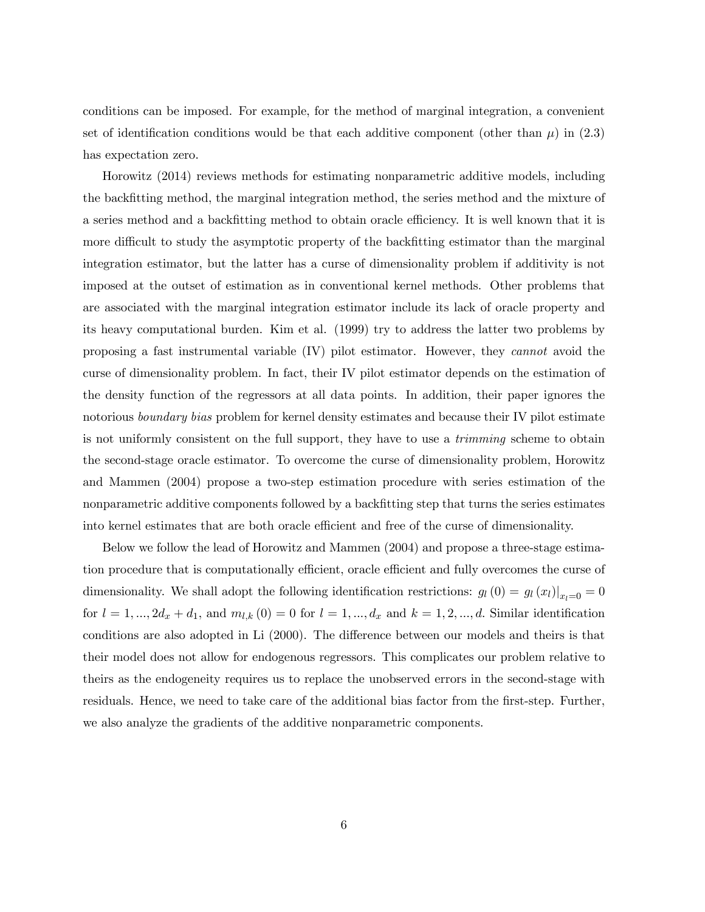conditions can be imposed. For example, for the method of marginal integration, a convenient set of identification conditions would be that each additive component (other than  $\mu$ ) in (2.3) has expectation zero.

Horowitz (2014) reviews methods for estimating nonparametric additive models, including the backfitting method, the marginal integration method, the series method and the mixture of a series method and a backfitting method to obtain oracle efficiency. It is well known that it is more difficult to study the asymptotic property of the backfitting estimator than the marginal integration estimator, but the latter has a curse of dimensionality problem if additivity is not imposed at the outset of estimation as in conventional kernel methods. Other problems that are associated with the marginal integration estimator include its lack of oracle property and its heavy computational burden. Kim et al. (1999) try to address the latter two problems by proposing a fast instrumental variable (IV) pilot estimator. However, they cannot avoid the curse of dimensionality problem. In fact, their IV pilot estimator depends on the estimation of the density function of the regressors at all data points. In addition, their paper ignores the notorious *boundary bias* problem for kernel density estimates and because their IV pilot estimate is not uniformly consistent on the full support, they have to use a trimming scheme to obtain the second-stage oracle estimator. To overcome the curse of dimensionality problem, Horowitz and Mammen (2004) propose a two-step estimation procedure with series estimation of the nonparametric additive components followed by a backfitting step that turns the series estimates into kernel estimates that are both oracle efficient and free of the curse of dimensionality.

Below we follow the lead of Horowitz and Mammen (2004) and propose a three-stage estimation procedure that is computationally efficient, oracle efficient and fully overcomes the curse of dimensionality. We shall adopt the following identification restrictions:  $g_l(0) = g_l(x_l)|_{x_l=0} = 0$ for  $l = 1, ..., 2d_x + d_1$ , and  $m_{l,k}(0) = 0$  for  $l = 1, ..., d_x$  and  $k = 1, 2, ..., d$ . Similar identification conditions are also adopted in Li (2000). The difference between our models and theirs is that their model does not allow for endogenous regressors. This complicates our problem relative to theirs as the endogeneity requires us to replace the unobserved errors in the second-stage with residuals. Hence, we need to take care of the additional bias factor from the first-step. Further, we also analyze the gradients of the additive nonparametric components.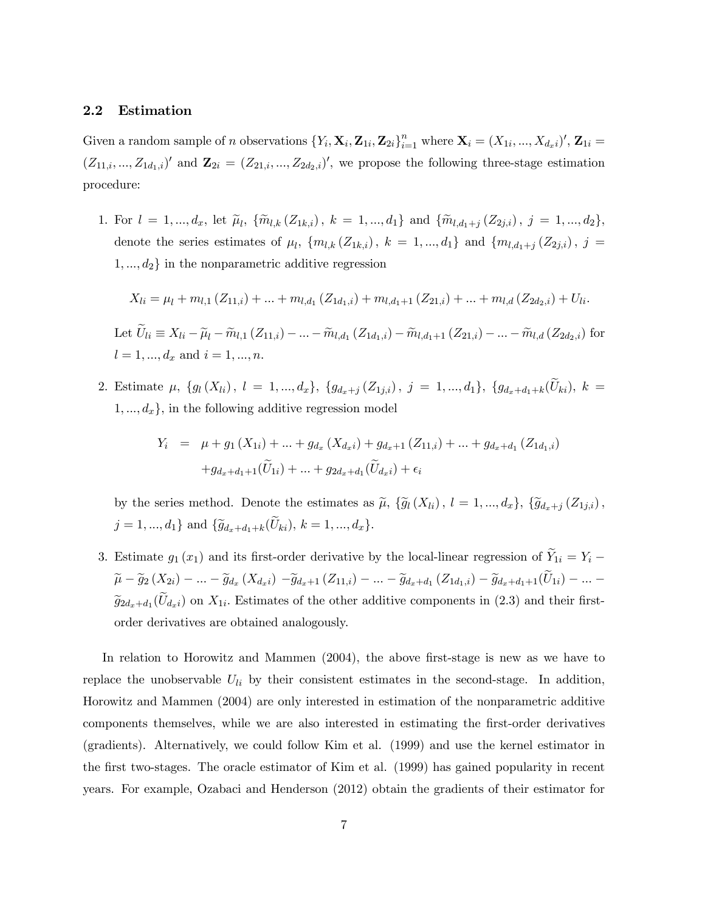#### 2.2 Estimation

Given a random sample of *n* observations  ${Y_i, \mathbf{X}_i, \mathbf{Z}_{1i}, \mathbf{Z}_{2i}}_{i=1}^n$  where  $\mathbf{X}_i = (X_{1i}, ..., X_{d_x i})'$ ,  $\mathbf{Z}_{1i} =$  $(Z_{11,i},...,Z_{1d_1,i})'$  and  $\mathbf{Z}_{2i} = (Z_{21,i},...,Z_{2d_2,i})'$ , we propose the following three-stage estimation procedure:

1. For  $l = 1, ..., d_x$ , let  $\tilde{\mu}_l$ ,  $\{\tilde{m}_{l,k}(Z_{1k,i}), k = 1, ..., d_1\}$  and  $\{\tilde{m}_{l,d_1+j}(Z_{2j,i}), j = 1, ..., d_2\},$ denote the series estimates of  $\mu_l$ ,  $\{m_{l,k}(Z_{1k,i}), k = 1, ..., d_1\}$  and  $\{m_{l,d_1+j}(Z_{2j,i}), j =$  $1, ..., d_2$  in the nonparametric additive regression

$$
X_{li} = \mu_l + m_{l,1} (Z_{11,i}) + ... + m_{l,d_1} (Z_{1d_1,i}) + m_{l,d_1+1} (Z_{21,i}) + ... + m_{l,d} (Z_{2d_2,i}) + U_{li}.
$$

Let  $\widetilde{U}_{li} \equiv X_{li} - \widetilde{\mu}_l - \widetilde{m}_{l,1} (Z_{11,i}) - ... - \widetilde{m}_{l,d_1} (Z_{1d_1,i}) - \widetilde{m}_{l,d_1+1} (Z_{21,i}) - ... - \widetilde{m}_{l,d} (Z_{2d_2,i})$  for  $l = 1, ..., d_x$  and  $i = 1, ..., n$ .

2. Estimate  $\mu$ ,  $\{g_l(X_{li}), l = 1, ..., d_x\}, \{g_{d_x+j}(Z_{1j,i}), j = 1, ..., d_1\}, \{g_{d_x+d_1+k}(\tilde{U}_{ki}), k = 1, ..., d_1\}$  ${1, ..., d_x}$ , in the following additive regression model

$$
Y_i = \mu + g_1(X_{1i}) + \dots + g_{d_x}(X_{d_xi}) + g_{d_x+1}(Z_{11,i}) + \dots + g_{d_x+d_1}(Z_{1d_1,i})
$$
  
+ 
$$
g_{d_x+d_1+1}(\widetilde{U}_{1i}) + \dots + g_{2d_x+d_1}(\widetilde{U}_{d_xi}) + \epsilon_i
$$

by the series method. Denote the estimates as  $\tilde{\mu}$ ,  $\{\tilde{g}_l(X_{li}), l = 1, ..., d_x\}, \{\tilde{g}_{d_x+j}(Z_{1j,i}),$  $j = 1, ..., d_1$  and  $\{\widetilde{g}_{d_x+d_1+k}(\widetilde{U}_{ki}), k = 1, ..., d_x\}.$ 

3. Estimate  $g_1(x_1)$  and its first-order derivative by the local-linear regression of  $\widetilde{Y}_{1i} = Y_i$  $\widetilde{\mu} - \widetilde{g}_2 (X_{2i}) - ... - \widetilde{g}_{d_x} (X_{d_x i}) - \widetilde{g}_{d_x + 1} (Z_{11,i}) - ... - \widetilde{g}_{d_x + d_1} (Z_{1d_1,i}) - \widetilde{g}_{d_x + d_1 + 1}(\widetilde{U}_{1i}) - ... \widetilde{g}_{2d_x+d_1}(\widetilde{U}_{d_x})$  on  $X_{1i}$ . Estimates of the other additive components in (2.3) and their firstorder derivatives are obtained analogously.

In relation to Horowitz and Mammen (2004), the above first-stage is new as we have to replace the unobservable  $U_{li}$  by their consistent estimates in the second-stage. In addition, Horowitz and Mammen (2004) are only interested in estimation of the nonparametric additive components themselves, while we are also interested in estimating the first-order derivatives (gradients). Alternatively, we could follow Kim et al. (1999) and use the kernel estimator in the first two-stages. The oracle estimator of Kim et al. (1999) has gained popularity in recent years. For example, Ozabaci and Henderson (2012) obtain the gradients of their estimator for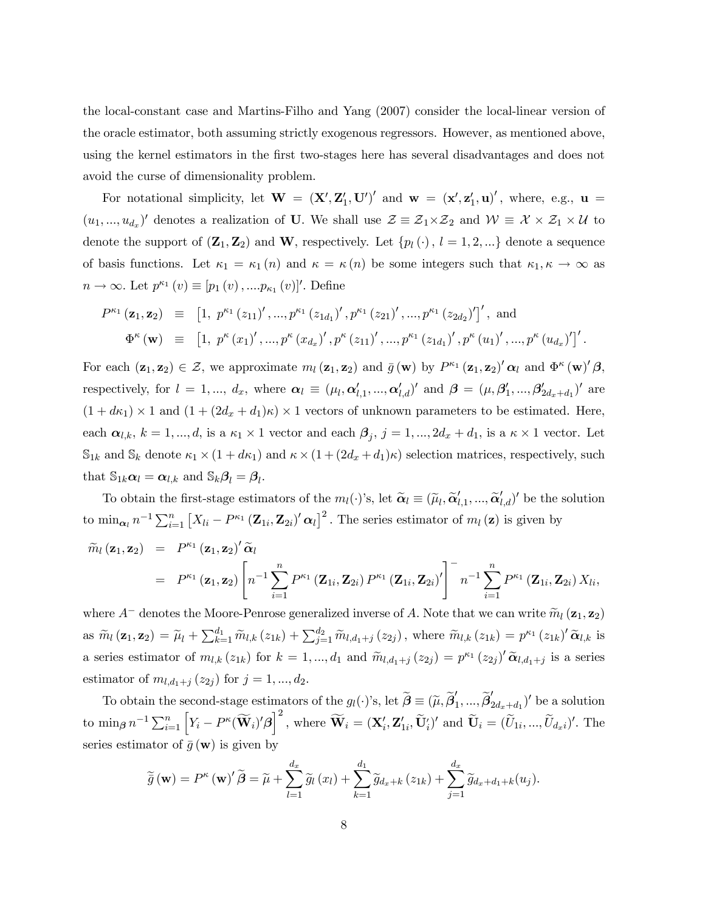the local-constant case and Martins-Filho and Yang (2007) consider the local-linear version of the oracle estimator, both assuming strictly exogenous regressors. However, as mentioned above, using the kernel estimators in the first two-stages here has several disadvantages and does not avoid the curse of dimensionality problem.

For notational simplicity, let  $\mathbf{W} = (\mathbf{X}', \mathbf{Z}'_1, \mathbf{U}')'$  and  $\mathbf{w} = (\mathbf{x}', \mathbf{z}'_1, \mathbf{u})'$ , where, e.g.,  $\mathbf{u} =$  $(u_1, ..., u_{d_x})'$  denotes a realization of U. We shall use  $\mathcal{Z} \equiv \mathcal{Z}_1 \times \mathcal{Z}_2$  and  $\mathcal{W} \equiv \mathcal{X} \times \mathcal{Z}_1 \times \mathcal{U}$  to denote the support of  $(\mathbf{Z}_1, \mathbf{Z}_2)$  and W, respectively. Let  $\{p_l(\cdot), l = 1, 2, ...\}$  denote a sequence of basis functions. Let  $\kappa_1 = \kappa_1 (n)$  and  $\kappa = \kappa (n)$  be some integers such that  $\kappa_1, \kappa \to \infty$  as  $n \to \infty$ . Let  $p^{\kappa_1}(v) \equiv [p_1(v), ..., p_{\kappa_1}(v)]'$ . Define

$$
P^{\kappa_1}(\mathbf{z}_1, \mathbf{z}_2) \equiv [1, p^{\kappa_1}(z_{11})', ..., p^{\kappa_1}(z_{1d_1})', p^{\kappa_1}(z_{21})', ..., p^{\kappa_1}(z_{2d_2})']', \text{ and}
$$
  
\n
$$
\Phi^{\kappa}(\mathbf{w}) \equiv [1, p^{\kappa}(x_1)', ..., p^{\kappa}(x_{d_x})', p^{\kappa}(z_{11})', ..., p^{\kappa_1}(z_{1d_1})', p^{\kappa}(u_1)', ..., p^{\kappa}(u_{d_x})']'.
$$

For each  $(\mathbf{z}_1, \mathbf{z}_2) \in \mathcal{Z}$ , we approximate  $m_l(\mathbf{z}_1, \mathbf{z}_2)$  and  $\bar{g}(\mathbf{w})$  by  $P^{\kappa_1}(\mathbf{z}_1, \mathbf{z}_2)'$   $\alpha_l$  and  $\Phi^{\kappa}(\mathbf{w})' \beta$ , respectively, for  $l = 1, ..., d_x$ , where  $\boldsymbol{\alpha}_l \equiv (\mu_l, \boldsymbol{\alpha}'_{l,1}, ..., \boldsymbol{\alpha}'_{l,d})'$  and  $\boldsymbol{\beta} = (\mu, \boldsymbol{\beta}'_1, ..., \boldsymbol{\beta}'_{2d_x+d_1})'$  are  $(1 + d\kappa_1) \times 1$  and  $(1 + (2d_x + d_1)\kappa) \times 1$  vectors of unknown parameters to be estimated. Here, each  $\alpha_{l,k}, k = 1, ..., d$ , is a  $\kappa_1 \times 1$  vector and each  $\beta_j$ ,  $j = 1, ..., 2d_x + d_1$ , is a  $\kappa \times 1$  vector. Let  $\mathbb{S}_{1k}$  and  $\mathbb{S}_k$  denote  $\kappa_1 \times (1 + d\kappa_1)$  and  $\kappa \times(1 + (2d_x + d_1)\kappa)$  selection matrices, respectively, such that  $\mathbb{S}_{1k} \alpha_l = \alpha_{l,k}$  and  $\mathbb{S}_k \beta_l = \beta_l$ .

To obtain the first-stage estimators of the  $m_l(\cdot)$ 's, let  $\tilde{\boldsymbol{\alpha}}_l \equiv (\tilde{\mu}_l, \tilde{\boldsymbol{\alpha}}'_{l,1}, ..., \tilde{\boldsymbol{\alpha}}'_{l,d})'$  be the solution to  $\min_{\mathbf{\alpha}_l} n^{-1} \sum_{i=1}^n \left[ X_{li} - P^{\kappa_1} \left( \mathbf{Z}_{1i}, \mathbf{Z}_{2i} \right)^{\prime} \mathbf{\alpha}_l \right]^2$ . The series estimator of  $m_l(\mathbf{z})$  is given by

$$
\widetilde{m}_l(\mathbf{z}_1, \mathbf{z}_2) = P^{\kappa_1}(\mathbf{z}_1, \mathbf{z}_2)' \widetilde{\alpha}_l
$$
\n
$$
= P^{\kappa_1}(\mathbf{z}_1, \mathbf{z}_2) \left[ n^{-1} \sum_{i=1}^n P^{\kappa_1}(\mathbf{Z}_{1i}, \mathbf{Z}_{2i}) P^{\kappa_1}(\mathbf{Z}_{1i}, \mathbf{Z}_{2i})' \right]^{-} n^{-1} \sum_{i=1}^n P^{\kappa_1}(\mathbf{Z}_{1i}, \mathbf{Z}_{2i}) X_{li},
$$

where  $A^-$  denotes the Moore-Penrose generalized inverse of A. Note that we can write  $\widetilde{m}_l(\mathbf{z}_1, \mathbf{z}_2)$ as  $\tilde{m}_l(\mathbf{z}_1, \mathbf{z}_2) = \tilde{\mu}_l + \sum_{k=1}^{d_1} \tilde{m}_{l,k}(z_{1k}) + \sum_{j=1}^{d_2} \tilde{m}_{l,d_1+j}(z_{2j}),$  where  $\tilde{m}_{l,k}(z_{1k}) = p^{\kappa_1}(z_{1k})' \tilde{\alpha}_{l,k}$  is a series estimator of  $m_{l,k}(z_{1k})$  for  $k = 1, ..., d_1$  and  $\widetilde{m}_{l,d_1+j}(z_{2j}) = p^{\kappa_1}(z_{2j})' \widetilde{\alpha}_{l,d_1+j}$  is a series estimator of  $m_{l,d_1+j} (z_{2j})$  for  $j = 1, ..., d_2$ .

To obtain the second-stage estimators of the  $g_l(\cdot)$ 's, let  $\widetilde{\boldsymbol{\beta}} \equiv (\widetilde{\mu}, \widetilde{\beta}'_1, ..., \widetilde{\beta}'_{2d_x+d_1})'$  be a solution to  $\min_{\beta} n^{-1} \sum_{i=1}^n \left[ Y_i - P^{\kappa}(\widetilde{\mathbf{W}}_i)' \beta \right]^2$ , where  $\widetilde{\mathbf{W}}_i = (\mathbf{X}'_i, \mathbf{Z}'_{1i}, \widetilde{\mathbf{U}}'_i)'$  and  $\widetilde{\mathbf{U}}_i = (\widetilde{U}_{1i}, ..., \widetilde{U}_{d_x i})'$ . The series estimator of  $\bar{g}(\mathbf{w})$  is given by

$$
\widetilde{\tilde{g}}(\mathbf{w}) = P^{\kappa}(\mathbf{w})' \widetilde{\boldsymbol{\beta}} = \widetilde{\mu} + \sum_{l=1}^{d_x} \widetilde{g}_l(x_l) + \sum_{k=1}^{d_1} \widetilde{g}_{d_x+k}(z_{1k}) + \sum_{j=1}^{d_x} \widetilde{g}_{d_x+d_1+k}(u_j).
$$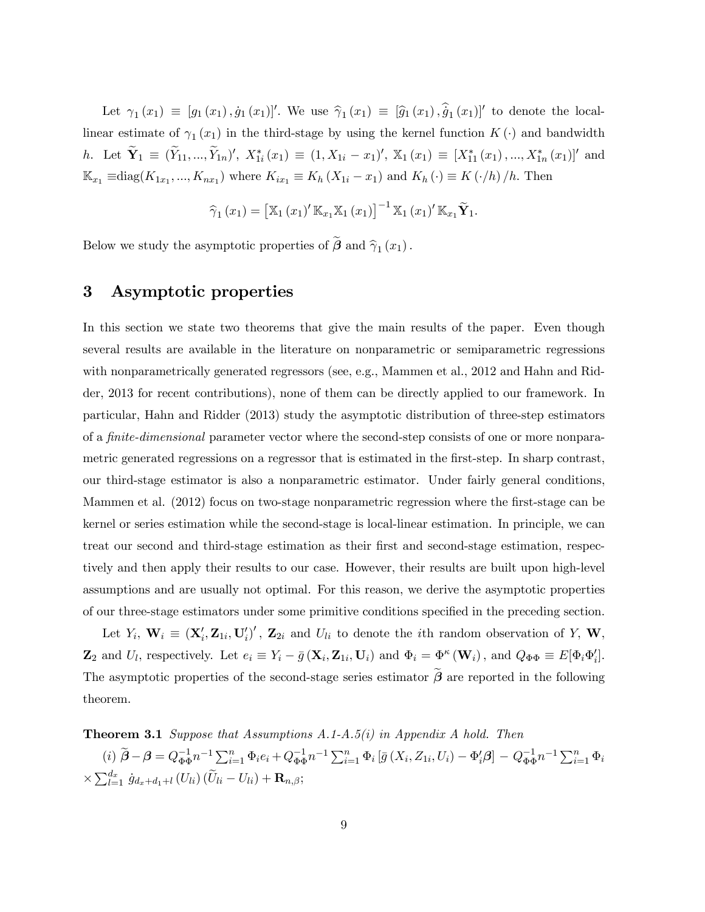Let  $\gamma_1(x_1) \equiv [g_1(x_1), \dot{g}_1(x_1)]'$ . We use  $\hat{\gamma}_1(x_1) \equiv [\hat{g}_1(x_1), \dot{g}_1(x_1)]'$  to denote the locallinear estimate of  $\gamma_1 (x_1)$  in the third-stage by using the kernel function  $K(\cdot)$  and bandwidth *h*. Let  $\mathbf{Y}_1 \equiv (Y_{11},..., Y_{1n})'$ ,  $X_{1i}^*(x_1) \equiv (1, X_{1i} - x_1)'$ ,  $X_1(x_1) \equiv [X_{11}^*(x_1),..., X_{1n}^*(x_1)]'$  and  $\mathbb{K}_{x_1} \equiv \text{diag}(K_{1x_1}, ..., K_{nx_1})$  where  $K_{ix_1} \equiv K_h (X_{1i} - x_1)$  and  $K_h (\cdot) \equiv K (\cdot/h) / h$ . Then

$$
\widehat{\gamma}_{1}(x_{1}) = [\mathbb{X}_{1}(x_{1})' \mathbb{K}_{x_{1}} \mathbb{X}_{1}(x_{1})]^{-1} \mathbb{X}_{1}(x_{1})' \mathbb{K}_{x_{1}} \widetilde{\mathbf{Y}}_{1}.
$$

Below we study the asymptotic properties of  $\tilde{\boldsymbol{\beta}}$  and  $\hat{\gamma}_1 (x_1)$ .

## 3 Asymptotic properties

In this section we state two theorems that give the main results of the paper. Even though several results are available in the literature on nonparametric or semiparametric regressions with nonparametrically generated regressors (see, e.g., Mammen et al., 2012 and Hahn and Ridder, 2013 for recent contributions), none of them can be directly applied to our framework. In particular, Hahn and Ridder (2013) study the asymptotic distribution of three-step estimators of a finite-dimensional parameter vector where the second-step consists of one or more nonparametric generated regressions on a regressor that is estimated in the first-step. In sharp contrast, our third-stage estimator is also a nonparametric estimator. Under fairly general conditions, Mammen et al. (2012) focus on two-stage nonparametric regression where the first-stage can be kernel or series estimation while the second-stage is local-linear estimation. In principle, we can treat our second and third-stage estimation as their first and second-stage estimation, respectively and then apply their results to our case. However, their results are built upon high-level assumptions and are usually not optimal. For this reason, we derive the asymptotic properties of our three-stage estimators under some primitive conditions specified in the preceding section.

Let  $Y_i$ ,  $\mathbf{W}_i \equiv (\mathbf{X}'_i, \mathbf{Z}_{1i}, \mathbf{U}'_i)'$ ,  $\mathbf{Z}_{2i}$  and  $U_{li}$  to denote the *i*th random observation of Y, W,  $\mathbf{Z}_2$  and  $U_l$ , respectively. Let  $e_i \equiv Y_i - \bar{g}(\mathbf{X}_i, \mathbf{Z}_{1i}, \mathbf{U}_i)$  and  $\Phi_i = \Phi^{\kappa}(\mathbf{W}_i)$ , and  $Q_{\Phi\Phi} \equiv E[\Phi_i \Phi'_i]$ . The asymptotic properties of the second-stage series estimator  $\tilde{\beta}$  are reported in the following theorem.

**Theorem 3.1** Suppose that Assumptions  $A.1-A.5(i)$  in Appendix A hold. Then

 $(i)$   $\tilde{\boldsymbol{\beta}} - \boldsymbol{\beta} = Q_{\Phi\Phi}^{-1} n^{-1} \sum_{i=1}^{n} \Phi_i e_i + Q_{\Phi\Phi}^{-1} n^{-1} \sum_{i=1}^{n} \Phi_i \left[ \bar{g} \left( X_i, Z_{1i}, U_i \right) - \Phi_i' \boldsymbol{\beta} \right] - Q_{\Phi\Phi}^{-1} n^{-1} \sum_{i=1}^{n} \Phi_i$  $\times \sum_{l=1}^{d_x} \dot{g}_{d_x+d_1+l} (U_{li}) (\tilde{U}_{li} - U_{li}) + \mathbf{R}_{n,\beta};$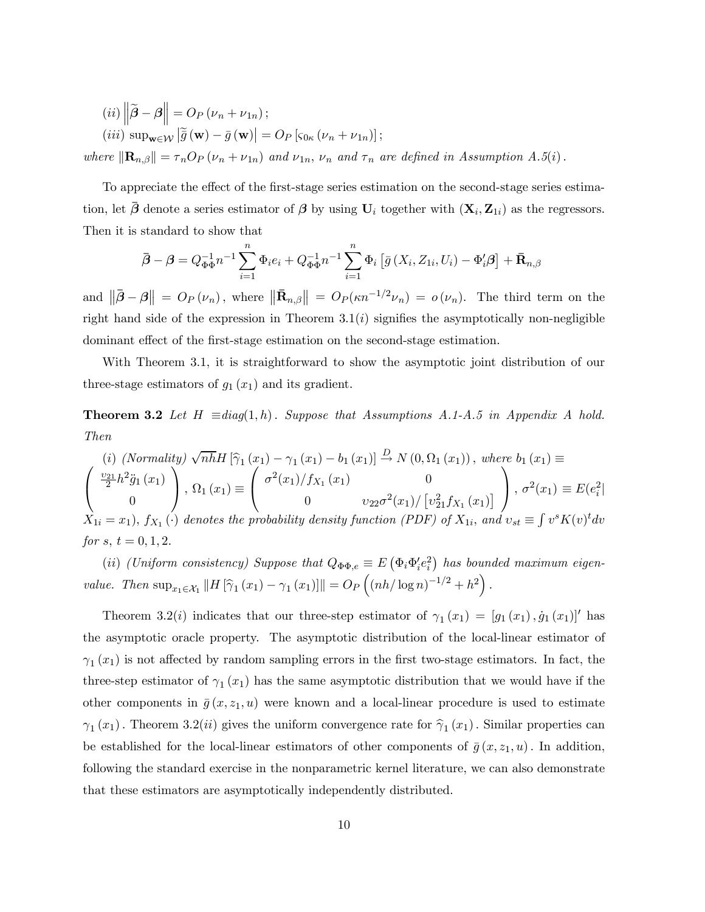$(ii)$   $\left\| \widetilde{\boldsymbol{\beta}} - \boldsymbol{\beta} \right\| = O_P \left( \nu_n + \nu_{1n} \right);$  $(iii)$  sup $_{\mathbf{w}\in\mathcal{W}}\left|\tilde{\tilde{g}}\left(\mathbf{w}\right)-\bar{g}\left(\mathbf{w}\right)\right| = O_P\left[\varsigma_{0\kappa}\left(\nu_{n}+\nu_{1n}\right)\right];$ 

where  $\|\mathbf{R}_{n,\beta}\| = \tau_n O_P(\nu_n + \nu_{1n})$  and  $\nu_{1n}, \nu_n$  and  $\tau_n$  are defined in Assumption A.5(i).

To appreciate the effect of the first-stage series estimation on the second-stage series estimation, let  $\bar{\beta}$  denote a series estimator of  $\beta$  by using  $U_i$  together with  $(X_i, Z_{1i})$  as the regressors. Then it is standard to show that

$$
\bar{\boldsymbol{\beta}} - \boldsymbol{\beta} = Q_{\Phi\Phi}^{-1} n^{-1} \sum_{i=1}^{n} \Phi_i e_i + Q_{\Phi\Phi}^{-1} n^{-1} \sum_{i=1}^{n} \Phi_i \left[ \bar{g}(X_i, Z_{1i}, U_i) - \Phi_i' \boldsymbol{\beta} \right] + \bar{\mathbf{R}}_{n,\beta}
$$

and  $\|\bar{\boldsymbol{\beta}} - \boldsymbol{\beta}\| = O_P(\nu_n)$ , where  $\|\bar{\mathbf{R}}_{n,\beta}\| = O_P(\kappa n^{-1/2} \nu_n) = o(\nu_n)$ . The third term on the right hand side of the expression in Theorem  $3.1(i)$  signifies the asymptotically non-negligible dominant effect of the first-stage estimation on the second-stage estimation.

With Theorem 3.1, it is straightforward to show the asymptotic joint distribution of our three-stage estimators of  $g_1(x_1)$  and its gradient.

**Theorem 3.2** Let  $H \equiv diag(1, h)$ . Suppose that Assumptions A.1-A.5 in Appendix A hold. Then

(i) (Normality) 
$$
\sqrt{nh}H\left[\hat{\gamma}_1(x_1) - \gamma_1(x_1) - b_1(x_1)\right] \stackrel{D}{\rightarrow} N(0, \Omega_1(x_1)),
$$
 where  $b_1(x_1) \equiv$   
\n
$$
\begin{pmatrix}\n\frac{v_{21}}{2}h^2\ddot{g}_1(x_1) \\
0\n\end{pmatrix}, \Omega_1(x_1) \equiv \begin{pmatrix}\n\sigma^2(x_1)/f_{X_1}(x_1) & 0 \\
0 & v_{22}\sigma^2(x_1)/[v_{21}^2f_{X_1}(x_1)]\n\end{pmatrix}, \sigma^2(x_1) \equiv E(e_i^2)
$$
\n
$$
X_{1i} = x_1, f_{X_1}(\cdot) \text{ denotes the probability density function (PDF) of } X_{1i}, \text{ and } v_{st} \equiv \int v^s K(v)^t dv
$$
\n
$$
\text{for } s, t = 0, 1, 2.
$$

(ii) (Uniform consistency) Suppose that  $Q_{\Phi\Phi,e} \equiv E(\Phi_i \Phi_i' e_i^2)$  has bounded maximum eigenvalue. Then  $\sup_{x_1 \in \mathcal{X}_1} \|H[\hat{\gamma}_1(x_1) - \gamma_1(x_1)]\| = O_P((nh/\log n)^{-1/2} + h^2).$ 

Theorem 3.2(*i*) indicates that our three-step estimator of  $\gamma_1 (x_1)=[g_1 (x_1), \dot{g}_1 (x_1)]'$  has the asymptotic oracle property. The asymptotic distribution of the local-linear estimator of  $\gamma_1(x_1)$  is not affected by random sampling errors in the first two-stage estimators. In fact, the three-step estimator of  $\gamma_1 (x_1)$  has the same asymptotic distribution that we would have if the other components in  $\bar{g}(x, z_1, u)$  were known and a local-linear procedure is used to estimate  $\gamma_1 (x_1)$ . Theorem 3.2(*ii*) gives the uniform convergence rate for  $\hat{\gamma}_1 (x_1)$ . Similar properties can be established for the local-linear estimators of other components of  $\bar{g}(x, z_1, u)$ . In addition, following the standard exercise in the nonparametric kernel literature, we can also demonstrate that these estimators are asymptotically independently distributed.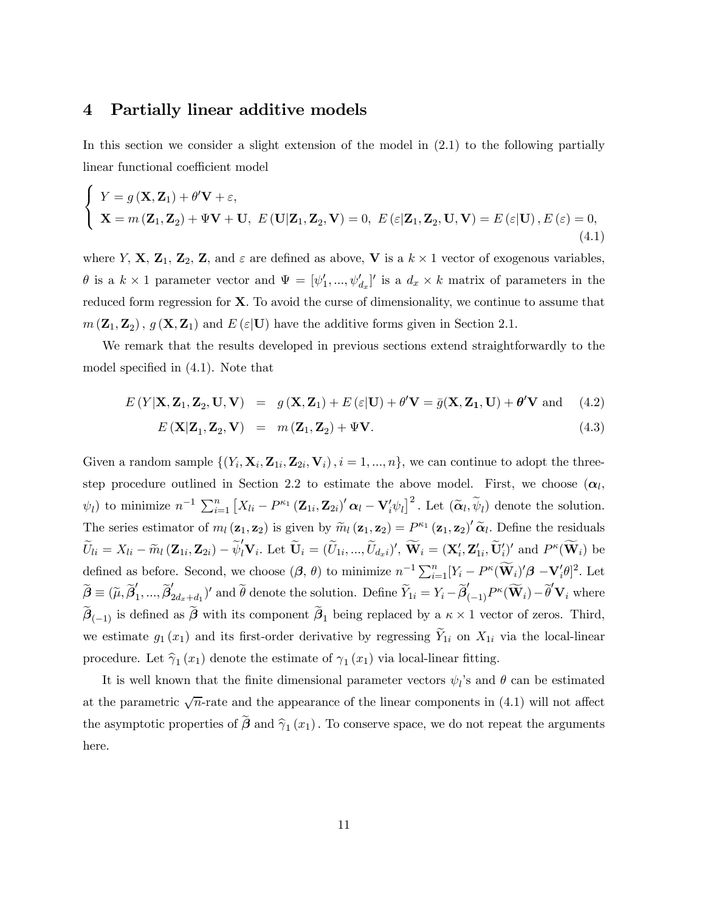### 4 Partially linear additive models

In this section we consider a slight extension of the model in (2.1) to the following partially linear functional coefficient model

$$
\begin{cases}\nY = g(\mathbf{X}, \mathbf{Z}_1) + \theta' \mathbf{V} + \varepsilon, \\
\mathbf{X} = m(\mathbf{Z}_1, \mathbf{Z}_2) + \Psi \mathbf{V} + \mathbf{U}, \ E(\mathbf{U}|\mathbf{Z}_1, \mathbf{Z}_2, \mathbf{V}) = 0, \ E(\varepsilon|\mathbf{Z}_1, \mathbf{Z}_2, \mathbf{U}, \mathbf{V}) = E(\varepsilon|\mathbf{U}), E(\varepsilon) = 0,\n\end{cases} (4.1)
$$

where Y, X, Z<sub>1</sub>, Z<sub>2</sub>, Z<sub>2</sub>, and  $\varepsilon$  are defined as above, V is a  $k \times 1$  vector of exogenous variables,  $\theta$  is a  $k \times 1$  parameter vector and  $\Psi = [\psi'_1, ..., \psi'_{d_x}]'$  is a  $d_x \times k$  matrix of parameters in the reduced form regression for  $X$ . To avoid the curse of dimensionality, we continue to assume that  $m(\mathbf{Z}_1, \mathbf{Z}_2), g(\mathbf{X}, \mathbf{Z}_1)$  and  $E(\varepsilon | \mathbf{U})$  have the additive forms given in Section 2.1.

We remark that the results developed in previous sections extend straightforwardly to the model specified in (4.1). Note that

$$
E(Y|\mathbf{X}, \mathbf{Z}_1, \mathbf{Z}_2, \mathbf{U}, \mathbf{V}) = g(\mathbf{X}, \mathbf{Z}_1) + E(\varepsilon | \mathbf{U}) + \theta' \mathbf{V} = \bar{g}(\mathbf{X}, \mathbf{Z}_1, \mathbf{U}) + \theta' \mathbf{V} \text{ and } (4.2)
$$

$$
E\left(\mathbf{X}|\mathbf{Z}_1,\mathbf{Z}_2,\mathbf{V}\right) = m\left(\mathbf{Z}_1,\mathbf{Z}_2\right) + \Psi\mathbf{V}.\tag{4.3}
$$

Given a random sample  $\{(Y_i, \mathbf{X}_i, \mathbf{Z}_{1i}, \mathbf{Z}_{2i}, \mathbf{V}_i), i = 1, ..., n\}$ , we can continue to adopt the threestep procedure outlined in Section 2.2 to estimate the above model. First, we choose  $(\alpha_l,$  $\psi_l$ ) to minimize  $n^{-1} \sum_{i=1}^n [X_{li} - P^{\kappa_1} (\mathbf{Z}_{1i}, \mathbf{Z}_{2i})' \alpha_l - \mathbf{V}'_i \psi_l]^2$ . Let  $(\tilde{\alpha}_l, \tilde{\psi}_l)$  denote the solution. The series estimator of  $m_l(\mathbf{z}_1, \mathbf{z}_2)$  is given by  $\widetilde{m}_l(\mathbf{z}_1, \mathbf{z}_2) = P^{\kappa_1}(\mathbf{z}_1, \mathbf{z}_2)'$   $\widetilde{\alpha}_l$ . Define the residuals  $\widetilde{U}_{li} = X_{li} - \widetilde{m}_l (\mathbf{Z}_{1i}, \mathbf{Z}_{2i}) - \widetilde{\psi}_l' \mathbf{V}_i$ . Let  $\widetilde{\mathbf{U}}_i = (\widetilde{U}_{1i}, ..., \widetilde{U}_{d_x i})'$ ,  $\widetilde{\mathbf{W}}_i = (\mathbf{X}'_i, \mathbf{Z}'_{1i}, \widetilde{\mathbf{U}}'_i)'$  and  $P^{\kappa}(\widetilde{\mathbf{W}}_i)$  be defined as before. Second, we choose  $(\beta, \theta)$  to minimize  $n^{-1} \sum_{i=1}^{n} [Y_i - P^{\kappa}(\widetilde{\mathbf{W}}_i)' \beta - \mathbf{V}_i' \theta]^2$ . Let  $\widetilde{\boldsymbol{\beta}} \equiv (\widetilde{\mu}, \widetilde{\boldsymbol{\beta}}'_1, ..., \widetilde{\boldsymbol{\beta}}'_{2d_x+d_1})'$  and  $\widetilde{\theta}$  denote the solution. Define  $\widetilde{Y}_{1i} = Y_i - \widetilde{\boldsymbol{\beta}}'_{(-1)}P^{\kappa}(\widetilde{\mathbf{W}}_i) - \widetilde{\theta}' \mathbf{V}_i$  where  $\widetilde{\beta}_{(-1)}$  is defined as  $\widetilde{\beta}$  with its component  $\widetilde{\beta}_1$  being replaced by a  $\kappa \times 1$  vector of zeros. Third, we estimate  $g_1(x_1)$  and its first-order derivative by regressing  $\tilde{Y}_{1i}$  on  $X_{1i}$  via the local-linear procedure. Let  $\hat{\gamma}_1 (x_1)$  denote the estimate of  $\gamma_1 (x_1)$  via local-linear fitting.

It is well known that the finite dimensional parameter vectors  $\psi_l$ 's and  $\theta$  can be estimated at the parametric  $\sqrt{n}$ -rate and the appearance of the linear components in (4.1) will not affect the asymptotic properties of  $\tilde{\beta}$  and  $\hat{\gamma}_1 (x_1)$ . To conserve space, we do not repeat the arguments here.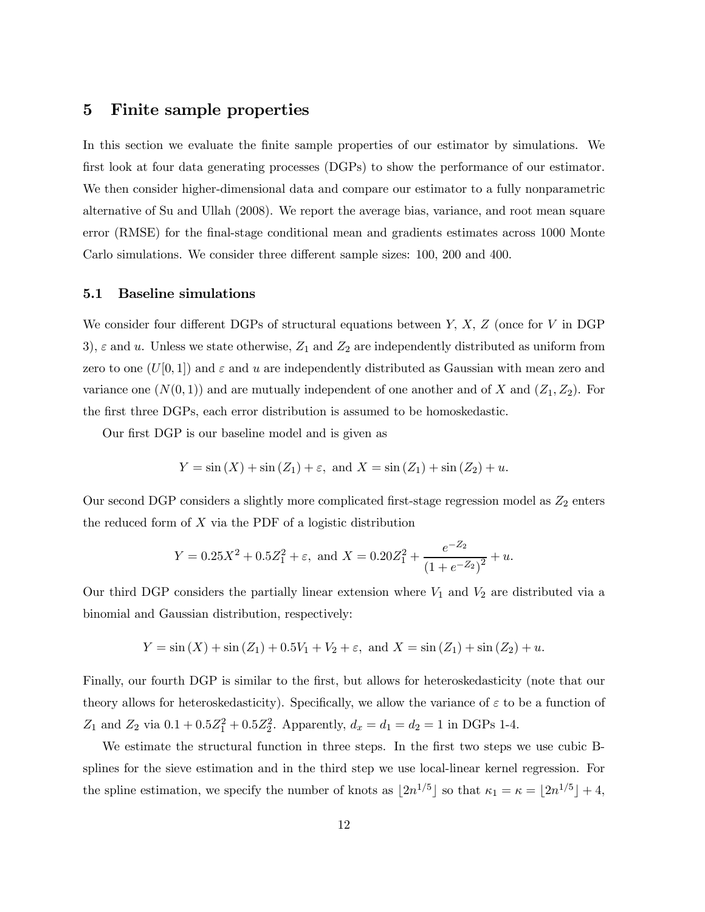## 5 Finite sample properties

In this section we evaluate the finite sample properties of our estimator by simulations. We first look at four data generating processes (DGPs) to show the performance of our estimator. We then consider higher-dimensional data and compare our estimator to a fully nonparametric alternative of Su and Ullah (2008). We report the average bias, variance, and root mean square error (RMSE) for the final-stage conditional mean and gradients estimates across 1000 Monte Carlo simulations. We consider three different sample sizes: 100 200 and 400.

#### 5.1 Baseline simulations

We consider four different DGPs of structural equations between  $Y, X, Z$  (once for  $V$  in DGP 3),  $\varepsilon$  and u. Unless we state otherwise,  $Z_1$  and  $Z_2$  are independently distributed as uniform from zero to one  $(U[0,1])$  and  $\varepsilon$  and u are independently distributed as Gaussian with mean zero and variance one  $(N(0, 1))$  and are mutually independent of one another and of X and  $(Z_1, Z_2)$ . For the first three DGPs, each error distribution is assumed to be homoskedastic.

Our first DGP is our baseline model and is given as

$$
Y = \sin(X) + \sin(Z_1) + \varepsilon
$$
, and  $X = \sin(Z_1) + \sin(Z_2) + u$ .

Our second DGP considers a slightly more complicated first-stage regression model as  $Z_2$  enters the reduced form of  $X$  via the PDF of a logistic distribution

$$
Y = 0.25X^{2} + 0.5Z_{1}^{2} + \varepsilon, \text{ and } X = 0.20Z_{1}^{2} + \frac{e^{-Z_{2}}}{\left(1 + e^{-Z_{2}}\right)^{2}} + u.
$$

Our third DGP considers the partially linear extension where  $V_1$  and  $V_2$  are distributed via a binomial and Gaussian distribution, respectively:

$$
Y = \sin(X) + \sin(Z_1) + 0.5V_1 + V_2 + \varepsilon, \text{ and } X = \sin(Z_1) + \sin(Z_2) + u.
$$

Finally, our fourth DGP is similar to the first, but allows for heteroskedasticity (note that our theory allows for heteroskedasticity). Specifically, we allow the variance of  $\varepsilon$  to be a function of  $Z_1$  and  $Z_2$  via  $0.1 + 0.5Z_1^2 + 0.5Z_2^2$ . Apparently,  $d_x = d_1 = d_2 = 1$  in DGPs 1-4.

We estimate the structural function in three steps. In the first two steps we use cubic Bsplines for the sieve estimation and in the third step we use local-linear kernel regression. For the spline estimation, we specify the number of knots as  $\lfloor 2n^{1/5} \rfloor$  so that  $\kappa_1 = \kappa = \lfloor 2n^{1/5} \rfloor + 4$ ,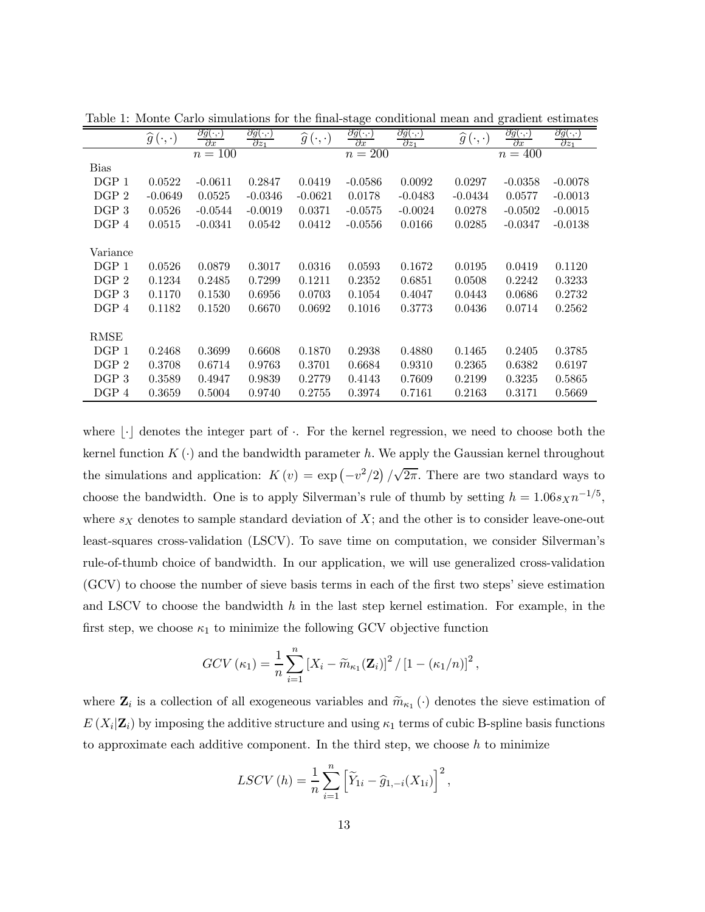|                  | $\widehat{g}(\cdot,\cdot)$ | $\partial \widehat{g}(\cdot,\cdot)$<br>$\overline{\partial x}$ | $\partial \widehat{g}(\cdot,\cdot)$<br>$\overline{\partial z_1}$ | $\widehat{g}(\cdot,\cdot)$ | $\partial \widehat{g}(\cdot,\cdot)$<br>$\overline{\partial x}$ | $\partial \widehat{g}(\cdot,\cdot)$<br>$\overline{\partial z_1}$ | $\widehat{g}(\cdot,\cdot)$ | $\partial \widehat{g}(\cdot,\cdot)$<br>$\overline{\partial x}$ | $\partial \widehat{g}(\cdot,\cdot)$<br>$\overline{\partial z_1}$ |
|------------------|----------------------------|----------------------------------------------------------------|------------------------------------------------------------------|----------------------------|----------------------------------------------------------------|------------------------------------------------------------------|----------------------------|----------------------------------------------------------------|------------------------------------------------------------------|
|                  |                            | $n=100$                                                        |                                                                  |                            | $n=200$                                                        |                                                                  |                            | $n=400$                                                        |                                                                  |
| <b>Bias</b>      |                            |                                                                |                                                                  |                            |                                                                |                                                                  |                            |                                                                |                                                                  |
| DGP 1            | 0.0522                     | $-0.0611$                                                      | 0.2847                                                           | 0.0419                     | $-0.0586$                                                      | 0.0092                                                           | 0.0297                     | $-0.0358$                                                      | $-0.0078$                                                        |
| DGP <sub>2</sub> | $-0.0649$                  | 0.0525                                                         | $-0.0346$                                                        | $-0.0621$                  | 0.0178                                                         | $-0.0483$                                                        | $-0.0434$                  | 0.0577                                                         | $-0.0013$                                                        |
| DGP 3            | 0.0526                     | $-0.0544$                                                      | $-0.0019$                                                        | 0.0371                     | $-0.0575$                                                      | $-0.0024$                                                        | 0.0278                     | $-0.0502$                                                      | $-0.0015$                                                        |
| DGP 4            | 0.0515                     | $-0.0341$                                                      | 0.0542                                                           | 0.0412                     | $-0.0556$                                                      | 0.0166                                                           | 0.0285                     | $-0.0347$                                                      | $-0.0138$                                                        |
|                  |                            |                                                                |                                                                  |                            |                                                                |                                                                  |                            |                                                                |                                                                  |
| Variance         |                            |                                                                |                                                                  |                            |                                                                |                                                                  |                            |                                                                |                                                                  |
| DGP 1            | 0.0526                     | 0.0879                                                         | 0.3017                                                           | 0.0316                     | 0.0593                                                         | 0.1672                                                           | 0.0195                     | 0.0419                                                         | 0.1120                                                           |
| DGP <sub>2</sub> | 0.1234                     | 0.2485                                                         | 0.7299                                                           | 0.1211                     | 0.2352                                                         | 0.6851                                                           | 0.0508                     | 0.2242                                                         | 0.3233                                                           |
| DGP <sub>3</sub> | 0.1170                     | 0.1530                                                         | 0.6956                                                           | 0.0703                     | 0.1054                                                         | 0.4047                                                           | 0.0443                     | 0.0686                                                         | 0.2732                                                           |
| DGP 4            | 0.1182                     | 0.1520                                                         | 0.6670                                                           | 0.0692                     | 0.1016                                                         | 0.3773                                                           | 0.0436                     | 0.0714                                                         | 0.2562                                                           |
|                  |                            |                                                                |                                                                  |                            |                                                                |                                                                  |                            |                                                                |                                                                  |
| RMSE             |                            |                                                                |                                                                  |                            |                                                                |                                                                  |                            |                                                                |                                                                  |
| DGP 1            | 0.2468                     | 0.3699                                                         | 0.6608                                                           | 0.1870                     | 0.2938                                                         | 0.4880                                                           | 0.1465                     | 0.2405                                                         | 0.3785                                                           |
| DGP <sub>2</sub> | 0.3708                     | 0.6714                                                         | 0.9763                                                           | 0.3701                     | 0.6684                                                         | 0.9310                                                           | 0.2365                     | 0.6382                                                         | 0.6197                                                           |
| DGP <sub>3</sub> | 0.3589                     | 0.4947                                                         | 0.9839                                                           | 0.2779                     | 0.4143                                                         | 0.7609                                                           | 0.2199                     | 0.3235                                                         | 0.5865                                                           |
| DGP 4            | 0.3659                     | 0.5004                                                         | 0.9740                                                           | 0.2755                     | 0.3974                                                         | 0.7161                                                           | 0.2163                     | 0.3171                                                         | 0.5669                                                           |

Table 1: Monte Carlo simulations for the final-stage conditional mean and gradient estimates

where  $|\cdot|$  denotes the integer part of  $\cdot$ . For the kernel regression, we need to choose both the kernel function  $K(\cdot)$  and the bandwidth parameter h. We apply the Gaussian kernel throughout the simulations and application:  $K(v) = \exp(-v^2/2)/\sqrt{2\pi}$ . There are two standard ways to choose the bandwidth. One is to apply Silverman's rule of thumb by setting  $h = 1.06s<sub>X</sub>n<sup>-1/5</sup>$ , where  $s_X$  denotes to sample standard deviation of  $X$ ; and the other is to consider leave-one-out least-squares cross-validation (LSCV). To save time on computation, we consider Silverman's rule-of-thumb choice of bandwidth. In our application, we will use generalized cross-validation (GCV) to choose the number of sieve basis terms in each of the first two steps' sieve estimation and LSCV to choose the bandwidth  $h$  in the last step kernel estimation. For example, in the first step, we choose  $\kappa_1$  to minimize the following GCV objective function

$$
GCV(\kappa_1) = \frac{1}{n} \sum_{i=1}^{n} \left[ X_i - \widetilde{m}_{\kappa_1}(\mathbf{Z}_i) \right]^2 / \left[ 1 - (\kappa_1/n) \right]^2,
$$

where  $\mathbf{Z}_i$  is a collection of all exogeneous variables and  $\widetilde{m}_{\kappa_1}(\cdot)$  denotes the sieve estimation of  $E(X_i|\mathbf{Z}_i)$  by imposing the additive structure and using  $\kappa_1$  terms of cubic B-spline basis functions to approximate each additive component. In the third step, we choose  $h$  to minimize

$$
LSCV(h) = \frac{1}{n} \sum_{i=1}^{n} \left[ \tilde{Y}_{1i} - \hat{g}_{1,-i}(X_{1i}) \right]^{2},
$$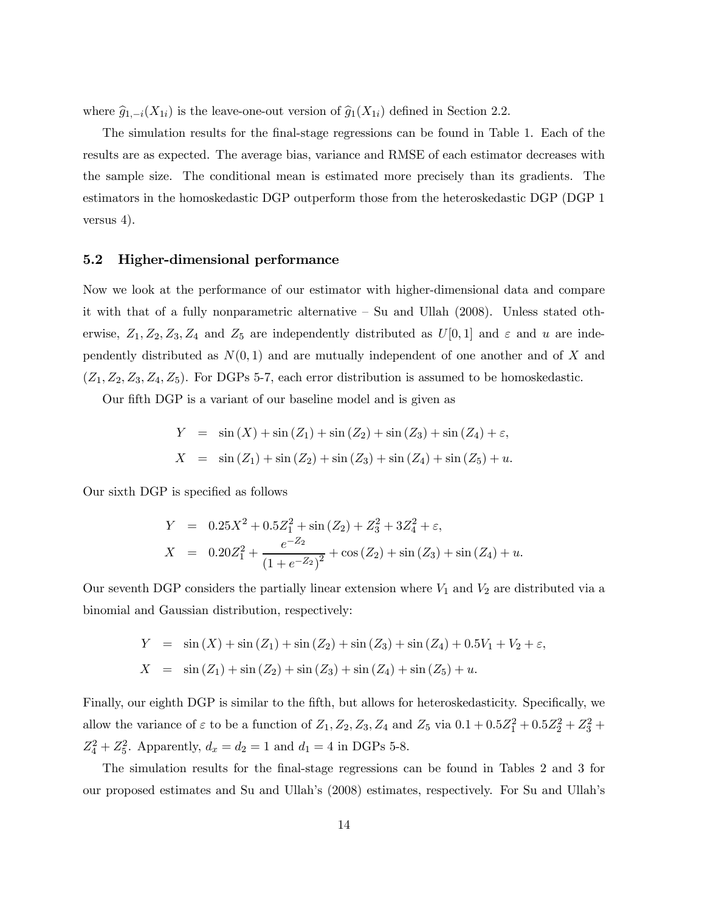where  $\hat{g}_{1,-i}(X_{1i})$  is the leave-one-out version of  $\hat{g}_1(X_{1i})$  defined in Section 2.2.

The simulation results for the final-stage regressions can be found in Table 1. Each of the results are as expected. The average bias, variance and RMSE of each estimator decreases with the sample size. The conditional mean is estimated more precisely than its gradients. The estimators in the homoskedastic DGP outperform those from the heteroskedastic DGP (DGP 1 versus 4).

#### 5.2 Higher-dimensional performance

Now we look at the performance of our estimator with higher-dimensional data and compare it with that of a fully nonparametric alternative — Su and Ullah (2008). Unless stated otherwise,  $Z_1, Z_2, Z_3, Z_4$  and  $Z_5$  are independently distributed as  $U[0, 1]$  and  $\varepsilon$  and  $u$  are independently distributed as  $N(0, 1)$  and are mutually independent of one another and of X and  $(Z_1, Z_2, Z_3, Z_4, Z_5)$ . For DGPs 5-7, each error distribution is assumed to be homoskedastic.

Our fifth DGP is a variant of our baseline model and is given as

$$
Y = \sin(X) + \sin(Z_1) + \sin(Z_2) + \sin(Z_3) + \sin(Z_4) + \varepsilon,
$$
  
\n
$$
X = \sin(Z_1) + \sin(Z_2) + \sin(Z_3) + \sin(Z_4) + \sin(Z_5) + u.
$$

Our sixth DGP is specified as follows

$$
Y = 0.25X^{2} + 0.5Z_{1}^{2} + \sin(Z_{2}) + Z_{3}^{2} + 3Z_{4}^{2} + \varepsilon,
$$
  
\n
$$
X = 0.20Z_{1}^{2} + \frac{e^{-Z_{2}}}{(1 + e^{-Z_{2}})^{2}} + \cos(Z_{2}) + \sin(Z_{3}) + \sin(Z_{4}) + u.
$$

Our seventh DGP considers the partially linear extension where  $V_1$  and  $V_2$  are distributed via a binomial and Gaussian distribution, respectively:

$$
Y = \sin(X) + \sin(Z_1) + \sin(Z_2) + \sin(Z_3) + \sin(Z_4) + 0.5V_1 + V_2 + \varepsilon,
$$
  
\n
$$
X = \sin(Z_1) + \sin(Z_2) + \sin(Z_3) + \sin(Z_4) + \sin(Z_5) + u.
$$

Finally, our eighth DGP is similar to the fifth, but allows for heteroskedasticity. Specifically, we allow the variance of  $\varepsilon$  to be a function of  $Z_1, Z_2, Z_3, Z_4$  and  $Z_5$  via  $0.1 + 0.5Z_1^2 + 0.5Z_2^2 + Z_3^2 + Z_4^2$  $Z_4^2 + Z_5^2$ . Apparently,  $d_x = d_2 = 1$  and  $d_1 = 4$  in DGPs 5-8.

The simulation results for the final-stage regressions can be found in Tables 2 and 3 for our proposed estimates and Su and Ullah's (2008) estimates, respectively. For Su and Ullah's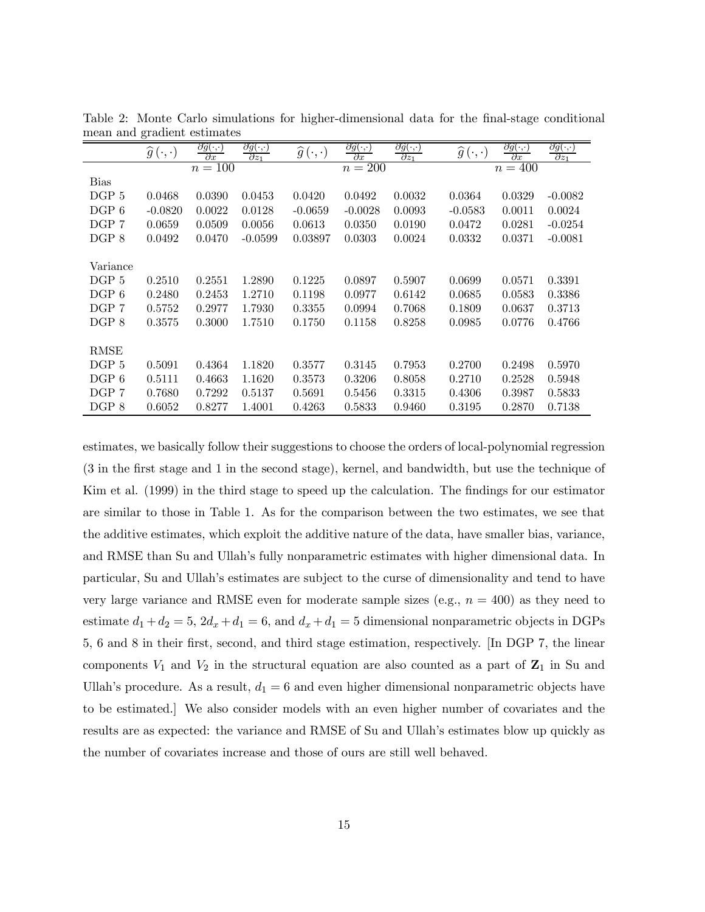|                  | $\widehat{g}(\cdot,\cdot)$ | $\partial \widehat{g}(\cdot,\cdot)$<br>$\overline{\partial x}$ | $\partial \widehat{g}(\cdot,\cdot)$<br>$\partial z_1$ | $\widehat{g}(\cdot,\cdot)$ | $\partial \widetilde{g}(\cdot,\cdot)$<br>$\overline{\partial x}$ | $\partial \widehat{g}(\cdot,\cdot)$<br>$\partial z_1$ | $\widehat{g}\left(\cdot,\cdot\right)$ | $\partial \widehat{g}(\cdot,\cdot)$<br>$\overline{\partial x}$ | $\partial \widehat{g}(\cdot,\cdot)$<br>$\partial z_1$ |
|------------------|----------------------------|----------------------------------------------------------------|-------------------------------------------------------|----------------------------|------------------------------------------------------------------|-------------------------------------------------------|---------------------------------------|----------------------------------------------------------------|-------------------------------------------------------|
|                  |                            | $n=100$                                                        |                                                       |                            | $n=200$                                                          |                                                       |                                       | $n = 400$                                                      |                                                       |
| <b>Bias</b>      |                            |                                                                |                                                       |                            |                                                                  |                                                       |                                       |                                                                |                                                       |
| DGP <sub>5</sub> | 0.0468                     | 0.0390                                                         | 0.0453                                                | 0.0420                     | 0.0492                                                           | 0.0032                                                | 0.0364                                | 0.0329                                                         | $-0.0082$                                             |
| DGP 6            | $-0.0820$                  | 0.0022                                                         | 0.0128                                                | $-0.0659$                  | $-0.0028$                                                        | 0.0093                                                | $-0.0583$                             | 0.0011                                                         | 0.0024                                                |
| DGP 7            | 0.0659                     | 0.0509                                                         | 0.0056                                                | 0.0613                     | 0.0350                                                           | 0.0190                                                | 0.0472                                | 0.0281                                                         | $-0.0254$                                             |
| DGP 8            | 0.0492                     | 0.0470                                                         | $-0.0599$                                             | 0.03897                    | 0.0303                                                           | 0.0024                                                | 0.0332                                | 0.0371                                                         | $-0.0081$                                             |
|                  |                            |                                                                |                                                       |                            |                                                                  |                                                       |                                       |                                                                |                                                       |
| Variance         |                            |                                                                |                                                       |                            |                                                                  |                                                       |                                       |                                                                |                                                       |
| DGP <sub>5</sub> | 0.2510                     | 0.2551                                                         | 1.2890                                                | 0.1225                     | 0.0897                                                           | 0.5907                                                | 0.0699                                | 0.0571                                                         | 0.3391                                                |
| DGP 6            | 0.2480                     | 0.2453                                                         | 1.2710                                                | 0.1198                     | 0.0977                                                           | 0.6142                                                | 0.0685                                | 0.0583                                                         | 0.3386                                                |
| DGP 7            | 0.5752                     | 0.2977                                                         | 1.7930                                                | 0.3355                     | 0.0994                                                           | 0.7068                                                | 0.1809                                | 0.0637                                                         | 0.3713                                                |
| DGP 8            | 0.3575                     | 0.3000                                                         | 1.7510                                                | 0.1750                     | 0.1158                                                           | 0.8258                                                | 0.0985                                | 0.0776                                                         | 0.4766                                                |
|                  |                            |                                                                |                                                       |                            |                                                                  |                                                       |                                       |                                                                |                                                       |
| RMSE             |                            |                                                                |                                                       |                            |                                                                  |                                                       |                                       |                                                                |                                                       |
| DGP <sub>5</sub> | 0.5091                     | 0.4364                                                         | 1.1820                                                | 0.3577                     | 0.3145                                                           | 0.7953                                                | 0.2700                                | 0.2498                                                         | 0.5970                                                |
| DGP 6            | 0.5111                     | 0.4663                                                         | 1.1620                                                | 0.3573                     | 0.3206                                                           | 0.8058                                                | 0.2710                                | 0.2528                                                         | 0.5948                                                |
| DGP 7            | 0.7680                     | 0.7292                                                         | 0.5137                                                | 0.5691                     | 0.5456                                                           | 0.3315                                                | 0.4306                                | 0.3987                                                         | 0.5833                                                |
| DGP 8            | 0.6052                     | 0.8277                                                         | 1.4001                                                | 0.4263                     | 0.5833                                                           | 0.9460                                                | 0.3195                                | 0.2870                                                         | 0.7138                                                |

Table 2: Monte Carlo simulations for higher-dimensional data for the final-stage conditional mean and gradient estimates

estimates, we basically follow their suggestions to choose the orders of local-polynomial regression (3 in the first stage and 1 in the second stage), kernel, and bandwidth, but use the technique of Kim et al. (1999) in the third stage to speed up the calculation. The findings for our estimator are similar to those in Table 1. As for the comparison between the two estimates, we see that the additive estimates, which exploit the additive nature of the data, have smaller bias, variance, and RMSE than Su and Ullah's fully nonparametric estimates with higher dimensional data. In particular, Su and Ullah's estimates are subject to the curse of dimensionality and tend to have very large variance and RMSE even for moderate sample sizes (e.g.,  $n = 400$ ) as they need to estimate  $d_1 + d_2 = 5$ ,  $2d_x + d_1 = 6$ , and  $d_x + d_1 = 5$  dimensional nonparametric objects in DGPs 5, 6 and 8 in their first, second, and third stage estimation, respectively. [In DGP 7, the linear components  $V_1$  and  $V_2$  in the structural equation are also counted as a part of  $\mathbb{Z}_1$  in Su and Ullah's procedure. As a result,  $d_1 = 6$  and even higher dimensional nonparametric objects have to be estimated.] We also consider models with an even higher number of covariates and the results are as expected: the variance and RMSE of Su and Ullah's estimates blow up quickly as the number of covariates increase and those of ours are still well behaved.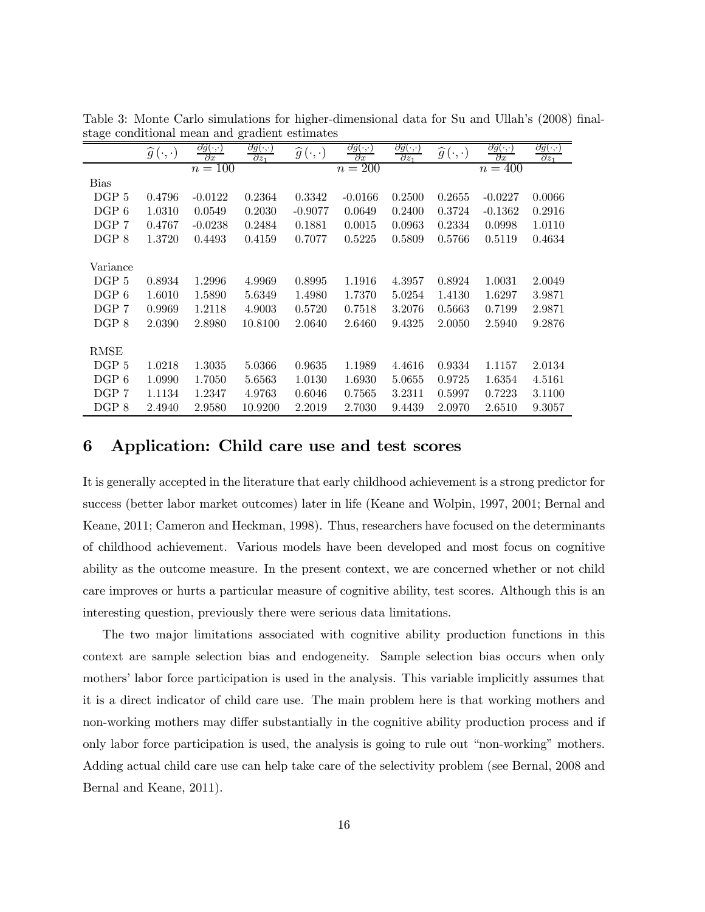|                  | $\widehat{g}(\cdot,\cdot)$ | $\partial \widehat{g}(\cdot,\cdot)$<br>$\partial x$ | $\frac{\partial \widehat{g}(\cdot,\cdot)}{\partial z_1}$ | $\widehat{g}(\cdot,\cdot)$ | $\partial \widehat{g}(\cdot,\cdot)$<br>$\overline{\partial x}$ | $\partial \widehat{g}(\cdot,\cdot)$<br>$\overline{\partial z_1}$ | $\widehat{g}(\cdot,\cdot)$ | $\partial \widehat{g}(\cdot,\cdot)$<br>$\overline{\partial x}$ | $\partial \widehat{g}(\cdot,\cdot)$<br>$\overline{\partial z_1}$ |
|------------------|----------------------------|-----------------------------------------------------|----------------------------------------------------------|----------------------------|----------------------------------------------------------------|------------------------------------------------------------------|----------------------------|----------------------------------------------------------------|------------------------------------------------------------------|
|                  |                            | $n=100$                                             |                                                          |                            | $n=200$                                                        |                                                                  |                            | $n=400$                                                        |                                                                  |
| <b>Bias</b>      |                            |                                                     |                                                          |                            |                                                                |                                                                  |                            |                                                                |                                                                  |
| DGP 5            | 0.4796                     | $-0.0122$                                           | 0.2364                                                   | 0.3342                     | $-0.0166$                                                      | 0.2500                                                           | 0.2655                     | $-0.0227$                                                      | 0.0066                                                           |
| DGP <sub>6</sub> | 1.0310                     | 0.0549                                              | 0.2030                                                   | $-0.9077$                  | 0.0649                                                         | 0.2400                                                           | 0.3724                     | $-0.1362$                                                      | 0.2916                                                           |
| DGP 7            | 0.4767                     | $-0.0238$                                           | 0.2484                                                   | 0.1881                     | 0.0015                                                         | 0.0963                                                           | 0.2334                     | 0.0998                                                         | 1.0110                                                           |
| DGP 8            | 1.3720                     | 0.4493                                              | 0.4159                                                   | 0.7077                     | 0.5225                                                         | 0.5809                                                           | 0.5766                     | 0.5119                                                         | 0.4634                                                           |
|                  |                            |                                                     |                                                          |                            |                                                                |                                                                  |                            |                                                                |                                                                  |
| Variance         |                            |                                                     |                                                          |                            |                                                                |                                                                  |                            |                                                                |                                                                  |
| DGP <sub>5</sub> | 0.8934                     | 1.2996                                              | 4.9969                                                   | 0.8995                     | 1.1916                                                         | 4.3957                                                           | 0.8924                     | 1.0031                                                         | 2.0049                                                           |
| DGP 6            | 1.6010                     | 1.5890                                              | 5.6349                                                   | 1.4980                     | 1.7370                                                         | 5.0254                                                           | 1.4130                     | 1.6297                                                         | 3.9871                                                           |
| DGP 7            | 0.9969                     | 1.2118                                              | 4.9003                                                   | 0.5720                     | 0.7518                                                         | 3.2076                                                           | 0.5663                     | 0.7199                                                         | 2.9871                                                           |
| DGP 8            | 2.0390                     | 2.8980                                              | 10.8100                                                  | 2.0640                     | 2.6460                                                         | 9.4325                                                           | 2.0050                     | 2.5940                                                         | 9.2876                                                           |
|                  |                            |                                                     |                                                          |                            |                                                                |                                                                  |                            |                                                                |                                                                  |
| RMSE             |                            |                                                     |                                                          |                            |                                                                |                                                                  |                            |                                                                |                                                                  |
| DGP 5            | 1.0218                     | 1.3035                                              | 5.0366                                                   | 0.9635                     | 1.1989                                                         | 4.4616                                                           | 0.9334                     | 1.1157                                                         | 2.0134                                                           |
| DGP 6            | 1.0990                     | 1.7050                                              | 5.6563                                                   | 1.0130                     | 1.6930                                                         | 5.0655                                                           | 0.9725                     | 1.6354                                                         | 4.5161                                                           |
| DGP 7            | 1.1134                     | 1.2347                                              | 4.9763                                                   | 0.6046                     | 0.7565                                                         | 3.2311                                                           | 0.5997                     | 0.7223                                                         | 3.1100                                                           |
| DGP 8            | 2.4940                     | 2.9580                                              | 10.9200                                                  | 2.2019                     | 2.7030                                                         | 9.4439                                                           | 2.0970                     | 2.6510                                                         | 9.3057                                                           |

Table 3: Monte Carlo simulations for higher-dimensional data for Su and Ullah's (2008) finalstage conditional mean and gradient estimates

### 6 Application: Child care use and test scores

It is generally accepted in the literature that early childhood achievement is a strong predictor for success (better labor market outcomes) later in life (Keane and Wolpin, 1997, 2001; Bernal and Keane, 2011; Cameron and Heckman, 1998). Thus, researchers have focused on the determinants of childhood achievement. Various models have been developed and most focus on cognitive ability as the outcome measure. In the present context, we are concerned whether or not child care improves or hurts a particular measure of cognitive ability, test scores. Although this is an interesting question, previously there were serious data limitations.

The two major limitations associated with cognitive ability production functions in this context are sample selection bias and endogeneity. Sample selection bias occurs when only mothers' labor force participation is used in the analysis. This variable implicitly assumes that it is a direct indicator of child care use. The main problem here is that working mothers and non-working mothers may differ substantially in the cognitive ability production process and if only labor force participation is used, the analysis is going to rule out "non-working" mothers. Adding actual child care use can help take care of the selectivity problem (see Bernal, 2008 and Bernal and Keane, 2011).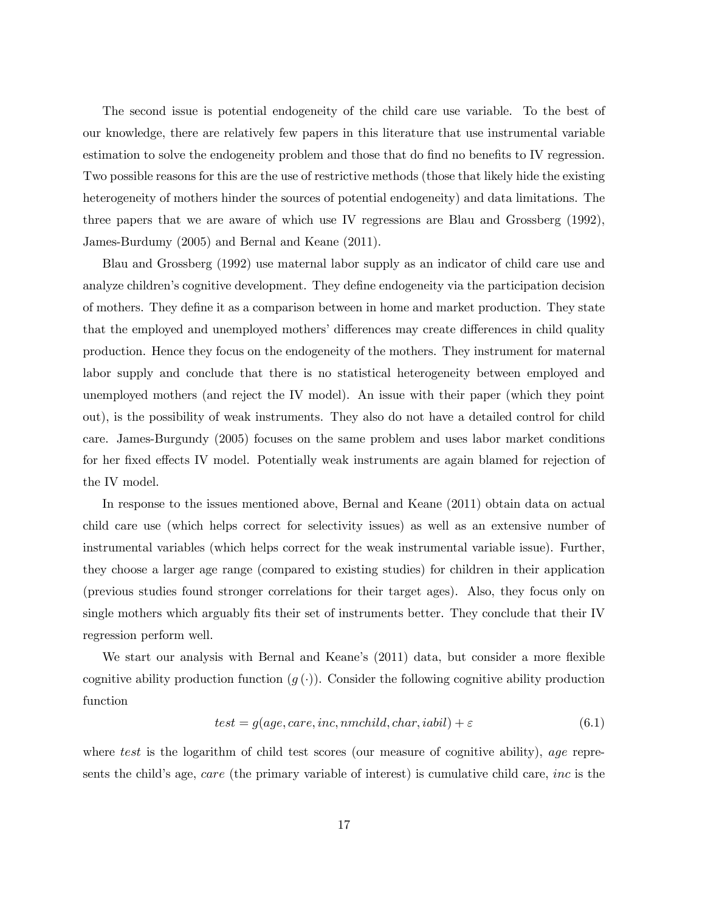The second issue is potential endogeneity of the child care use variable. To the best of our knowledge, there are relatively few papers in this literature that use instrumental variable estimation to solve the endogeneity problem and those that do find no benefits to IV regression. Two possible reasons for this are the use of restrictive methods (those that likely hide the existing heterogeneity of mothers hinder the sources of potential endogeneity) and data limitations. The three papers that we are aware of which use IV regressions are Blau and Grossberg (1992), James-Burdumy (2005) and Bernal and Keane (2011).

Blau and Grossberg (1992) use maternal labor supply as an indicator of child care use and analyze children's cognitive development. They define endogeneity via the participation decision of mothers. They define it as a comparison between in home and market production. They state that the employed and unemployed mothers' differences may create differences in child quality production. Hence they focus on the endogeneity of the mothers. They instrument for maternal labor supply and conclude that there is no statistical heterogeneity between employed and unemployed mothers (and reject the IV model). An issue with their paper (which they point out), is the possibility of weak instruments. They also do not have a detailed control for child care. James-Burgundy (2005) focuses on the same problem and uses labor market conditions for her fixed effects IV model. Potentially weak instruments are again blamed for rejection of the IV model.

In response to the issues mentioned above, Bernal and Keane (2011) obtain data on actual child care use (which helps correct for selectivity issues) as well as an extensive number of instrumental variables (which helps correct for the weak instrumental variable issue). Further, they choose a larger age range (compared to existing studies) for children in their application (previous studies found stronger correlations for their target ages). Also, they focus only on single mothers which arguably fits their set of instruments better. They conclude that their IV regression perform well.

We start our analysis with Bernal and Keane's (2011) data, but consider a more flexible cognitive ability production function  $(g(\cdot))$ . Consider the following cognitive ability production function

$$
test = g(age, care, inc, nmchild, char, iabil) + \varepsilon
$$
\n
$$
(6.1)
$$

where test is the logarithm of child test scores (our measure of cognitive ability),  $age$  represents the child's age,  $care$  (the primary variable of interest) is cumulative child care, *inc* is the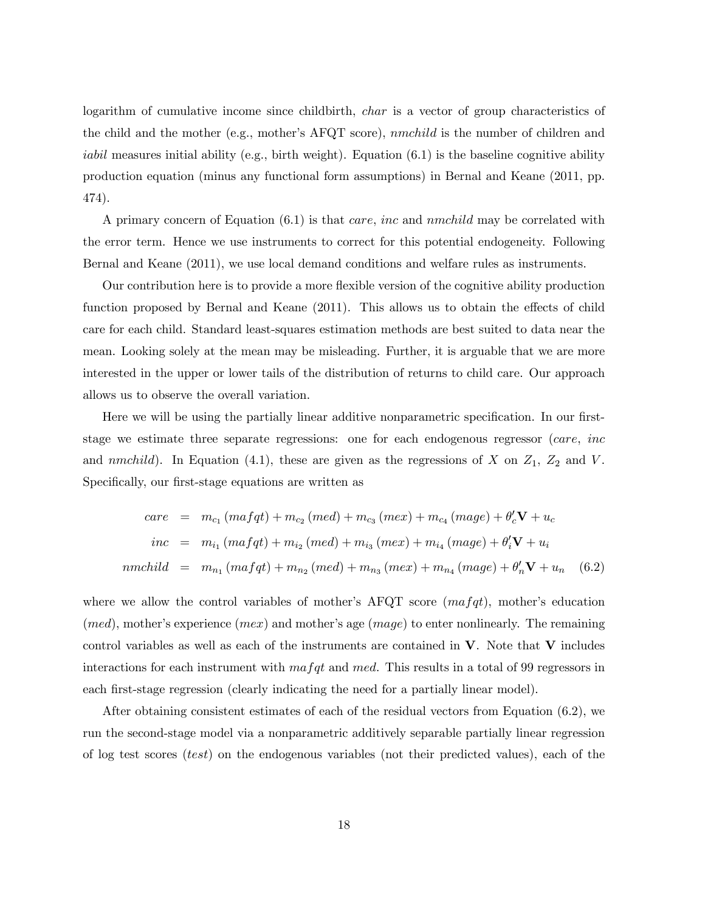logarithm of cumulative income since childbirth,  $char$  is a vector of group characteristics of the child and the mother (e.g., mother's  $AFQT$  score), *nmchild* is the number of children and *iabil* measures initial ability (e.g., birth weight). Equation  $(6.1)$  is the baseline cognitive ability production equation (minus any functional form assumptions) in Bernal and Keane (2011, pp. 474).

A primary concern of Equation  $(6.1)$  is that *care, inc* and *nmchild* may be correlated with the error term. Hence we use instruments to correct for this potential endogeneity. Following Bernal and Keane (2011), we use local demand conditions and welfare rules as instruments.

Our contribution here is to provide a more flexible version of the cognitive ability production function proposed by Bernal and Keane (2011). This allows us to obtain the effects of child care for each child. Standard least-squares estimation methods are best suited to data near the mean. Looking solely at the mean may be misleading. Further, it is arguable that we are more interested in the upper or lower tails of the distribution of returns to child care. Our approach allows us to observe the overall variation.

Here we will be using the partially linear additive nonparametric specification. In our firststage we estimate three separate regressions: one for each endogenous regressor ( $care, inc$ and nmchild). In Equation (4.1), these are given as the regressions of  $X$  on  $Z_1$ ,  $Z_2$  and  $V$ . Specifically, our first-stage equations are written as

$$
care = m_{c_1}(mafqt) + m_{c_2}(med) + m_{c_3}(mex) + m_{c_4}(mage) + \theta_c' \mathbf{V} + u_c
$$
  
\n
$$
inc = m_{i_1}(mafqt) + m_{i_2}(med) + m_{i_3}(mex) + m_{i_4}(mage) + \theta_i' \mathbf{V} + u_i
$$
  
\n
$$
nmchild = m_{n_1}(mafqt) + m_{n_2}(med) + m_{n_3}(mex) + m_{n_4}(mage) + \theta_n' \mathbf{V} + u_n
$$
 (6.2)

where we allow the control variables of mother's AFQT score  $(mafqt)$ , mother's education  $(med)$ , mother's experience  $(mex)$  and mother's age  $(mage)$  to enter nonlinearly. The remaining control variables as well as each of the instruments are contained in  $V$ . Note that  $V$  includes interactions for each instrument with  $mafd$  and  $med$ . This results in a total of 99 regressors in each first-stage regression (clearly indicating the need for a partially linear model).

After obtaining consistent estimates of each of the residual vectors from Equation (6.2), we run the second-stage model via a nonparametric additively separable partially linear regression of log test scores ( $test$ ) on the endogenous variables (not their predicted values), each of the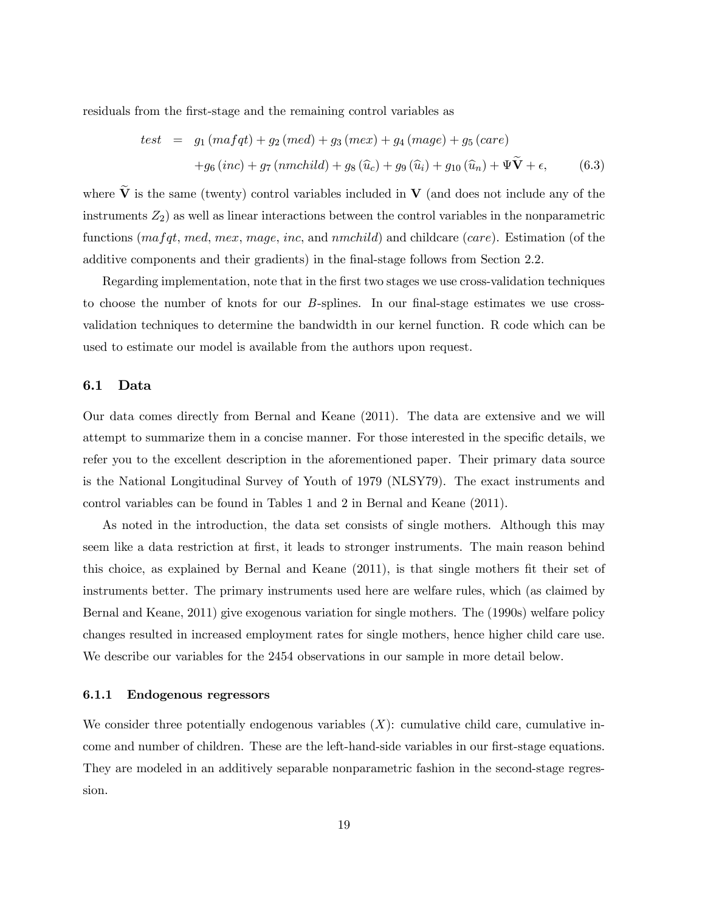residuals from the first-stage and the remaining control variables as

$$
test = g_1(mafqt) + g_2(med) + g_3(mex) + g_4(mage) + g_5(care)
$$
  
+  $g_6(inc) + g_7(mchild) + g_8(\hat{u}_c) + g_9(\hat{u}_i) + g_{10}(\hat{u}_n) + \Psi \tilde{V} + \epsilon,$  (6.3)

where  $\widetilde{\mathbf{V}}$  is the same (twenty) control variables included in **V** (and does not include any of the instruments  $Z_2$ ) as well as linear interactions between the control variables in the nonparametric functions  $(mafqt, med, mex, mage, inc, and nmchild)$  and childcare  $(care)$ . Estimation (of the additive components and their gradients) in the final-stage follows from Section 2.2.

Regarding implementation, note that in the first two stages we use cross-validation techniques to choose the number of knots for our B-splines. In our final-stage estimates we use crossvalidation techniques to determine the bandwidth in our kernel function. R code which can be used to estimate our model is available from the authors upon request.

#### 6.1 Data

Our data comes directly from Bernal and Keane (2011). The data are extensive and we will attempt to summarize them in a concise manner. For those interested in the specific details, we refer you to the excellent description in the aforementioned paper. Their primary data source is the National Longitudinal Survey of Youth of 1979 (NLSY79). The exact instruments and control variables can be found in Tables 1 and 2 in Bernal and Keane (2011).

As noted in the introduction, the data set consists of single mothers. Although this may seem like a data restriction at first, it leads to stronger instruments. The main reason behind this choice, as explained by Bernal and Keane (2011), is that single mothers fit their set of instruments better. The primary instruments used here are welfare rules, which (as claimed by Bernal and Keane, 2011) give exogenous variation for single mothers. The (1990s) welfare policy changes resulted in increased employment rates for single mothers, hence higher child care use. We describe our variables for the 2454 observations in our sample in more detail below.

#### 6.1.1 Endogenous regressors

We consider three potentially endogenous variables  $(X)$ : cumulative child care, cumulative income and number of children. These are the left-hand-side variables in our first-stage equations. They are modeled in an additively separable nonparametric fashion in the second-stage regression.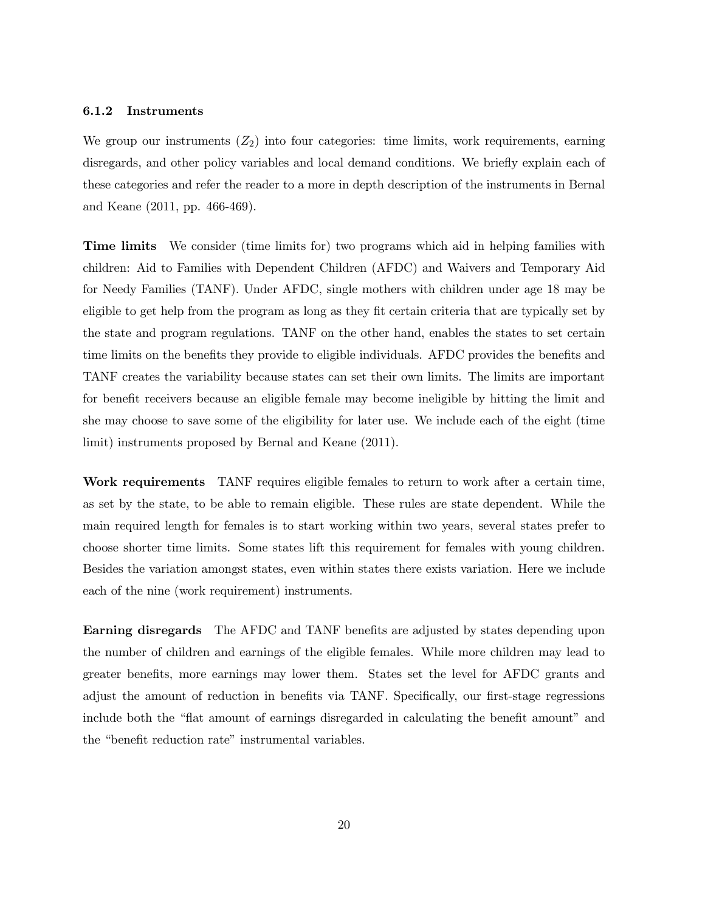#### 6.1.2 Instruments

We group our instruments  $(Z_2)$  into four categories: time limits, work requirements, earning disregards, and other policy variables and local demand conditions. We briefly explain each of these categories and refer the reader to a more in depth description of the instruments in Bernal and Keane (2011, pp. 466-469).

Time limits We consider (time limits for) two programs which aid in helping families with children: Aid to Families with Dependent Children (AFDC) and Waivers and Temporary Aid for Needy Families (TANF). Under AFDC, single mothers with children under age 18 may be eligible to get help from the program as long as they fit certain criteria that are typically set by the state and program regulations. TANF on the other hand, enables the states to set certain time limits on the benefits they provide to eligible individuals. AFDC provides the benefits and TANF creates the variability because states can set their own limits. The limits are important for benefit receivers because an eligible female may become ineligible by hitting the limit and she may choose to save some of the eligibility for later use. We include each of the eight (time limit) instruments proposed by Bernal and Keane (2011).

Work requirements TANF requires eligible females to return to work after a certain time, as set by the state, to be able to remain eligible. These rules are state dependent. While the main required length for females is to start working within two years, several states prefer to choose shorter time limits. Some states lift this requirement for females with young children. Besides the variation amongst states, even within states there exists variation. Here we include each of the nine (work requirement) instruments.

Earning disregards The AFDC and TANF benefits are adjusted by states depending upon the number of children and earnings of the eligible females. While more children may lead to greater benefits, more earnings may lower them. States set the level for AFDC grants and adjust the amount of reduction in benefits via TANF. Specifically, our first-stage regressions include both the "flat amount of earnings disregarded in calculating the benefit amount" and the "benefit reduction rate" instrumental variables.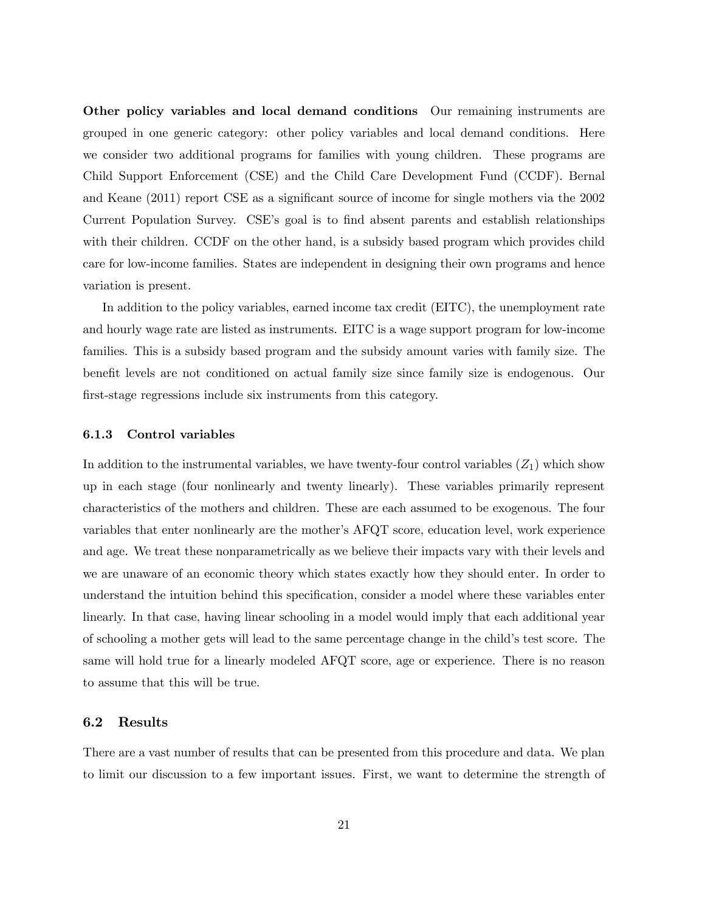Other policy variables and local demand conditions Our remaining instruments are grouped in one generic category: other policy variables and local demand conditions. Here we consider two additional programs for families with young children. These programs are Child Support Enforcement (CSE) and the Child Care Development Fund (CCDF). Bernal and Keane (2011) report CSE as a significant source of income for single mothers via the 2002 Current Population Survey. CSE's goal is to find absent parents and establish relationships with their children. CCDF on the other hand, is a subsidy based program which provides child care for low-income families. States are independent in designing their own programs and hence variation is present.

In addition to the policy variables, earned income tax credit (EITC), the unemployment rate and hourly wage rate are listed as instruments. EITC is a wage support program for low-income families. This is a subsidy based program and the subsidy amount varies with family size. The benefit levels are not conditioned on actual family size since family size is endogenous. Our first-stage regressions include six instruments from this category.

#### 6.1.3 Control variables

In addition to the instrumental variables, we have twenty-four control variables  $(Z_1)$  which show up in each stage (four nonlinearly and twenty linearly). These variables primarily represent characteristics of the mothers and children. These are each assumed to be exogenous. The four variables that enter nonlinearly are the mother's AFQT score, education level, work experience and age. We treat these nonparametrically as we believe their impacts vary with their levels and we are unaware of an economic theory which states exactly how they should enter. In order to understand the intuition behind this specification, consider a model where these variables enter linearly. In that case, having linear schooling in a model would imply that each additional year of schooling a mother gets will lead to the same percentage change in the child's test score. The same will hold true for a linearly modeled AFQT score, age or experience. There is no reason to assume that this will be true.

#### 6.2 Results

There are a vast number of results that can be presented from this procedure and data. We plan to limit our discussion to a few important issues. First, we want to determine the strength of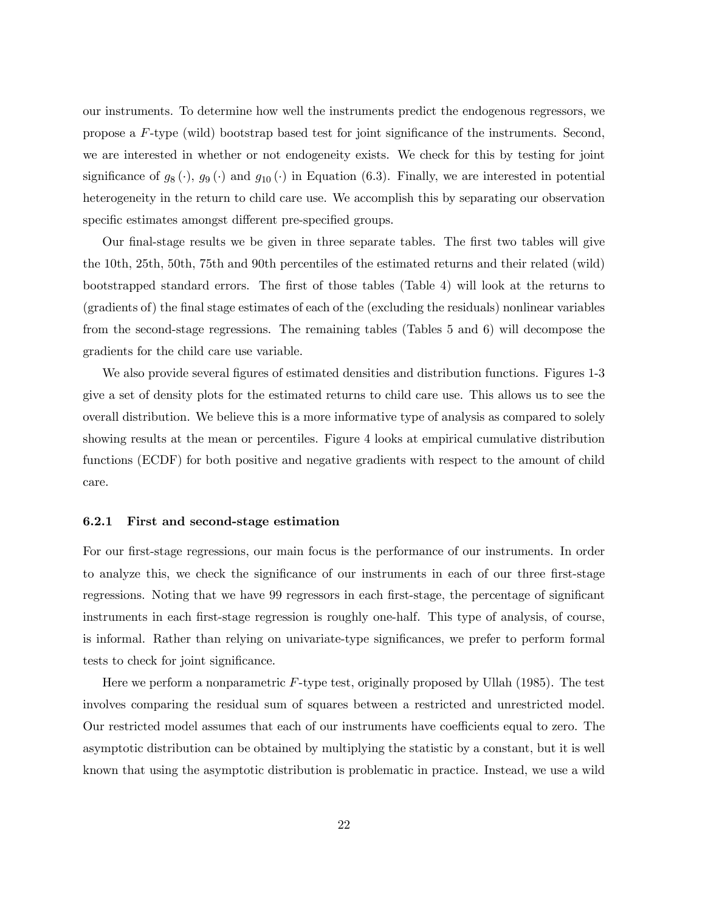our instruments. To determine how well the instruments predict the endogenous regressors, we propose a  $F$ -type (wild) bootstrap based test for joint significance of the instruments. Second, we are interested in whether or not endogeneity exists. We check for this by testing for joint significance of  $g_8(\cdot)$ ,  $g_9(\cdot)$  and  $g_{10}(\cdot)$  in Equation (6.3). Finally, we are interested in potential heterogeneity in the return to child care use. We accomplish this by separating our observation specific estimates amongst different pre-specified groups.

Our final-stage results we be given in three separate tables. The first two tables will give the 10th, 25th, 50th, 75th and 90th percentiles of the estimated returns and their related (wild) bootstrapped standard errors. The first of those tables (Table 4) will look at the returns to (gradients of) the final stage estimates of each of the (excluding the residuals) nonlinear variables from the second-stage regressions. The remaining tables (Tables 5 and 6) will decompose the gradients for the child care use variable.

We also provide several figures of estimated densities and distribution functions. Figures 1-3 give a set of density plots for the estimated returns to child care use. This allows us to see the overall distribution. We believe this is a more informative type of analysis as compared to solely showing results at the mean or percentiles. Figure 4 looks at empirical cumulative distribution functions (ECDF) for both positive and negative gradients with respect to the amount of child care.

#### 6.2.1 First and second-stage estimation

For our first-stage regressions, our main focus is the performance of our instruments. In order to analyze this, we check the significance of our instruments in each of our three first-stage regressions. Noting that we have 99 regressors in each first-stage, the percentage of significant instruments in each first-stage regression is roughly one-half. This type of analysis, of course, is informal. Rather than relying on univariate-type significances, we prefer to perform formal tests to check for joint significance.

Here we perform a nonparametric  $F$ -type test, originally proposed by Ullah (1985). The test involves comparing the residual sum of squares between a restricted and unrestricted model. Our restricted model assumes that each of our instruments have coefficients equal to zero. The asymptotic distribution can be obtained by multiplying the statistic by a constant, but it is well known that using the asymptotic distribution is problematic in practice. Instead, we use a wild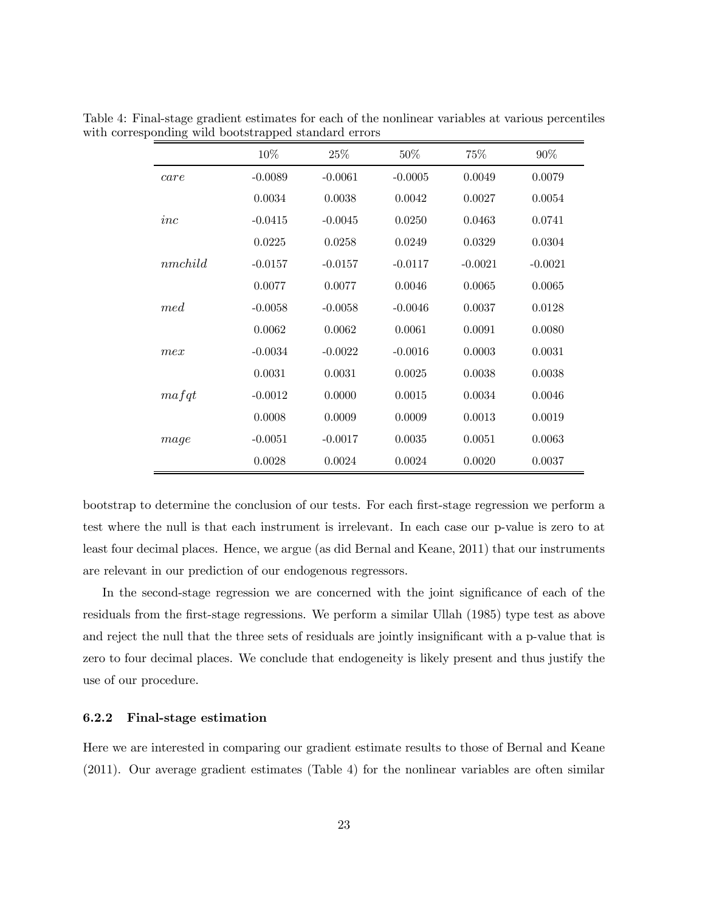|                   | 10%       | 25\%      | 50%       | 75%       | 90%       |
|-------------------|-----------|-----------|-----------|-----------|-----------|
| care              | $-0.0089$ | $-0.0061$ | $-0.0005$ | 0.0049    | 0.0079    |
|                   | 0.0034    | 0.0038    | 0.0042    | 0.0027    | 0.0054    |
| inc               | $-0.0415$ | $-0.0045$ | 0.0250    | 0.0463    | 0.0741    |
|                   | 0.0225    | 0.0258    | 0.0249    | 0.0329    | 0.0304    |
| nmcchild          | $-0.0157$ | $-0.0157$ | $-0.0117$ | $-0.0021$ | $-0.0021$ |
|                   | 0.0077    | 0.0077    | 0.0046    | 0.0065    | 0.0065    |
| med               | $-0.0058$ | $-0.0058$ | $-0.0046$ | 0.0037    | 0.0128    |
|                   | 0.0062    | 0.0062    | 0.0061    | 0.0091    | 0.0080    |
| mex               | $-0.0034$ | $-0.0022$ | $-0.0016$ | 0.0003    | 0.0031    |
|                   | 0.0031    | 0.0031    | 0.0025    | 0.0038    | 0.0038    |
| $\frac{maft}{dt}$ | $-0.0012$ | 0.0000    | 0.0015    | 0.0034    | 0.0046    |
|                   | 0.0008    | 0.0009    | 0.0009    | 0.0013    | 0.0019    |
| mage              | $-0.0051$ | $-0.0017$ | 0.0035    | 0.0051    | 0.0063    |
|                   | 0.0028    | 0.0024    | 0.0024    | 0.0020    | 0.0037    |

Table 4: Final-stage gradient estimates for each of the nonlinear variables at various percentiles with corresponding wild bootstrapped standard errors

bootstrap to determine the conclusion of our tests. For each first-stage regression we perform a test where the null is that each instrument is irrelevant. In each case our p-value is zero to at least four decimal places. Hence, we argue (as did Bernal and Keane, 2011) that our instruments are relevant in our prediction of our endogenous regressors.

In the second-stage regression we are concerned with the joint significance of each of the residuals from the first-stage regressions. We perform a similar Ullah (1985) type test as above and reject the null that the three sets of residuals are jointly insignificant with a p-value that is zero to four decimal places. We conclude that endogeneity is likely present and thus justify the use of our procedure.

#### 6.2.2 Final-stage estimation

Here we are interested in comparing our gradient estimate results to those of Bernal and Keane (2011). Our average gradient estimates (Table 4) for the nonlinear variables are often similar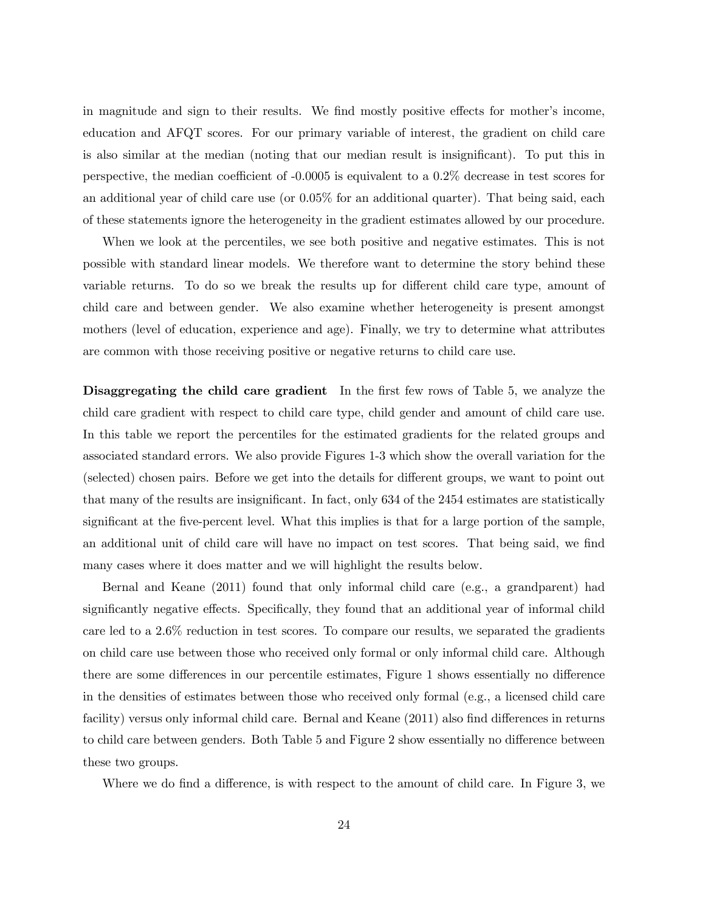in magnitude and sign to their results. We find mostly positive effects for mother's income, education and AFQT scores. For our primary variable of interest, the gradient on child care is also similar at the median (noting that our median result is insignificant). To put this in perspective, the median coefficient of -0.0005 is equivalent to a 0.2% decrease in test scores for an additional year of child care use (or 0.05% for an additional quarter). That being said, each of these statements ignore the heterogeneity in the gradient estimates allowed by our procedure.

When we look at the percentiles, we see both positive and negative estimates. This is not possible with standard linear models. We therefore want to determine the story behind these variable returns. To do so we break the results up for different child care type, amount of child care and between gender. We also examine whether heterogeneity is present amongst mothers (level of education, experience and age). Finally, we try to determine what attributes are common with those receiving positive or negative returns to child care use.

Disaggregating the child care gradient In the first few rows of Table 5, we analyze the child care gradient with respect to child care type, child gender and amount of child care use. In this table we report the percentiles for the estimated gradients for the related groups and associated standard errors. We also provide Figures 1-3 which show the overall variation for the (selected) chosen pairs. Before we get into the details for different groups, we want to point out that many of the results are insignificant. In fact, only 634 of the 2454 estimates are statistically significant at the five-percent level. What this implies is that for a large portion of the sample, an additional unit of child care will have no impact on test scores. That being said, we find many cases where it does matter and we will highlight the results below.

Bernal and Keane (2011) found that only informal child care (e.g., a grandparent) had significantly negative effects. Specifically, they found that an additional year of informal child care led to a 2.6% reduction in test scores. To compare our results, we separated the gradients on child care use between those who received only formal or only informal child care. Although there are some differences in our percentile estimates, Figure 1 shows essentially no difference in the densities of estimates between those who received only formal (e.g., a licensed child care facility) versus only informal child care. Bernal and Keane (2011) also find differences in returns to child care between genders. Both Table 5 and Figure 2 show essentially no difference between these two groups.

Where we do find a difference, is with respect to the amount of child care. In Figure 3, we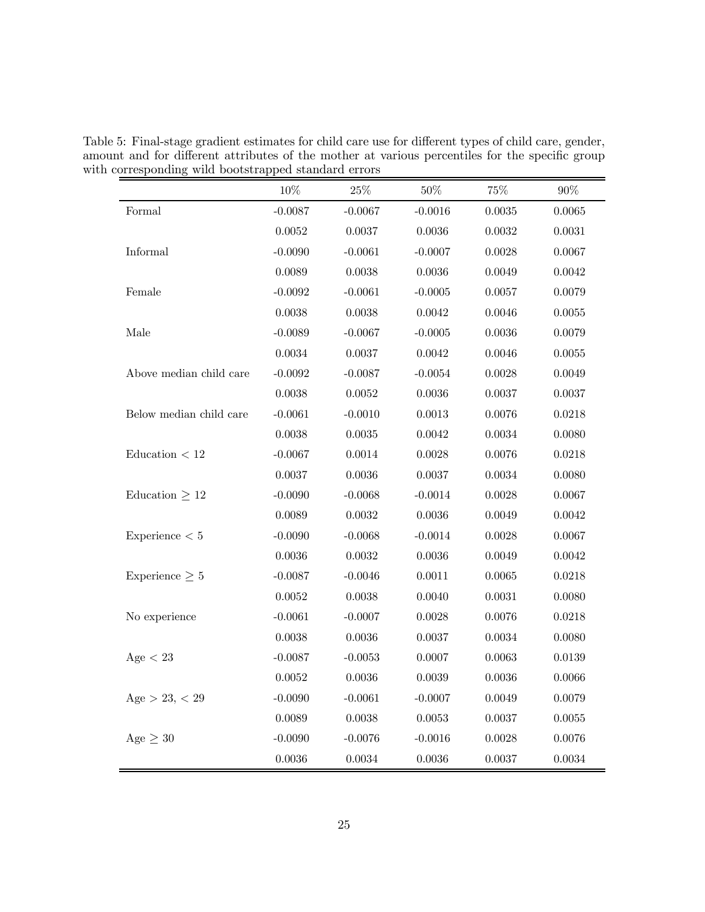|                         | 10%       | $25\%$    | $50\%$    | $75\%$     | $90\%$ |
|-------------------------|-----------|-----------|-----------|------------|--------|
| Formal                  | $-0.0087$ | $-0.0067$ | $-0.0016$ | 0.0035     | 0.0065 |
|                         | 0.0052    | 0.0037    | 0.0036    | 0.0032     | 0.0031 |
| Informal                | $-0.0090$ | $-0.0061$ | $-0.0007$ | 0.0028     | 0.0067 |
|                         | 0.0089    | 0.0038    | 0.0036    | 0.0049     | 0.0042 |
| Female                  | $-0.0092$ | $-0.0061$ | $-0.0005$ | 0.0057     | 0.0079 |
|                         | 0.0038    | 0.0038    | 0.0042    | 0.0046     | 0.0055 |
| Male                    | $-0.0089$ | $-0.0067$ | $-0.0005$ | 0.0036     | 0.0079 |
|                         | 0.0034    | 0.0037    | 0.0042    | 0.0046     | 0.0055 |
| Above median child care | $-0.0092$ | $-0.0087$ | $-0.0054$ | 0.0028     | 0.0049 |
|                         | 0.0038    | 0.0052    | 0.0036    | 0.0037     | 0.0037 |
| Below median child care | $-0.0061$ | $-0.0010$ | 0.0013    | 0.0076     | 0.0218 |
|                         | 0.0038    | 0.0035    | 0.0042    | 0.0034     | 0.0080 |
| Education $< 12$        | $-0.0067$ | 0.0014    | 0.0028    | 0.0076     | 0.0218 |
|                         | 0.0037    | 0.0036    | 0.0037    | 0.0034     | 0.0080 |
| Education $\geq 12$     | $-0.0090$ | $-0.0068$ | $-0.0014$ | 0.0028     | 0.0067 |
|                         | 0.0089    | 0.0032    | 0.0036    | 0.0049     | 0.0042 |
| Experience $< 5$        | $-0.0090$ | $-0.0068$ | $-0.0014$ | 0.0028     | 0.0067 |
|                         | 0.0036    | 0.0032    | 0.0036    | 0.0049     | 0.0042 |
| Experience $\geq 5$     | $-0.0087$ | $-0.0046$ | 0.0011    | $0.0065\,$ | 0.0218 |
|                         | 0.0052    | 0.0038    | 0.0040    | 0.0031     | 0.0080 |
| No experience           | $-0.0061$ | $-0.0007$ | 0.0028    | 0.0076     | 0.0218 |
|                         | 0.0038    | 0.0036    | 0.0037    | 0.0034     | 0.0080 |
| Age $< 23$              | $-0.0087$ | $-0.0053$ | 0.0007    | 0.0063     | 0.0139 |
|                         | 0.0052    | 0.0036    | 0.0039    | 0.0036     | 0.0066 |
| Age $> 23, < 29$        | $-0.0090$ | $-0.0061$ | $-0.0007$ | 0.0049     | 0.0079 |
|                         | 0.0089    | 0.0038    | 0.0053    | 0.0037     | 0.0055 |
| Age $\geq 30$           | $-0.0090$ | $-0.0076$ | $-0.0016$ | 0.0028     | 0.0076 |
|                         | 0.0036    | 0.0034    | 0.0036    | 0.0037     | 0.0034 |

Table 5: Final-stage gradient estimates for child care use for different types of child care, gender, amount and for different attributes of the mother at various percentiles for the specific group with corresponding wild bootstrapped standard errors  $=$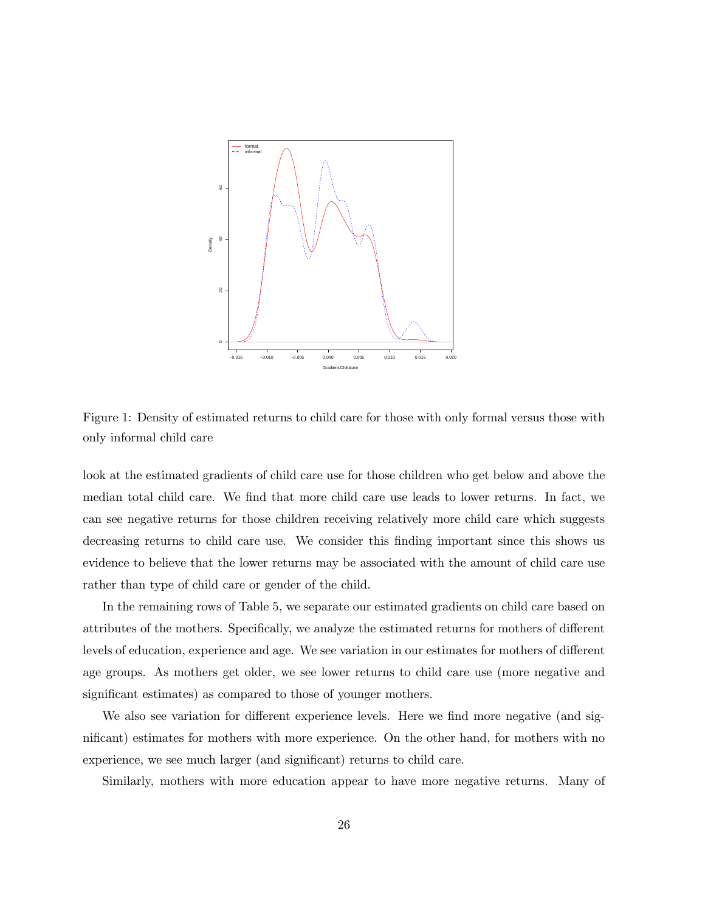

Figure 1: Density of estimated returns to child care for those with only formal versus those with only informal child care

look at the estimated gradients of child care use for those children who get below and above the median total child care. We find that more child care use leads to lower returns. In fact, we can see negative returns for those children receiving relatively more child care which suggests decreasing returns to child care use. We consider this finding important since this shows us evidence to believe that the lower returns may be associated with the amount of child care use rather than type of child care or gender of the child.

In the remaining rows of Table 5, we separate our estimated gradients on child care based on attributes of the mothers. Specifically, we analyze the estimated returns for mothers of different levels of education, experience and age. We see variation in our estimates for mothers of different age groups. As mothers get older, we see lower returns to child care use (more negative and significant estimates) as compared to those of younger mothers.

We also see variation for different experience levels. Here we find more negative (and significant) estimates for mothers with more experience. On the other hand, for mothers with no experience, we see much larger (and significant) returns to child care.

Similarly, mothers with more education appear to have more negative returns. Many of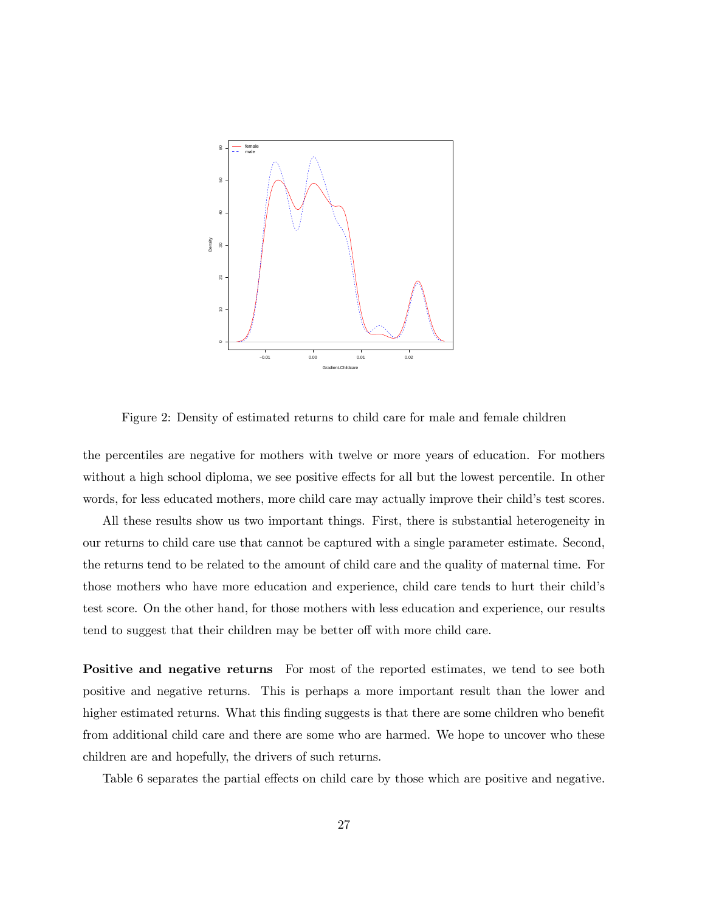

Figure 2: Density of estimated returns to child care for male and female children

the percentiles are negative for mothers with twelve or more years of education. For mothers without a high school diploma, we see positive effects for all but the lowest percentile. In other words, for less educated mothers, more child care may actually improve their child's test scores.

All these results show us two important things. First, there is substantial heterogeneity in our returns to child care use that cannot be captured with a single parameter estimate. Second, the returns tend to be related to the amount of child care and the quality of maternal time. For those mothers who have more education and experience, child care tends to hurt their child's test score. On the other hand, for those mothers with less education and experience, our results tend to suggest that their children may be better off with more child care.

Positive and negative returns For most of the reported estimates, we tend to see both positive and negative returns. This is perhaps a more important result than the lower and higher estimated returns. What this finding suggests is that there are some children who benefit from additional child care and there are some who are harmed. We hope to uncover who these children are and hopefully, the drivers of such returns.

Table 6 separates the partial effects on child care by those which are positive and negative.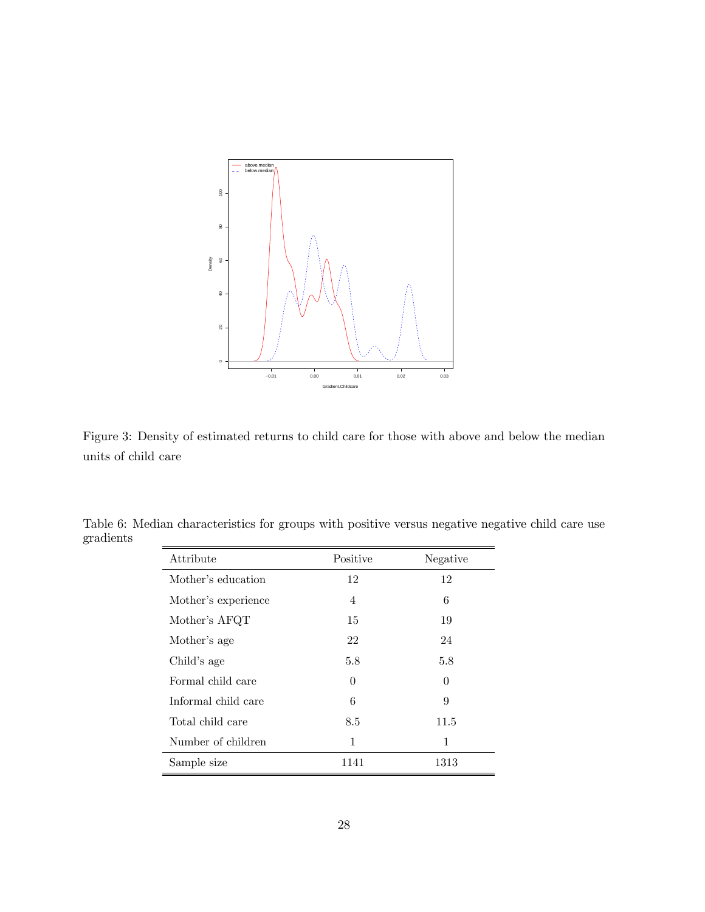

Figure 3: Density of estimated returns to child care for those with above and below the median units of child care

Table 6: Median characteristics for groups with positive versus negative negative child care use gradients

| Attribute           | Positive | Negative |  |
|---------------------|----------|----------|--|
| Mother's education  | 12       | 12       |  |
| Mother's experience | 4        | 6        |  |
| Mother's AFQT       | 15       | 19       |  |
| Mother's age        | 22       | 24       |  |
| Child's age         | 5.8      | 5.8      |  |
| Formal child care   | 0        | 0        |  |
| Informal child care | 6        | 9        |  |
| Total child care    | 8.5      | 11.5     |  |
| Number of children  | 1        | 1        |  |
| Sample size         | 1141     | 1313     |  |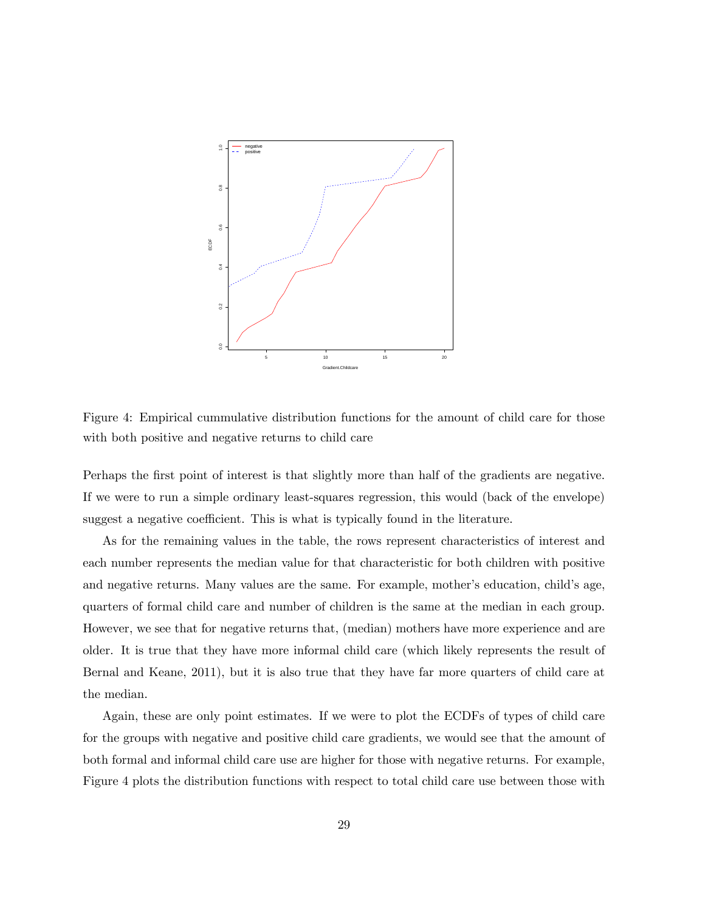

Figure 4: Empirical cummulative distribution functions for the amount of child care for those with both positive and negative returns to child care

Perhaps the first point of interest is that slightly more than half of the gradients are negative. If we were to run a simple ordinary least-squares regression, this would (back of the envelope) suggest a negative coefficient. This is what is typically found in the literature.

As for the remaining values in the table, the rows represent characteristics of interest and each number represents the median value for that characteristic for both children with positive and negative returns. Many values are the same. For example, mother's education, child's age, quarters of formal child care and number of children is the same at the median in each group. However, we see that for negative returns that, (median) mothers have more experience and are older. It is true that they have more informal child care (which likely represents the result of Bernal and Keane, 2011), but it is also true that they have far more quarters of child care at the median.

Again, these are only point estimates. If we were to plot the ECDFs of types of child care for the groups with negative and positive child care gradients, we would see that the amount of both formal and informal child care use are higher for those with negative returns. For example, Figure 4 plots the distribution functions with respect to total child care use between those with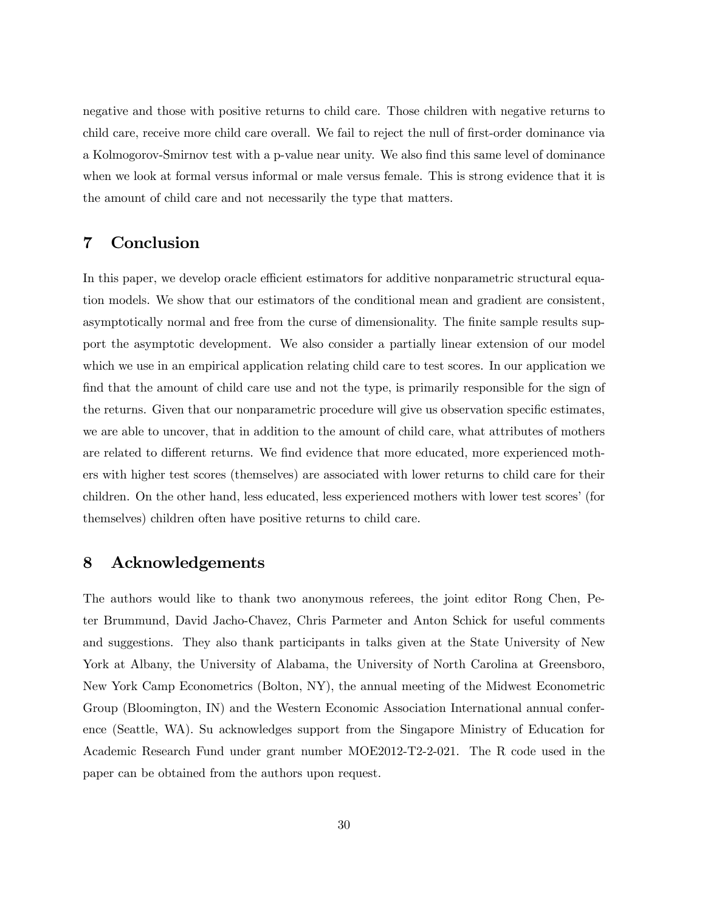negative and those with positive returns to child care. Those children with negative returns to child care, receive more child care overall. We fail to reject the null of first-order dominance via a Kolmogorov-Smirnov test with a p-value near unity. We also find this same level of dominance when we look at formal versus informal or male versus female. This is strong evidence that it is the amount of child care and not necessarily the type that matters.

## 7 Conclusion

In this paper, we develop oracle efficient estimators for additive nonparametric structural equation models. We show that our estimators of the conditional mean and gradient are consistent, asymptotically normal and free from the curse of dimensionality. The finite sample results support the asymptotic development. We also consider a partially linear extension of our model which we use in an empirical application relating child care to test scores. In our application we find that the amount of child care use and not the type, is primarily responsible for the sign of the returns. Given that our nonparametric procedure will give us observation specific estimates, we are able to uncover, that in addition to the amount of child care, what attributes of mothers are related to different returns. We find evidence that more educated, more experienced mothers with higher test scores (themselves) are associated with lower returns to child care for their children. On the other hand, less educated, less experienced mothers with lower test scores' (for themselves) children often have positive returns to child care.

## 8 Acknowledgements

The authors would like to thank two anonymous referees, the joint editor Rong Chen, Peter Brummund, David Jacho-Chavez, Chris Parmeter and Anton Schick for useful comments and suggestions. They also thank participants in talks given at the State University of New York at Albany, the University of Alabama, the University of North Carolina at Greensboro, New York Camp Econometrics (Bolton, NY), the annual meeting of the Midwest Econometric Group (Bloomington, IN) and the Western Economic Association International annual conference (Seattle, WA). Su acknowledges support from the Singapore Ministry of Education for Academic Research Fund under grant number MOE2012-T2-2-021. The R code used in the paper can be obtained from the authors upon request.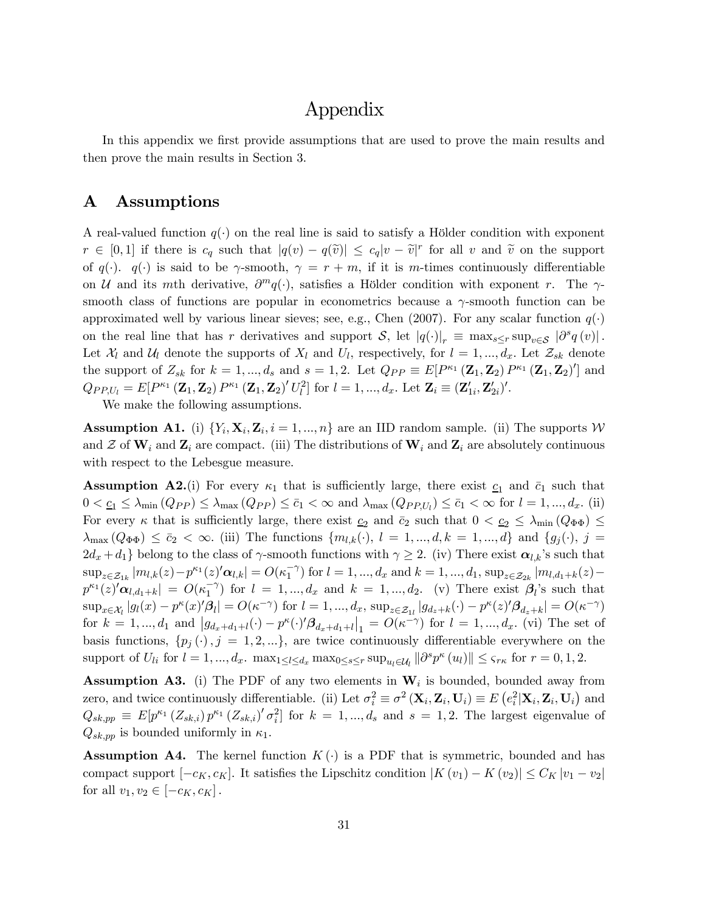## Appendix

In this appendix we first provide assumptions that are used to prove the main results and then prove the main results in Section 3.

### A Assumptions

A real-valued function  $q()$  on the real line is said to satisfy a Hölder condition with exponent  $r \in [0,1]$  if there is  $c_q$  such that  $|q(v) - q(\tilde{v})| \leq c_q |v - \tilde{v}|^r$  for all  $v$  and  $\tilde{v}$  on the support of  $q(\cdot)$ .  $q(\cdot)$  is said to be  $\gamma$ -smooth,  $\gamma = r + m$ , if it is m-times continuously differentiable on U and its mth derivative,  $\partial^m q(\cdot)$ , satisfies a Hölder condition with exponent r. The  $\gamma$ smooth class of functions are popular in econometrics because a  $\gamma$ -smooth function can be approximated well by various linear sieves; see, e.g., Chen (2007). For any scalar function  $q(\cdot)$ on the real line that has r derivatives and support  $S$ , let  $|q(\cdot)|_r \equiv \max_{s \leq r} \sup_{v \in S} |\partial^s q(v)|$ . Let  $\mathcal{X}_l$  and  $\mathcal{U}_l$  denote the supports of  $X_l$  and  $U_l$ , respectively, for  $l = 1, ..., d_x$ . Let  $\mathcal{Z}_{sk}$  denote the support of  $Z_{sk}$  for  $k = 1, ..., d_s$  and  $s = 1, 2$ . Let  $Q_{PP} \equiv E[P^{\kappa_1}(\mathbf{Z}_1, \mathbf{Z}_2) P^{\kappa_1}(\mathbf{Z}_1, \mathbf{Z}_2)']$  and  $Q_{PP,U_l} = E[P^{\kappa_1}(\mathbf{Z}_1, \mathbf{Z}_2) P^{\kappa_1}(\mathbf{Z}_1, \mathbf{Z}_2)' U_l^2]$  for  $l = 1, ..., d_x$ . Let  $\mathbf{Z}_i \equiv (\mathbf{Z}_{1i}', \mathbf{Z}_{2i}')'.$ 

We make the following assumptions.

**Assumption A1.** (i)  $\{Y_i, \mathbf{X}_i, \mathbf{Z}_i, i = 1, ..., n\}$  are an IID random sample. (ii) The supports W and  $\mathcal Z$  of  $\mathbf W_i$  and  $\mathbf Z_i$  are compact. (iii) The distributions of  $\mathbf W_i$  and  $\mathbf Z_i$  are absolutely continuous with respect to the Lebesgue measure.

**Assumption A2.**(i) For every  $\kappa_1$  that is sufficiently large, there exist  $c_1$  and  $\bar{c}_1$  such that  $0 < \underline{c_1} \leq \lambda_{\min}(Q_{PP}) \leq \lambda_{\max}(Q_{PP}) \leq \overline{c_1} < \infty$  and  $\lambda_{\max}(Q_{PP,U_i}) \leq \overline{c_1} < \infty$  for  $l = 1, ..., d_x$ . (ii) For every  $\kappa$  that is sufficiently large, there exist  $c_2$  and  $\bar{c}_2$  such that  $0 < c_2 \leq \lambda_{\min}(Q_{\Phi\Phi}) \leq$  $\lambda_{\max}(Q_{\Phi\Phi}) \leq \bar{c}_2 < \infty$ . (iii) The functions  $\{m_{l,k}(\cdot), l = 1, ..., d, k = 1, ..., d\}$  and  $\{g_i(\cdot), j = 1, ..., d\}$  $2d_x + d_1$  belong to the class of  $\gamma$ -smooth functions with  $\gamma \geq 2$ . (iv) There exist  $\alpha_{l,k}$ 's such that  $\sup_{z \in \mathcal{Z}_{1k}} |m_{l,k}(z) - p^{\kappa_1}(z)' \alpha_{l,k}| = O(\kappa_1^{-\gamma})$  for  $l = 1, ..., d_x$  and  $k = 1, ..., d_1$ ,  $\sup_{z \in \mathcal{Z}_{2k}} |m_{l,d_1+k}(z)$  $p^{\kappa_1}(z)^{\ell} \alpha_{l,d_1+k} = O(\kappa_1^{-\gamma})$  for  $l = 1,...,d_x$  and  $k = 1,...,d_2$ . (v) There exist  $\beta_l$ 's such that  $\sup_{x \in \mathcal{X}_l} |g_l(x) - p^{\kappa}(x)'\beta_l| = O(\kappa^{-\gamma})$  for  $l = 1, ..., d_x$ ,  $\sup_{z \in \mathcal{Z}_{1l}} |g_{d_z + k}(\cdot) - p^{\kappa}(z)'\beta_{d_z + k}| = O(\kappa^{-\gamma})$ for  $k = 1, ..., d_1$  and  $|g_{d_x+d_1+l}(\cdot) - p^{\kappa}(\cdot)|^{2} \theta_{d_x+d_1+l}|_1 = O(\kappa^{-\gamma})$  for  $l = 1, ..., d_x$ . (vi) The set of basis functions,  $\{p_j(\cdot), j = 1, 2, ...\}$ , are twice continuously differentiable everywhere on the support of  $U_{li}$  for  $l = 1, ..., d_x$ .  $\max_{1 \leq l \leq d_x} \max_{0 \leq s \leq r} \sup_{u_l \in \mathcal{U}_l} ||\partial^s p^{\kappa}(u_l)|| \leq \varsigma_{r\kappa}$  for  $r = 0, 1, 2$ .

**Assumption A3.** (i) The PDF of any two elements in  $W_i$  is bounded, bounded away from zero, and twice continuously differentiable. (ii) Let  $\sigma_i^2 \equiv \sigma^2 (\mathbf{X}_i, \mathbf{Z}_i, \mathbf{U}_i) \equiv E\left(e_i^2 | \mathbf{X}_i, \mathbf{Z}_i, \mathbf{U}_i\right)$  and  $Q_{sk,pp} \equiv E[p^{\kappa_1}(Z_{sk,i}) p^{\kappa_1}(Z_{sk,i})' \sigma_i^2]$  for  $k = 1, ..., d_s$  and  $s = 1, 2$ . The largest eigenvalue of  $Q_{sk,pp}$  is bounded uniformly in  $\kappa_1$ .

**Assumption A4.** The kernel function  $K(\cdot)$  is a PDF that is symmetric, bounded and has compact support  $[-c_K, c_K]$ . It satisfies the Lipschitz condition  $|K(v_1) - K(v_2)| \leq C_K |v_1 - v_2|$ for all  $v_1, v_2 \in [-c_K, c_K]$ .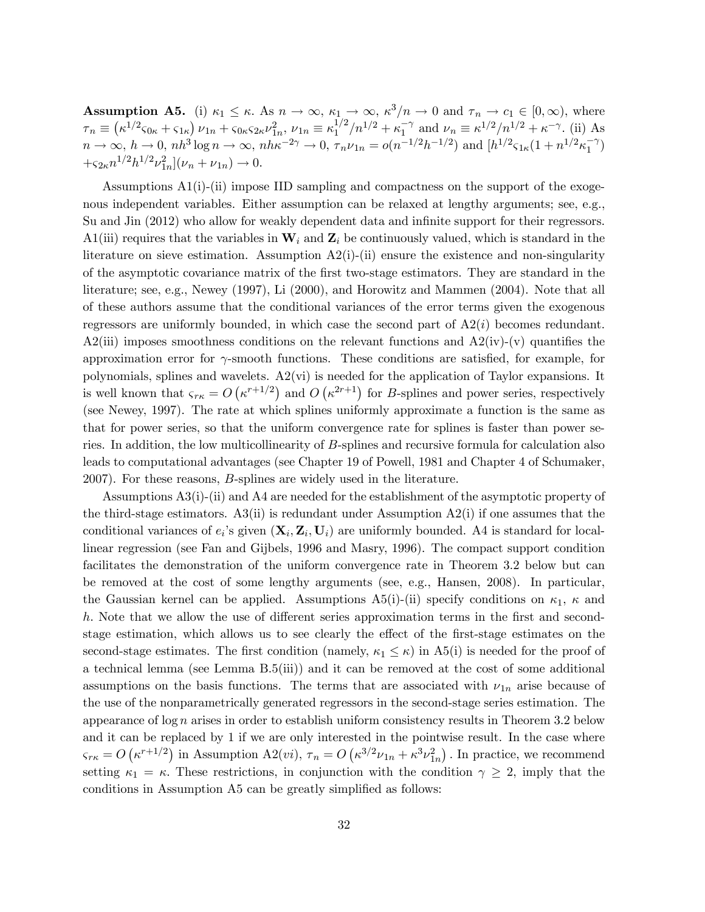**Assumption A5.** (i)  $\kappa_1 \leq \kappa$ . As  $n \to \infty$ ,  $\kappa_1 \to \infty$ ,  $\kappa^3/n \to 0$  and  $\tau_n \to c_1 \in [0,\infty)$ , where  $\tau_n \equiv (\kappa^{1/2} \varsigma_{0\kappa} + \varsigma_{1\kappa}) \nu_{1n} + \varsigma_{0\kappa} \varsigma_{2\kappa} \nu_{1n}^2$ ,  $\nu_{1n} \equiv \kappa_1^{1/2}/n^{1/2} + \kappa_1^{-\gamma}$  and  $\nu_n \equiv \kappa^{1/2}/n^{1/2} + \kappa^{-\gamma}$ . (ii) As  $n \to \infty$ ,  $h \to 0$ ,  $nh^3 \log n \to \infty$ ,  $nh\kappa^{-2\gamma} \to 0$ ,  $\tau_n \nu_{1n} = o(n^{-1/2}h^{-1/2})$  and  $[h^{1/2} \varsigma_{1\kappa}(1 + n^{1/2}\kappa_1^{-\gamma})]$  $+\varsigma_{2\kappa}n^{1/2}h^{1/2}\nu_{1n}^2](\nu_n+\nu_{1n})\to 0.$ 

Assumptions A1(i)-(ii) impose IID sampling and compactness on the support of the exogenous independent variables. Either assumption can be relaxed at lengthy arguments; see, e.g., Su and Jin (2012) who allow for weakly dependent data and infinite support for their regressors. A1(iii) requires that the variables in  $W_i$  and  $Z_i$  be continuously valued, which is standard in the literature on sieve estimation. Assumption  $A2(i)$ -(ii) ensure the existence and non-singularity of the asymptotic covariance matrix of the first two-stage estimators. They are standard in the literature; see, e.g., Newey (1997), Li (2000), and Horowitz and Mammen (2004). Note that all of these authors assume that the conditional variances of the error terms given the exogenous regressors are uniformly bounded, in which case the second part of  $A2(i)$  becomes redundant.  $A2(iii)$  imposes smoothness conditions on the relevant functions and  $A2(iv)$ -(v) quantifies the approximation error for  $\gamma$ -smooth functions. These conditions are satisfied, for example, for polynomials, splines and wavelets. A2(vi) is needed for the application of Taylor expansions. It is well known that  $\varsigma_{r\kappa} = O\left(\kappa^{r+1/2}\right)$  and  $O\left(\kappa^{2r+1}\right)$  for *B*-splines and power series, respectively (see Newey, 1997). The rate at which splines uniformly approximate a function is the same as that for power series, so that the uniform convergence rate for splines is faster than power series. In addition, the low multicollinearity of B-splines and recursive formula for calculation also leads to computational advantages (see Chapter 19 of Powell, 1981 and Chapter 4 of Schumaker,  $2007$ ). For these reasons, B-splines are widely used in the literature.

Assumptions A3(i)-(ii) and A4 are needed for the establishment of the asymptotic property of the third-stage estimators. A3(ii) is redundant under Assumption  $A2(i)$  if one assumes that the conditional variances of  $e_i$ 's given  $(X_i, Z_i, U_i)$  are uniformly bounded. A4 is standard for locallinear regression (see Fan and Gijbels, 1996 and Masry, 1996). The compact support condition facilitates the demonstration of the uniform convergence rate in Theorem 3.2 below but can be removed at the cost of some lengthy arguments (see, e.g., Hansen, 2008). In particular, the Gaussian kernel can be applied. Assumptions A5(i)-(ii) specify conditions on  $\kappa_1$ ,  $\kappa$  and h. Note that we allow the use of different series approximation terms in the first and secondstage estimation, which allows us to see clearly the effect of the first-stage estimates on the second-stage estimates. The first condition (namely,  $\kappa_1 \leq \kappa$ ) in A5(i) is needed for the proof of a technical lemma (see Lemma B.5(iii)) and it can be removed at the cost of some additional assumptions on the basis functions. The terms that are associated with  $\nu_{1n}$  arise because of the use of the nonparametrically generated regressors in the second-stage series estimation. The appearance of  $\log n$  arises in order to establish uniform consistency results in Theorem 3.2 below and it can be replaced by 1 if we are only interested in the pointwise result. In the case where  $\zeta_{r\kappa} = O\left(\kappa^{r+1/2}\right)$  in Assumption A2(*vi*),  $\tau_n = O\left(\kappa^{3/2}\nu_{1n} + \kappa^3\nu_{1n}^2\right)$ . In practice, we recommend setting  $\kappa_1 = \kappa$ . These restrictions, in conjunction with the condition  $\gamma \geq 2$ , imply that the conditions in Assumption A5 can be greatly simplified as follows: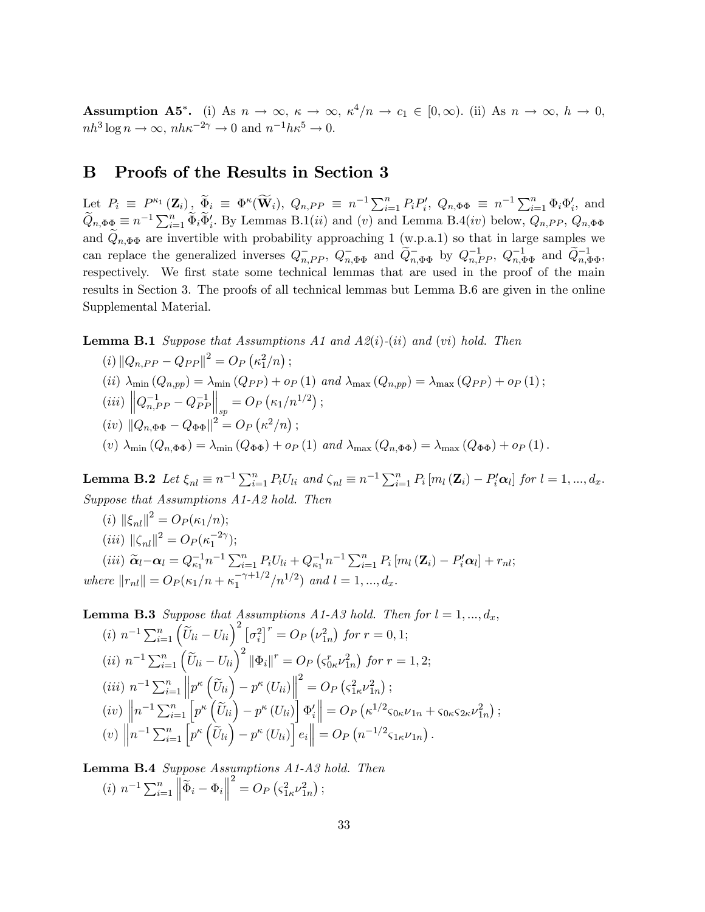Assumption A5<sup>\*</sup>. (i) As  $n \to \infty$ ,  $\kappa \to \infty$ ,  $\kappa^4/n \to c_1 \in [0,\infty)$ . (ii) As  $n \to \infty$ ,  $h \to 0$ ,  $nh^3 \log n \to \infty$ ,  $nh\kappa^{-2\gamma} \to 0$  and  $n^{-1}h\kappa^5 \to 0$ .

## B Proofs of the Results in Section 3

Let  $P_i \equiv P^{\kappa_1}(\mathbf{Z}_i)$ ,  $\widetilde{\Phi}_i \equiv \Phi^{\kappa}(\widetilde{\mathbf{W}}_i)$ ,  $Q_{n,PP} \equiv n^{-1} \sum_{i=1}^n P_i P'_i$ ,  $Q_{n,\Phi\Phi} \equiv n^{-1} \sum_{i=1}^n \Phi_i \Phi'_i$ , and  $\widetilde{Q}_{n,\Phi\Phi} \equiv n^{-1} \sum_{i=1}^{n} \widetilde{\Phi}_i \widetilde{\Phi}'_i$ . By Lemmas B.1(*ii*) and (*v*) and Lemma B.4(*iv*) below,  $Q_{n,PP}, Q_{n,\Phi\Phi}$ and  $\widetilde{Q}_{n,\Phi\Phi}$  are invertible with probability approaching 1 (w.p.a.1) so that in large samples we can replace the generalized inverses  $Q_{n,PP}^-$ ,  $Q_{n,\Phi\Phi}^-$  and  $\widetilde{Q}_{n,\Phi\Phi}^-$  by  $Q_{n,PP}^{-1}$ ,  $Q_{n,\Phi\Phi}^{-1}$  and  $\widetilde{Q}_{n,\Phi\Phi}^{-1}$ , respectively. We first state some technical lemmas that are used in the proof of the main results in Section 3. The proofs of all technical lemmas but Lemma B.6 are given in the online Supplemental Material.

**Lemma B.1** Suppose that Assumptions A1 and  $A2(i)$ -(ii) and (vi) hold. Then

$$
(i) ||Q_{n,PP} - Q_{PP}||^{2} = O_{P} (\kappa_{1}^{2}/n) ;
$$
  
\n
$$
(ii) \lambda_{\min} (Q_{n,pp}) = \lambda_{\min} (Q_{PP}) + o_{P} (1) \text{ and } \lambda_{\max} (Q_{n,pp}) = \lambda_{\max} (Q_{PP}) + o_{P} (1) ;
$$
  
\n
$$
(iii) ||Q_{n,PP}^{-1} - Q_{PP}^{-1}||_{sp} = O_{P} (\kappa_{1}/n^{1/2}) ;
$$
  
\n
$$
(iv) ||Q_{n,\Phi\Phi} - Q_{\Phi\Phi}||^{2} = O_{P} (\kappa^{2}/n) ;
$$
  
\n
$$
(v) \lambda_{\min} (Q_{n,\Phi\Phi}) = \lambda_{\min} (Q_{\Phi\Phi}) + o_{P} (1) \text{ and } \lambda_{\max} (Q_{n,\Phi\Phi}) = \lambda_{\max} (Q_{\Phi\Phi}) + o_{P} (1) .
$$

**Lemma B.2** Let  $\xi_{nl} \equiv n^{-1} \sum_{i=1}^{n} P_i U_{li}$  and  $\zeta_{nl} \equiv n^{-1} \sum_{i=1}^{n} P_i [m_l (\mathbf{Z}_i) - P_i' \alpha_l]$  for  $l = 1, ..., d_x$ . Suppose that Assumptions A1-A2 hold. Then

(i) 
$$
\|\xi_{nl}\|^2 = O_P(\kappa_1/n);
$$
  
\n(iii)  $\|\zeta_{nl}\|^2 = O_P(\kappa_1^{-2\gamma});$   
\n(iii)  $\tilde{\alpha}_l - \alpha_l = Q_{\kappa_1}^{-1} n^{-1} \sum_{i=1}^n P_i U_{li} + Q_{\kappa_1}^{-1} n^{-1} \sum_{i=1}^n P_i [m_l (\mathbf{Z}_i) - P_i' \alpha_l] + r_{nl};$   
\nwhere  $||r_{nl}|| = O_P(\kappa_1/n + \kappa_1^{-\gamma + 1/2}/n^{1/2})$  and  $l = 1, ..., d_x$ .

**Lemma B.3** Suppose that Assumptions A1-A3 hold. Then for 
$$
l = 1, ..., d_x
$$
,  
\n(i)  $n^{-1} \sum_{i=1}^{n} (\tilde{U}_{li} - U_{li})^2 [\sigma_i^2]^r = O_P(\nu_{1n}^2)$  for  $r = 0, 1$ ;  
\n(ii)  $n^{-1} \sum_{i=1}^{n} (\tilde{U}_{li} - U_{li})^2 ||\Phi_i||^r = O_P(\varsigma_{0\kappa}^r \nu_{1n}^2)$  for  $r = 1, 2$ ;  
\n(iii)  $n^{-1} \sum_{i=1}^{n} ||p^{\kappa} (\tilde{U}_{li}) - p^{\kappa} (U_{li})||^2 = O_P(\varsigma_{1\kappa}^2 \nu_{1n}^2)$ ;  
\n(iv)  $||n^{-1} \sum_{i=1}^{n} [p^{\kappa} (\tilde{U}_{li}) - p^{\kappa} (U_{li})] \Phi'_i || = O_P(\kappa^{1/2} \varsigma_{0\kappa} \nu_{1n} + \varsigma_{0\kappa} \varsigma_{2\kappa} \nu_{1n}^2)$ ;  
\n(v)  $||n^{-1} \sum_{i=1}^{n} [p^{\kappa} (\tilde{U}_{li}) - p^{\kappa} (U_{li})] e_i || = O_P(n^{-1/2} \varsigma_{1\kappa} \nu_{1n})$ .

Lemma B.4 Suppose Assumptions A1-A3 hold. Then  $(i)$   $n^{-1} \sum_{i=1}^{n}$  $\left\| \widetilde{\Phi}_i - \Phi_i \right\|$  $^2=O_P\left(\varsigma^2_{1\kappa}\nu^2_{1n}\right);$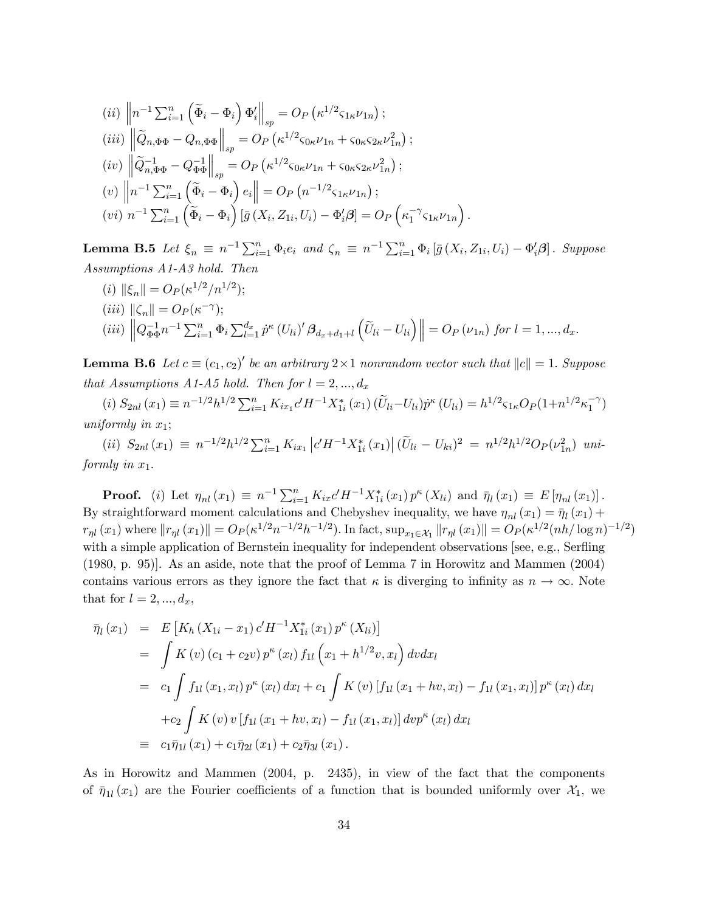$$
(ii) \left\| n^{-1} \sum_{i=1}^{n} \left( \widetilde{\Phi}_{i} - \Phi_{i} \right) \Phi'_{i} \right\|_{sp} = O_{P} \left( \kappa^{1/2} \varsigma_{1\kappa} \nu_{1n} \right);
$$
\n
$$
(iii) \left\| \widetilde{Q}_{n,\Phi\Phi} - Q_{n,\Phi\Phi} \right\|_{sp} = O_{P} \left( \kappa^{1/2} \varsigma_{0\kappa} \nu_{1n} + \varsigma_{0\kappa} \varsigma_{2\kappa} \nu_{1n}^{2} \right);
$$
\n
$$
(iv) \left\| \widetilde{Q}_{n,\Phi\Phi}^{-1} - Q_{\Phi\Phi}^{-1} \right\|_{sp} = O_{P} \left( \kappa^{1/2} \varsigma_{0\kappa} \nu_{1n} + \varsigma_{0\kappa} \varsigma_{2\kappa} \nu_{1n}^{2} \right);
$$
\n
$$
(v) \left\| n^{-1} \sum_{i=1}^{n} \left( \widetilde{\Phi}_{i} - \Phi_{i} \right) e_{i} \right\| = O_{P} \left( n^{-1/2} \varsigma_{1\kappa} \nu_{1n} \right);
$$
\n
$$
(vi) \ n^{-1} \sum_{i=1}^{n} \left( \widetilde{\Phi}_{i} - \Phi_{i} \right) \left[ \overline{g} \left( X_{i}, Z_{1i}, U_{i} \right) - \Phi'_{i} \beta \right] = O_{P} \left( \kappa_{1}^{-\gamma} \varsigma_{1\kappa} \nu_{1n} \right).
$$

**Lemma B.5** Let  $\xi_n \equiv n^{-1} \sum_{i=1}^n \Phi_i e_i$  and  $\zeta_n \equiv n^{-1} \sum_{i=1}^n \Phi_i [\bar{g}(X_i, Z_{1i}, U_i) - \Phi'_i \beta]$ . Suppose Assumptions A1-A3 hold. Then

(i)  $\|\xi_n\| = O_P(\kappa^{1/2}/n^{1/2})$ ; (*iii*)  $\|\zeta_n\| = O_P(\kappa^{-\gamma});$  $(iii)$   $\left\| Q_{\Phi\Phi}^{-1} n^{-1} \sum_{i=1}^{n} \Phi_i \sum_{l=1}^{d_x} p^{\kappa} (U_{li})' \beta_{d_x+d_1+l} (\tilde{U}_{li} - U_{li}) \right\| = O_P(\nu_{1n})$  for  $l = 1, ..., d_x$ .

**Lemma B.6** Let  $c \equiv (c_1, c_2)'$  be an arbitrary  $2 \times 1$  nonrandom vector such that  $||c|| = 1$ . Suppose that Assumptions A1-A5 hold. Then for  $l = 2, ..., d_x$ 

(i)  $S_{2nl}(x_1) \equiv n^{-1/2}h^{1/2}\sum_{i=1}^n K_{ix_1}c'H^{-1}X_{1i}^*(x_1)(\widetilde{U}_{li}-U_{li})p^{\kappa}(U_{li}) = h^{1/2}\varsigma_{1\kappa}O_P(1+n^{1/2}\kappa_1^{-\gamma})$ uniformly in  $x_1$ ;

 $(ii)$   $S_{2nl}(x_1) \equiv n^{-1/2}h^{1/2}\sum_{i=1}^n K_{ix_1} |c'H^{-1}X_{1i}^*(x_1)| (\widetilde{U}_{li} - U_{ki})^2 = n^{1/2}h^{1/2}O_P(\nu_{1n}^2)$  uniformly in  $x_1$ .

**Proof.** (i) Let  $\eta_{nl}(x_1) \equiv n^{-1} \sum_{i=1}^n K_{ix} c' H^{-1} X_{1i}^*(x_1) p^{\kappa}(X_{li})$  and  $\bar{\eta}_l(x_1) \equiv E[\eta_{nl}(x_1)]$ . By straightforward moment calculations and Chebyshev inequality, we have  $\eta_{nl}(x_1) = \bar{\eta}_l(x_1) +$  $r_{\eta l}(x_1)$  where  $||r_{\eta l}(x_1)|| = O_P(\kappa^{1/2}n^{-1/2}h^{-1/2})$ . In fact,  $\sup_{x_1 \in \mathcal{X}_1} ||r_{\eta l}(x_1)|| = O_P(\kappa^{1/2}(nh/\log n)^{-1/2})$ with a simple application of Bernstein inequality for independent observations [see, e.g., Serfling (1980, p. 95)]. As an aside, note that the proof of Lemma 7 in Horowitz and Mammen (2004) contains various errors as they ignore the fact that  $\kappa$  is diverging to infinity as  $n \to \infty$ . Note that for  $l = 2, ..., d_x$ ,

$$
\bar{\eta}_l(x_1) = E\left[K_h(X_{1i} - x_1) c'H^{-1}X_{1i}^*(x_1) p^{\kappa}(X_{li})\right]
$$
\n
$$
= \int K(v) (c_1 + c_2v) p^{\kappa}(x_l) f_{1l}(x_1 + h^{1/2}v, x_l) dv dx_l
$$
\n
$$
= c_1 \int f_{1l}(x_1, x_l) p^{\kappa}(x_l) dx_l + c_1 \int K(v) [f_{1l}(x_1 + hv, x_l) - f_{1l}(x_1, x_l)] p^{\kappa}(x_l) dx_l
$$
\n
$$
+ c_2 \int K(v) v [f_{1l}(x_1 + hv, x_l) - f_{1l}(x_1, x_l)] dv p^{\kappa}(x_l) dx_l
$$
\n
$$
= c_1 \bar{\eta}_{1l}(x_1) + c_1 \bar{\eta}_{2l}(x_1) + c_2 \bar{\eta}_{3l}(x_1).
$$

As in Horowitz and Mammen (2004, p. 2435), in view of the fact that the components of  $\bar{\eta}_{1l}(x_1)$  are the Fourier coefficients of a function that is bounded uniformly over  $\mathcal{X}_1$ , we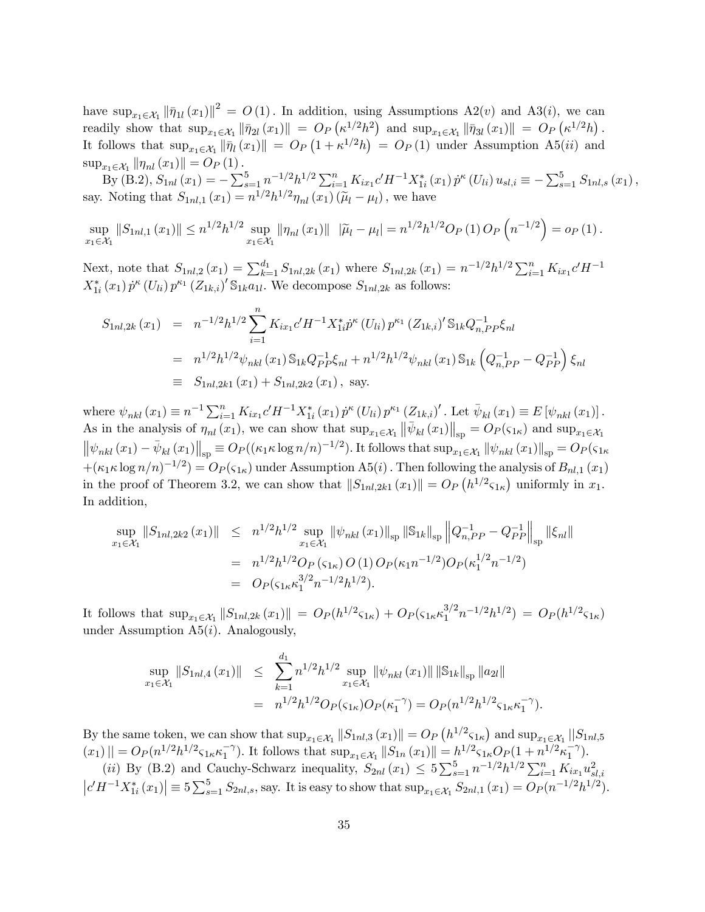have  $\sup_{x_1 \in \mathcal{X}_1} ||\bar{\eta}_{1l}(x_1)||^2 = O(1)$ . In addition, using Assumptions A2(v) and A3(i), we can readily show that  $\sup_{x_1 \in \mathcal{X}_1} \|\bar{\eta}_{2l}(x_1)\| = O_P\left(\kappa^{1/2}h^2\right)$  and  $\sup_{x_1 \in \mathcal{X}_1} \|\bar{\eta}_{3l}(x_1)\| = O_P\left(\kappa^{1/2}h\right)$ . It follows that  $\sup_{x_1 \in \mathcal{X}_1} \|\bar{\eta}_l(x_1)\| = O_P(1 + \kappa^{1/2}h) = O_P(1)$  under Assumption A5(*ii*) and  $\sup_{x_1 \in \mathcal{X}_1} || \eta_{nl}(x_1)|| = O_P(1)$ .

 $\text{By (B.2)}, S_{1nl}(x_1) = -\sum_{s=1}^{5} n^{-1/2} h^{1/2} \sum_{i=1}^{n} K_{ix_1} c' H^{-1} X_{1i}^*(x_1) \, \dot{p}^{\kappa}(U_{li}) \, u_{sl,i} \equiv -\sum_{s=1}^{5} S_{1nl,s}(x_1) \,,$ say. Noting that  $S_{1nl,1} (x_1) = n^{1/2} h^{1/2} \eta_{nl} (x_1) (\tilde{\mu}_l - \mu_l)$ , we have

sup  $\sup_{x_1 \in \mathcal{X}_1} ||S_{1nl,1}(x_1)|| \leq n^{1/2} h^{1/2} \sup_{x_1 \in \mathcal{X}_1} ||\eta_{nl}(x_1)|| ||\tilde{\mu}_l - \mu_l| = n^{1/2} h^{1/2} O_P(1) O_P(n^{-1/2}) = o_P(1).$ 

Next, note that  $S_{1nl,2}(x_1) = \sum_{k=1}^{d_1} S_{1nl,2k}(x_1)$  where  $S_{1nl,2k}(x_1) = n^{-1/2}h^{1/2}\sum_{i=1}^{n} K_{ix_1}c'H^{-1}$  $X_{1i}^*(x_1) p^{\kappa_1}(U_{li}) p^{\kappa_1}(Z_{1k,i})' \mathbb{S}_{1k} a_{1l}$ . We decompose  $S_{1nl,2k}$  as follows:

$$
S_{1nl,2k}(x_1) = n^{-1/2}h^{1/2}\sum_{i=1}^n K_{ix_1}c'H^{-1}X_{1i}^*\dot{p}^{\kappa}(U_{li})p^{\kappa_1}(Z_{1k,i})' \mathbb{S}_{1k}Q_{n,PP}^{-1}\xi_{nl}
$$
  
\n
$$
= n^{1/2}h^{1/2}\psi_{nkl}(x_1)\mathbb{S}_{1k}Q_{PP}^{-1}\xi_{nl} + n^{1/2}h^{1/2}\psi_{nkl}(x_1)\mathbb{S}_{1k}\left(Q_{n,PP}^{-1} - Q_{PP}^{-1}\right)\xi_{nl}
$$
  
\n
$$
\equiv S_{1nl,2k1}(x_1) + S_{1nl,2k2}(x_1), \text{ say.}
$$

where  $\psi_{nkl}(x_1) \equiv n^{-1} \sum_{i=1}^n K_{ix_1} c' H^{-1} X_{1i}^*(x_1) p^{\kappa} (U_{li}) p^{\kappa_1} (Z_{1k,i})'$ . Let  $\bar{\psi}_{kl}(x_1) \equiv E[\psi_{nkl}(x_1)]$ . As in the analysis of  $\eta_{nl}(x_1)$ , we can show that  $\sup_{x_1 \in \mathcal{X}_1} ||\bar{\psi}_{kl}(x_1)||_{\text{sp}} = O_P(\varsigma_{1\kappa})$  and  $\sup_{x_1 \in \mathcal{X}_1} ||\psi_{\omega_{1l}}(x_1) - \bar{\psi}_{\omega_{1l}}(x_1)|| = O_P(\varsigma_{1\kappa} \log n/n)^{-1/2}$ . It follows that  $\sup_{x \in \mathcal{X}} ||\psi_{\omega_{1l}}(x_$  $\|\psi_{nkl}(x_1) - \bar{\psi}_{kl}(x_1)\|_{\text{sp}} \equiv O_P((\kappa_1 \kappa \log n/n)^{-1/2})$ . It follows that  $\sup_{x_1 \in \mathcal{X}_1} \|\psi_{nkl}(x_1)\|_{\text{sp}} = O_P(\varsigma_{1\kappa})$  $+(\kappa_1 \kappa \log n/n)^{-1/2}$  =  $O_P(\varsigma_{1\kappa})$  under Assumption A5(i). Then following the analysis of  $B_{nl,1}(x_1)$ in the proof of Theorem 3.2, we can show that  $||S_{1nl,2k1}(x_1)|| = O_P(h^{1/2} \varsigma_{1\kappa})$  uniformly in  $x_1$ . In addition,

$$
\sup_{x_1 \in \mathcal{X}_1} \|S_{1nl,2k2}(x_1)\| \leq n^{1/2} h^{1/2} \sup_{x_1 \in \mathcal{X}_1} \|\psi_{nkl}(x_1)\|_{\text{sp}} \|\mathbb{S}_{1k}\|_{\text{sp}} \left\|Q_{n,PP}^{-1} - Q_{PP}^{-1}\right\|_{\text{sp}} \|\xi_{nl}\|
$$

$$
= n^{1/2} h^{1/2} O_P(\varsigma_{1\kappa}) O(1) O_P(\kappa_1 n^{-1/2}) O_P(\kappa_1^{1/2} n^{-1/2})
$$

$$
= O_P(\varsigma_{1\kappa} \kappa_1^{3/2} n^{-1/2} h^{1/2}).
$$

It follows that  $\sup_{x_1 \in \mathcal{X}_1} ||S_{1nl,2k}(x_1)|| = O_P(h^{1/2} \varsigma_{1\kappa}) + O_P(\varsigma_{1\kappa} \kappa_1^{3/2} n^{-1/2} h^{1/2}) = O_P(h^{1/2} \varsigma_{1\kappa})$ under Assumption  $A5(i)$ . Analogously,

$$
\sup_{x_1 \in \mathcal{X}_1} \|S_{1nl,4}(x_1)\| \leq \sum_{k=1}^{d_1} n^{1/2} h^{1/2} \sup_{x_1 \in \mathcal{X}_1} \|\psi_{nkl}(x_1)\| \|\mathbb{S}_{1k}\|_{\mathrm{sp}} \|a_{2l}\|
$$
  
= 
$$
n^{1/2} h^{1/2} O_P(\varsigma_{1\kappa}) O_P(\kappa_1^{-\gamma}) = O_P(n^{1/2} h^{1/2} \varsigma_{1\kappa} \kappa_1^{-\gamma}).
$$

By the same token, we can show that  $\sup_{x_1 \in \mathcal{X}_1} ||S_{1nl,3}(x_1)|| = O_P(h^{1/2} \varsigma_{1\kappa})$  and  $\sup_{x_1 \in \mathcal{X}_1} ||S_{1nl,5}|$  $\|f(x_1)\| = O_P(n^{1/2}h^{1/2}\varsigma_{1\kappa}\kappa_1^{-\gamma}).$  It follows that  $\sup_{x_1 \in \mathcal{X}_1} \|S_{1n}(x_1)\| = h^{1/2}\varsigma_{1\kappa}O_P(1+n^{1/2}\kappa_1^{-\gamma}).$ 

(*ii*) By (B.2) and Cauchy-Schwarz inequality,  $S_{2nl}(x_1) \leq 5 \sum_{s=1}^{5} n^{-1/2} h^{1/2} \sum_{i=1}^{n} K_{ix_1} u_{sl,i}^2$  $|c'H^{-1}X_{1i}^*(x_1)| \equiv 5\sum_{s=1}^5 S_{2nl,s}$ , say. It is easy to show that  $\sup_{x_1 \in \mathcal{X}_1} S_{2nl,1}(x_1) = O_P(n^{-1/2}h^{1/2}).$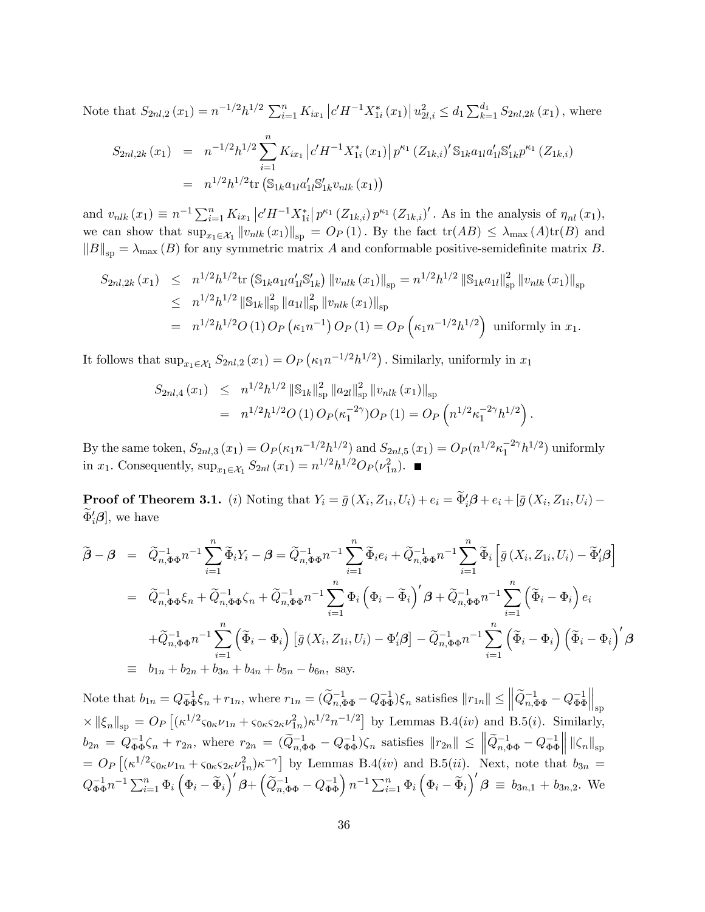Note that  $S_{2nl,2}(x_1) = n^{-1/2}h^{1/2} \sum_{i=1}^n K_{ix_1} |c'H^{-1}X_{1i}^*(x_1)| u_{2l,i}^2 \leq d_1 \sum_{k=1}^{d_1} S_{2nl,2k}(x_1)$ , where

$$
S_{2nl,2k}(x_1) = n^{-1/2}h^{1/2}\sum_{i=1}^n K_{ix_1} |c'H^{-1}X_{1i}^*(x_1)| p^{\kappa_1} (Z_{1k,i})' \mathbb{S}_{1k}a_{1l}a'_{1l}\mathbb{S}'_{1k} p^{\kappa_1} (Z_{1k,i})
$$
  
=  $n^{1/2}h^{1/2}\text{tr} (\mathbb{S}_{1k}a_{1l}a'_{1l}\mathbb{S}'_{1k}v_{nlk}(x_1))$ 

and  $v_{nlk}(x_1) \equiv n^{-1} \sum_{i=1}^n K_{ix_1} |c'H^{-1}X_{1i}^*| p^{\kappa_1}(Z_{1k,i}) p^{\kappa_1}(Z_{1k,i})'$ . As in the analysis of  $\eta_{nl}(x_1)$ , we can show that  $\sup_{x_1 \in \mathcal{X}_1} ||v_{nlk}(x_1)||_{\text{sp}} = O_P(1)$ . By the fact  $\text{tr}(AB) \leq \lambda_{\text{max}}(A)\text{tr}(B)$  and  $||B||_{\text{sp}} = \lambda_{\text{max}} (B)$  for any symmetric matrix A and conformable positive-semidefinite matrix B.

$$
S_{2nl,2k}(x_1) \leq n^{1/2}h^{1/2}\text{tr}\left(\mathbb{S}_{1k}a_{1l}a'_{1l}\mathbb{S}'_{1k}\right) \|v_{nlk}(x_1)\|_{\text{sp}} = n^{1/2}h^{1/2} \left\|\mathbb{S}_{1k}a_{1l}\right\|_{\text{sp}}^2 \|v_{nlk}(x_1)\|_{\text{sp}}
$$
  

$$
\leq n^{1/2}h^{1/2} \left\|\mathbb{S}_{1k}\right\|_{\text{sp}}^2 \|a_{1l}\|_{\text{sp}}^2 \|v_{nlk}(x_1)\|_{\text{sp}}
$$
  

$$
= n^{1/2}h^{1/2}O(1)O_P(\kappa_1 n^{-1}) O_P(1) = O_P\left(\kappa_1 n^{-1/2}h^{1/2}\right) \text{ uniformly in } x_1.
$$

It follows that  $\sup_{x_1 \in \mathcal{X}_1} S_{2nl,2}(x_1) = O_P\left(\kappa_1 n^{-1/2} h^{1/2}\right)$ . Similarly, uniformly in  $x_1$ 

$$
S_{2nl,4}(x_1) \leq n^{1/2} h^{1/2} \|\mathbb{S}_{1k}\|_{\rm sp}^2 \|a_{2l}\|_{\rm sp}^2 \|v_{nlk}(x_1)\|_{\rm sp}
$$
  
=  $n^{1/2} h^{1/2} O(1) O_P(\kappa_1^{-2\gamma}) O_P(1) = O_P\left(n^{1/2} \kappa_1^{-2\gamma} h^{1/2}\right).$ 

By the same token,  $S_{2nl,3}(x_1) = O_P(\kappa_1 n^{-1/2} h^{1/2})$  and  $S_{2nl,5}(x_1) = O_P(n^{1/2} \kappa_1^{-2\gamma} h^{1/2})$  uniformly in  $x_1$ . Consequently,  $\sup_{x_1 \in \mathcal{X}_1} S_{2nl}(x_1) = n^{1/2} h^{1/2} O_P(\nu_{1n}^2)$ .

**Proof of Theorem 3.1.** (i) Noting that  $Y_i = \bar{g}(X_i, Z_{1i}, U_i) + e_i = \Phi'_i \boldsymbol{\beta} + e_i + [\bar{g}(X_i, Z_{1i}, U_i) - \Phi'_i \boldsymbol{\beta}]$  $\Phi_i' \boldsymbol{\beta}$ , we have

$$
\tilde{\boldsymbol{\beta}} - \boldsymbol{\beta} = \tilde{Q}_{n,\Phi}^{-1} \Phi_n^{-1} \sum_{i=1}^n \tilde{\Phi}_i Y_i - \boldsymbol{\beta} = \tilde{Q}_{n,\Phi}^{-1} \Phi_n^{-1} \sum_{i=1}^n \tilde{\Phi}_i e_i + \tilde{Q}_{n,\Phi}^{-1} \Phi_n^{-1} \sum_{i=1}^n \tilde{\Phi}_i \left[ \bar{g} \left( X_i, Z_{1i}, U_i \right) - \tilde{\Phi}'_i \boldsymbol{\beta} \right]
$$
\n
$$
= \tilde{Q}_{n,\Phi}^{-1} \Phi_n + \tilde{Q}_{n,\Phi}^{-1} \Phi_n + \tilde{Q}_{n,\Phi}^{-1} \Phi_n^{-1} \sum_{i=1}^n \Phi_i \left( \Phi_i - \tilde{\Phi}_i \right)' \boldsymbol{\beta} + \tilde{Q}_{n,\Phi}^{-1} \Phi_n^{-1} \sum_{i=1}^n \left( \tilde{\Phi}_i - \Phi_i \right) e_i
$$
\n
$$
+ \tilde{Q}_{n,\Phi}^{-1} \Phi_n^{-1} \sum_{i=1}^n \left( \tilde{\Phi}_i - \Phi_i \right) \left[ \bar{g} \left( X_i, Z_{1i}, U_i \right) - \Phi'_i \boldsymbol{\beta} \right] - \tilde{Q}_{n,\Phi}^{-1} \Phi_n^{-1} \sum_{i=1}^n \left( \tilde{\Phi}_i - \Phi_i \right) \left( \tilde{\Phi}_i - \Phi_i \right)' \boldsymbol{\beta}
$$
\n
$$
\equiv b_{1n} + b_{2n} + b_{3n} + b_{4n} + b_{5n} - b_{6n}, \text{ say.}
$$

Note that  $b_{1n} = Q_{\Phi\Phi}^{-1} \xi_n + r_{1n}$ , where  $r_{1n} = (\tilde{Q}_{n,\Phi\Phi}^{-1} - Q_{\Phi\Phi}^{-1}) \xi_n$  satisfies  $||r_{1n}|| \le ||\tilde{Q}_{n,\Phi\Phi}^{-1} - Q_{\Phi\Phi}^{-1}$  $\Big\|_{\mathrm{sp}}$  $\times \|\xi_n\|_{\text{sp}} = O_P\left[(\kappa^{1/2} \zeta_{0\kappa} \nu_{1n} + \zeta_{0\kappa} \zeta_{2\kappa} \nu_{1n}^2)\kappa^{1/2} n^{-1/2}\right]$  by Lemmas B.4(*iv*) and B.5(*i*). Similarly,  $b_{2n} = Q_{\Phi\Phi}^{-1}\zeta_n + r_{2n}$ , where  $r_{2n} = (\tilde{Q}_{n,\Phi\Phi}^{-1} - Q_{\Phi\Phi}^{-1})\zeta_n$  satisfies  $||r_{2n}|| \le ||\tilde{Q}_{n,\Phi\Phi}^{-1} - Q_{\Phi\Phi}^{-1}||$  $\Big\| \, \|\zeta_n\|_{\rm sp}$  $= O_P \left[ (\kappa^{1/2} \varsigma_{0\kappa} \nu_{1n} + \varsigma_{0\kappa} \varsigma_{2\kappa} \nu_{1n}^2) \kappa^{-\gamma} \right]$  by Lemmas B.4(*iv*) and B.5(*ii*). Next, note that  $b_{3n} =$  $Q_{\Phi\Phi}^{-1}n^{-1}\sum_{i=1}^{n}\Phi_{i}\left(\Phi_{i}-\widetilde{\Phi}_{i}\right)^{\prime}\beta+\left(\widetilde{Q}_{n,\Phi\Phi}^{-1}-Q_{\Phi\Phi}^{-1}\right)n^{-1}\sum_{i=1}^{n}\Phi_{i}\left(\Phi_{i}-\widetilde{\Phi}_{i}\right)^{\prime}\beta \,\equiv\, b_{3n,1}+b_{3n,2}.$  We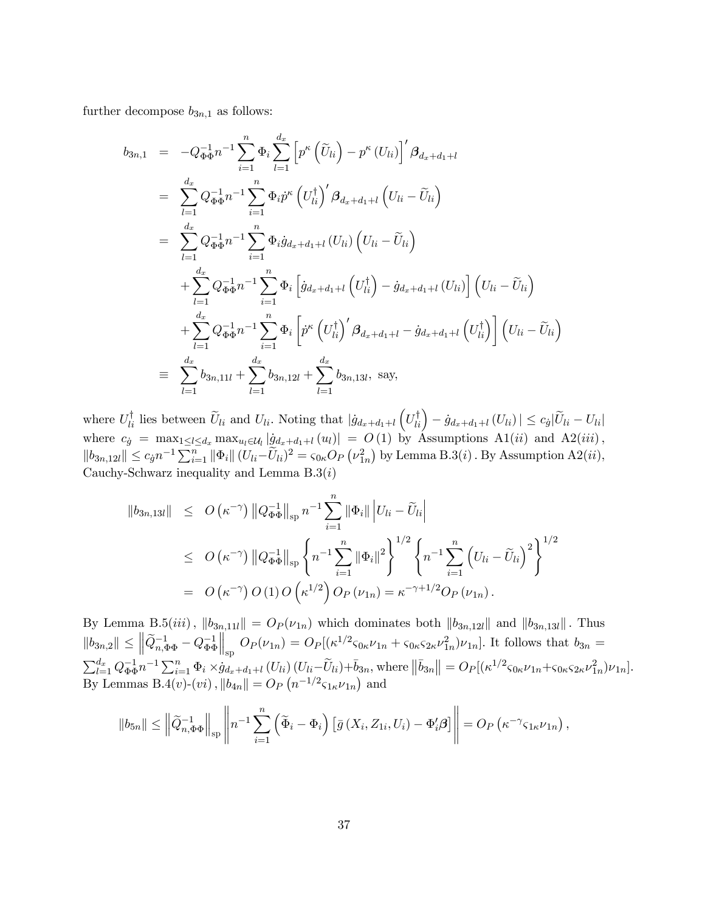further decompose  $b_{3n,1}$  as follows:

$$
b_{3n,1} = -Q_{\Phi\Phi}^{-1} n^{-1} \sum_{i=1}^{n} \Phi_{i} \sum_{l=1}^{d_{x}} \left[ p^{\kappa} \left( \tilde{U}_{li} \right) - p^{\kappa} \left( U_{li} \right) \right]' \beta_{d_{x} + d_{1} + l}
$$
  
\n
$$
= \sum_{l=1}^{d_{x}} Q_{\Phi\Phi}^{-1} n^{-1} \sum_{i=1}^{n} \Phi_{i} \dot{p}^{\kappa} \left( U_{li}^{\dagger} \right)' \beta_{d_{x} + d_{1} + l} \left( U_{li} - \tilde{U}_{li} \right)
$$
  
\n
$$
= \sum_{l=1}^{d_{x}} Q_{\Phi\Phi}^{-1} n^{-1} \sum_{i=1}^{n} \Phi_{i} \dot{g}_{d_{x} + d_{1} + l} \left( U_{li} \right) \left( U_{li} - \tilde{U}_{li} \right)
$$
  
\n
$$
+ \sum_{l=1}^{d_{x}} Q_{\Phi\Phi}^{-1} n^{-1} \sum_{i=1}^{n} \Phi_{i} \left[ \dot{g}_{d_{x} + d_{1} + l} \left( U_{li}^{\dagger} \right) - \dot{g}_{d_{x} + d_{1} + l} \left( U_{li} \right) \right] \left( U_{li} - \tilde{U}_{li} \right)
$$
  
\n
$$
+ \sum_{l=1}^{d_{x}} Q_{\Phi\Phi}^{-1} n^{-1} \sum_{i=1}^{n} \Phi_{i} \left[ \dot{p}^{\kappa} \left( U_{li}^{\dagger} \right)' \beta_{d_{x} + d_{1} + l} - \dot{g}_{d_{x} + d_{1} + l} \left( U_{li}^{\dagger} \right) \right] \left( U_{li} - \tilde{U}_{li} \right)
$$
  
\n
$$
\equiv \sum_{l=1}^{d_{x}} b_{3n,11l} + \sum_{l=1}^{d_{x}} b_{3n,12l} + \sum_{l=1}^{d_{x}} b_{3n,13l}, \text{ say,}
$$

where  $U_{li}^{\dagger}$  lies between  $\widetilde{U}_{li}$  and  $U_{li}$ . Noting that  $|\dot{g}_{d_x+d_1+l}\left(U_{li}^{\dagger}\right) - \dot{g}_{d_x+d_1+l}\left(U_{li}\right)| \leq c_{\dot{g}}|\widetilde{U}_{li} - U_{li}|$ where  $c_{\dot{g}} = \max_{1 \leq l \leq d_x} \max_{u_l \in \mathcal{U}_l} |\dot{g}_{d_x+d_1+l}(u_l)| = O(1)$  by Assumptions  $A1(ii)$  and  $A2(iii)$ ,  $||b_{3n,12l}|| \leq c_{\hat{g}} n^{-1} \sum_{i=1}^n ||\Phi_i|| (U_{li} - \tilde{U}_{li})^2 = s_{0\kappa} O_P(\nu_{1n}^2)$  by Lemma B.3(*i*). By Assumption A2(*ii*), Cauchy-Schwarz inequality and Lemma  $B.3(i)$ 

$$
\|b_{3n,13l}\| \le O\left(\kappa^{-\gamma}\right) \|Q_{\Phi\Phi}^{-1}\|_{\mathrm{sp}} n^{-1} \sum_{i=1}^{n} \|\Phi_i\| |U_{li} - \tilde{U}_{li}|
$$
  
\n
$$
\le O\left(\kappa^{-\gamma}\right) \|Q_{\Phi\Phi}^{-1}\|_{\mathrm{sp}} \left\{ n^{-1} \sum_{i=1}^{n} \|\Phi_i\|^2 \right\}^{1/2} \left\{ n^{-1} \sum_{i=1}^{n} \left(U_{li} - \tilde{U}_{li}\right)^2 \right\}^{1/2}
$$
  
\n
$$
= O\left(\kappa^{-\gamma}\right) O\left(1\right) O\left(\kappa^{1/2}\right) O_P\left(\nu_{1n}\right) = \kappa^{-\gamma + 1/2} O_P\left(\nu_{1n}\right).
$$

By Lemma  $B.5(iii)$ ,  $||b_{3n,11l}|| = O_P(\nu_{1n})$  which dominates both  $||b_{3n,12l}||$  and  $||b_{3n,13l}||$ . Thus  $||b_{3n,2}|| \le \left\|\widetilde{Q}_{n,\Phi\Phi}^{-1} - Q_{\Phi\Phi}^{-1}\right\|$  $\int_{\text{sp}}^{1} O_P(\nu_{1n}) = O_P[(\kappa^{1/2} \varsigma_{0\kappa} \nu_{1n} + \varsigma_{0\kappa} \varsigma_{2\kappa} \nu_{1n}^2) \nu_{1n}]$ . It follows that  $b_{3n} =$  $\sum_{l=1}^{d_x} Q_{\Phi\Phi}^{-1} n^{-1} \sum_{i=1}^n \Phi_i \times g_{d_x+d_1+l} (U_{li}) (U_{li} - \tilde{U}_{li}) + \bar{b}_{3n}$ , where  $\|\bar{b}_{3n}\| = O_P[(\kappa^{1/2} \varsigma_{0\kappa} \nu_{1n} + \varsigma_{0\kappa} \varsigma_{2\kappa} \nu_{1n}^2) \nu_{1n}]$ . By Lemmas B.4(*v*)-(*vi*),  $||b_{4n}|| = O_P(n^{-1/2} \varsigma_{1\kappa} \nu_{1n})$  and

$$
\|b_{5n}\| \le \left\|\widetilde{Q}_{n,\Phi\Phi}^{-1}\right\|_{\mathrm{sp}} \left\|n^{-1}\sum_{i=1}^{n} \left(\widetilde{\Phi}_{i}-\Phi_{i}\right)\left[\bar{g}\left(X_{i},Z_{1i},U_{i}\right)-\Phi_{i}'\beta\right]\right\| = O_{P}\left(\kappa^{-\gamma}\varsigma_{1\kappa}\nu_{1n}\right),
$$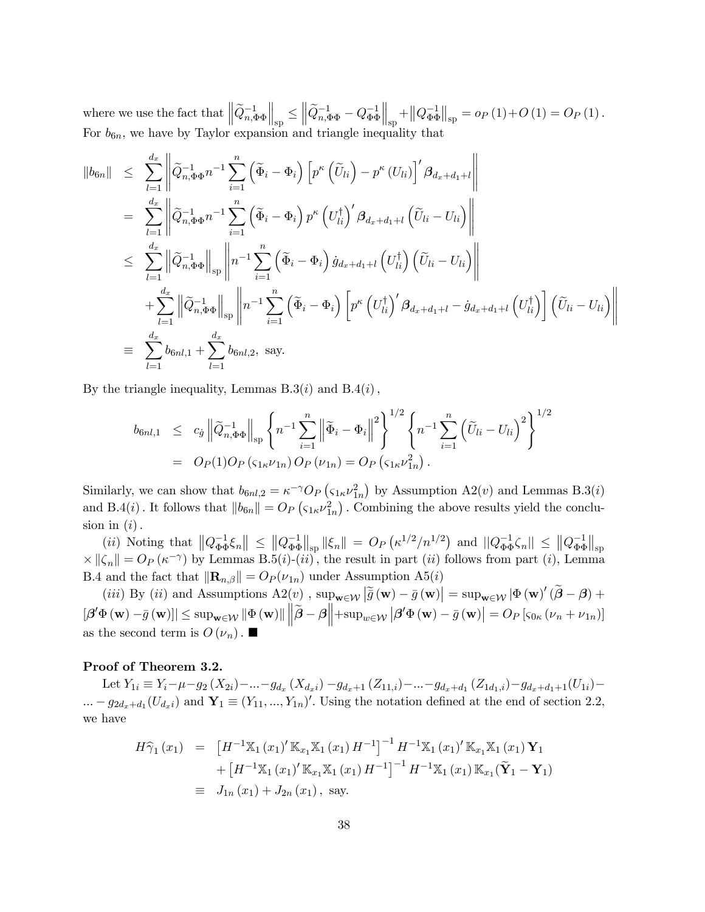where we use the fact that  $\left\|\widetilde{Q}_{n,\Phi\Phi}^{-1}\right\|$  $\Big\|_{\mathrm{sp}} \leq$  $\Big\|\widetilde{Q}_{n,\Phi\Phi}^{-1}-Q_{\Phi\Phi}^{-1}$  $\left\| \_\text{sp}} + \left\| Q_{\Phi \Phi}^{-1} \right\|_{\text{sp}} = o_P\left(1\right) + O\left(1\right) = O_P\left(1\right).$ For  $b_{6n}$ , we have by Taylor expansion and triangle inequality that

$$
\begin{split}\n\|\boldsymbol{b}_{6n}\| &\leq \sum_{l=1}^{d_x} \left\| \widetilde{Q}_{n,\Phi}^{-1} \boldsymbol{v}^{-1} \sum_{i=1}^n \left( \widetilde{\Phi}_i - \Phi_i \right) \left[ p^{\kappa} \left( \widetilde{U}_{li} \right) - p^{\kappa} \left( U_{li} \right) \right]' \boldsymbol{\beta}_{d_x + d_1 + l} \right\| \\
&= \sum_{l=1}^{d_x} \left\| \widetilde{Q}_{n,\Phi}^{-1} \boldsymbol{v}^{-1} \sum_{i=1}^n \left( \widetilde{\Phi}_i - \Phi_i \right) p^{\kappa} \left( U_{li}^{\dagger} \right)' \boldsymbol{\beta}_{d_x + d_1 + l} \left( \widetilde{U}_{li} - U_{li} \right) \right\| \\
&\leq \sum_{l=1}^{d_x} \left\| \widetilde{Q}_{n,\Phi}^{-1} \boldsymbol{\phi} \right\|_{\text{sp}} \left\| n^{-1} \sum_{i=1}^n \left( \widetilde{\Phi}_i - \Phi_i \right) \boldsymbol{g}_{d_x + d_1 + l} \left( U_{li}^{\dagger} \right) \left( \widetilde{U}_{li} - U_{li} \right) \right\| \\
&\quad + \sum_{l=1}^{d_x} \left\| \widetilde{Q}_{n,\Phi}^{-1} \boldsymbol{\phi} \right\|_{\text{sp}} \left\| n^{-1} \sum_{i=1}^n \left( \widetilde{\Phi}_i - \Phi_i \right) \left[ p^{\kappa} \left( U_{li}^{\dagger} \right)' \boldsymbol{\beta}_{d_x + d_1 + l} - \boldsymbol{g}_{d_x + d_1 + l} \left( U_{li}^{\dagger} \right) \right] \left( \widetilde{U}_{li} - U_{li} \right) \right\| \\
&\equiv \sum_{l=1}^{d_x} b_{6nl,1} + \sum_{l=1}^{d_x} b_{6nl,2}, \text{ say.} \n\end{split}
$$

By the triangle inequality, Lemmas  $B.3(i)$  and  $B.4(i)$ ,

$$
b_{6nl,1} \leq c_{\hat{g}} \left\| \widetilde{Q}_{n,\Phi\Phi}^{-1} \right\|_{\text{sp}} \left\{ n^{-1} \sum_{i=1}^{n} \left\| \widetilde{\Phi}_{i} - \Phi_{i} \right\|^{2} \right\}^{1/2} \left\{ n^{-1} \sum_{i=1}^{n} \left( \widetilde{U}_{li} - U_{li} \right)^{2} \right\}^{1/2}
$$
  
=  $O_{P}(1) O_{P} \left( \varsigma_{1\kappa} \nu_{1n} \right) O_{P} \left( \nu_{1n} \right) = O_{P} \left( \varsigma_{1\kappa} \nu_{1n}^{2} \right).$ 

Similarly, we can show that  $b_{6nl,2} = \kappa^{-\gamma} O_P \left( \zeta_{1\kappa} \nu_{1n}^2 \right)$  by Assumption A2(*v*) and Lemmas B.3(*i*) and B.4(*i*). It follows that  $||b_{6n}|| = O_P(\zeta_{1\kappa} \nu_{1n}^2)$ . Combining the above results yield the conclusion in  $(i)$ .

(*ii*) Noting that  $||Q_{\Phi\Phi}^{-1}\xi_n|| \le ||Q_{\Phi\Phi}^{-1}||_{\text{sp}} ||\xi_n|| = O_P\left(\kappa^{1/2}/n^{1/2}\right)$  and  $||Q_{\Phi\Phi}^{-1}\xi_n|| \le ||Q_{\Phi\Phi}^{-1}||_{\text{sp}}$  $x \| \zeta_n \| = O_P(\kappa^{-\gamma})$  by Lemmas B.5(*i*)-(*ii*), the result in part (*ii*) follows from part (*i*), Lemma B.4 and the fact that  $\|\mathbf{R}_{n,\beta}\| = O_P(\nu_{1n})$  under Assumption A5(i)

(*iii*) By (*ii*) and Assumptions  $A2(v)$ ,  $\sup_{w \in \mathcal{W}} |\tilde{\tilde{g}}(w) - \bar{g}(w)| = \sup_{w \in \mathcal{W}} |\Phi(w)'(\tilde{\beta} - \beta) +$  $\|\beta' \Phi(\mathbf{w}) - \bar{g}(\mathbf{w})\| \le \sup_{\mathbf{w} \in \mathcal{W}} \|\Phi(\mathbf{w})\| \|\tilde{\beta} - \beta\| + \sup_{w \in \mathcal{W}} |\beta' \Phi(\mathbf{w}) - \bar{g}(\mathbf{w})| = O_P \left[\zeta_{0\kappa} (\nu_n + \nu_{1n})\right]$ as the second term is  $O(\nu_n)$ .

#### Proof of Theorem 3.2.

Let  $Y_{1i} \equiv Y_i - \mu - g_2(X_{2i}) - \ldots - g_{d_x}(X_{d_xi}) - g_{d_x+1}(Z_{11,i}) - \ldots - g_{d_x+d_1}(Z_{1d_1,i}) - g_{d_x+d_1+1}(U_{1i}) ... - g_{2d_x+d_1}(U_{d_x})$  and  $\mathbf{Y}_1 \equiv (Y_{11},..., Y_{1n})'$ . Using the notation defined at the end of section 2.2, we have

$$
H\hat{\gamma}_1(x_1) = [H^{-1}\mathbb{X}_1(x_1)'\mathbb{K}_{x_1}\mathbb{X}_1(x_1)H^{-1}]^{-1}H^{-1}\mathbb{X}_1(x_1)'\mathbb{K}_{x_1}\mathbb{X}_1(x_1)\mathbf{Y}_1
$$
  
+ 
$$
[H^{-1}\mathbb{X}_1(x_1)'\mathbb{K}_{x_1}\mathbb{X}_1(x_1)H^{-1}]^{-1}H^{-1}\mathbb{X}_1(x_1)\mathbb{K}_{x_1}(\tilde{\mathbf{Y}}_1-\mathbf{Y}_1)
$$
  
 
$$
\equiv J_{1n}(x_1) + J_{2n}(x_1), \text{ say.}
$$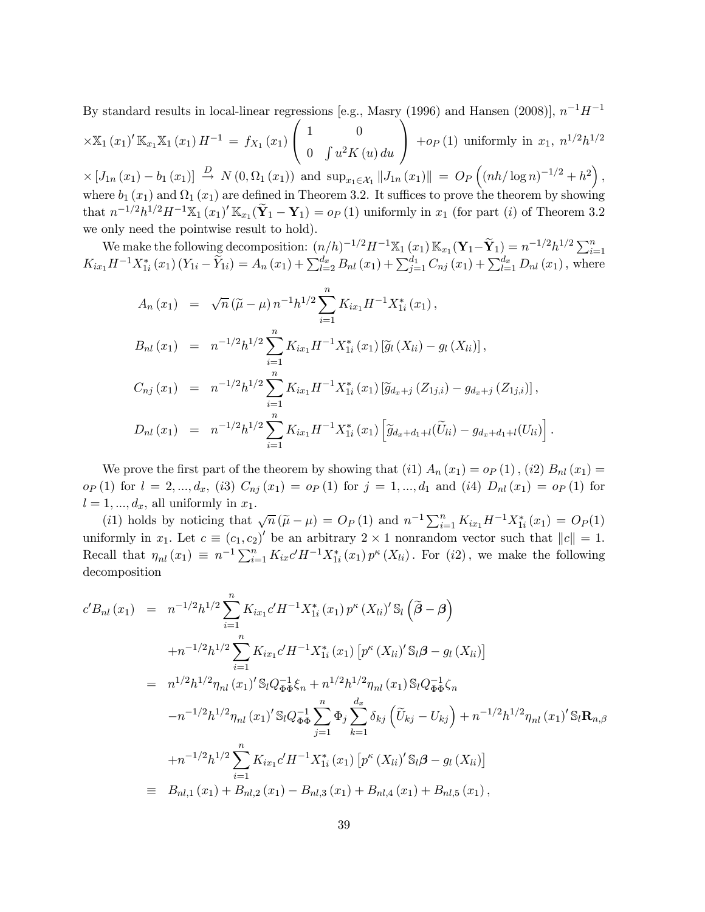By standard results in local-linear regressions [e.g., Masry (1996) and Hansen (2008)],  $n^{-1}H^{-1}$ 

$$
\times \mathbb{X}_1(x_1)' \mathbb{K}_{x_1} \mathbb{X}_1(x_1) H^{-1} = f_{X_1}(x_1) \begin{pmatrix} 1 & 0 \\ 0 & \int u^2 K(u) du \end{pmatrix} + op(1) \text{ uniformly in } x_1, n^{1/2} h^{1/2}
$$

 $\times [J_{1n}(x_1) - b_1(x_1)] \stackrel{D}{\to} N(0, \Omega_1(x_1))$  and  $\sup_{x_1 \in \mathcal{X}_1} ||J_{1n}(x_1)|| = O_P((nh/\log n)^{-1/2} + h^2),$ where  $b_1(x_1)$  and  $\Omega_1(x_1)$  are defined in Theorem 3.2. It suffices to prove the theorem by showing that  $n^{-1/2}h^{1/2}H^{-1}\mathbb{X}_1(x_1)'\mathbb{K}_{x_1}(\tilde{\mathbf{Y}}_1-\mathbf{Y}_1)=o_P(1)$  uniformly in  $x_1$  (for part (i) of Theorem 3.2 we only need the pointwise result to hold).

We make the following decomposition:  $(n/h)^{-1/2}H^{-1}\mathbb{X}_1(x_1)\mathbb{K}_{x_1}(\mathbf{Y}_1-\tilde{\mathbf{Y}}_1) = n^{-1/2}h^{1/2}\sum_{i=1}^n K_{ix_1}H^{-1}X_{1i}^*(x_1)(Y_{1i}-\tilde{Y}_{1i}) = A_n(x_1) + \sum_{l=2}^{d_x} B_{nl}(x_1) + \sum_{j=1}^{d_1} C_{nj}(x_1) + \sum_{l=1}^{d_x} D_{nl}(x_1)$ , where

$$
A_n(x_1) = \sqrt{n} (\tilde{\mu} - \mu) n^{-1} h^{1/2} \sum_{i=1}^n K_{ix_1} H^{-1} X_{1i}^*(x_1),
$$
  
\n
$$
B_{nl}(x_1) = n^{-1/2} h^{1/2} \sum_{i=1}^n K_{ix_1} H^{-1} X_{1i}^*(x_1) [\tilde{g}_l(X_{li}) - g_l(X_{li})],
$$
  
\n
$$
C_{nj}(x_1) = n^{-1/2} h^{1/2} \sum_{i=1}^n K_{ix_1} H^{-1} X_{1i}^*(x_1) [\tilde{g}_{d_x+j}(Z_{1j,i}) - g_{d_x+j}(Z_{1j,i})],
$$
  
\n
$$
D_{nl}(x_1) = n^{-1/2} h^{1/2} \sum_{i=1}^n K_{ix_1} H^{-1} X_{1i}^*(x_1) [\tilde{g}_{d_x+d_1+l}(\tilde{U}_{li}) - g_{d_x+d_1+l}(U_{li})].
$$

We prove the first part of the theorem by showing that (i1)  $A_n(x_1) = o_P(1)$ , (i2)  $B_{nl}(x_1) =$  $o_P(1)$  for  $l = 2, ..., d_x$ , (i3)  $C_{nj}(x_1) = o_P(1)$  for  $j = 1, ..., d_1$  and (i4)  $D_{nl}(x_1) = o_P(1)$  for  $l = 1, ..., d_x$ , all uniformly in  $x_1$ .

(i1) holds by noticing that  $\sqrt{n}(\tilde{\mu} - \mu) = O_P(1)$  and  $n^{-1} \sum_{i=1}^{n} K_{ix_1} H^{-1} X_{1i}^*(x_1) = O_P(1)$ uniformly in  $x_1$ . Let  $c \equiv (c_1, c_2)'$  be an arbitrary  $2 \times 1$  nonrandom vector such that  $||c|| = 1$ . Recall that  $\eta_{nl}(x_1) \equiv n^{-1} \sum_{i=1}^n K_{ix} c' H^{-1} X_{1i}^*(x_1) p^k(X_{li})$ . For  $(i2)$ , we make the following decomposition

$$
c' B_{nl}(x_1) = n^{-1/2} h^{1/2} \sum_{i=1}^n K_{ix_1} c' H^{-1} X_{1i}^*(x_1) p^{\kappa} (X_{li})' \mathbb{S}_l (\tilde{\boldsymbol{\beta}} - \boldsymbol{\beta})
$$
  
+  $n^{-1/2} h^{1/2} \sum_{i=1}^n K_{ix_1} c' H^{-1} X_{1i}^*(x_1) [p^{\kappa} (X_{li})' \mathbb{S}_l \boldsymbol{\beta} - g_l (X_{li})]$   
=  $n^{1/2} h^{1/2} \eta_{nl}(x_1)' \mathbb{S}_l Q_{\Phi \Phi}^{-1} \xi_n + n^{1/2} h^{1/2} \eta_{nl}(x_1) \mathbb{S}_l Q_{\Phi \Phi}^{-1} \zeta_n$   
 $- n^{-1/2} h^{1/2} \eta_{nl}(x_1)' \mathbb{S}_l Q_{\Phi \Phi}^{-1} \sum_{j=1}^n \Phi_j \sum_{k=1}^{d_x} \delta_{kj} (\tilde{U}_{kj} - U_{kj}) + n^{-1/2} h^{1/2} \eta_{nl}(x_1)' \mathbb{S}_l \mathbf{R}_{n,\beta}$   
+  $n^{-1/2} h^{1/2} \sum_{i=1}^n K_{ix_1} c' H^{-1} X_{1i}^*(x_1) [p^{\kappa} (X_{li})' \mathbb{S}_l \boldsymbol{\beta} - g_l (X_{li})]$   
=  $B_{nl,1}(x_1) + B_{nl,2}(x_1) - B_{nl,3}(x_1) + B_{nl,4}(x_1) + B_{nl,5}(x_1),$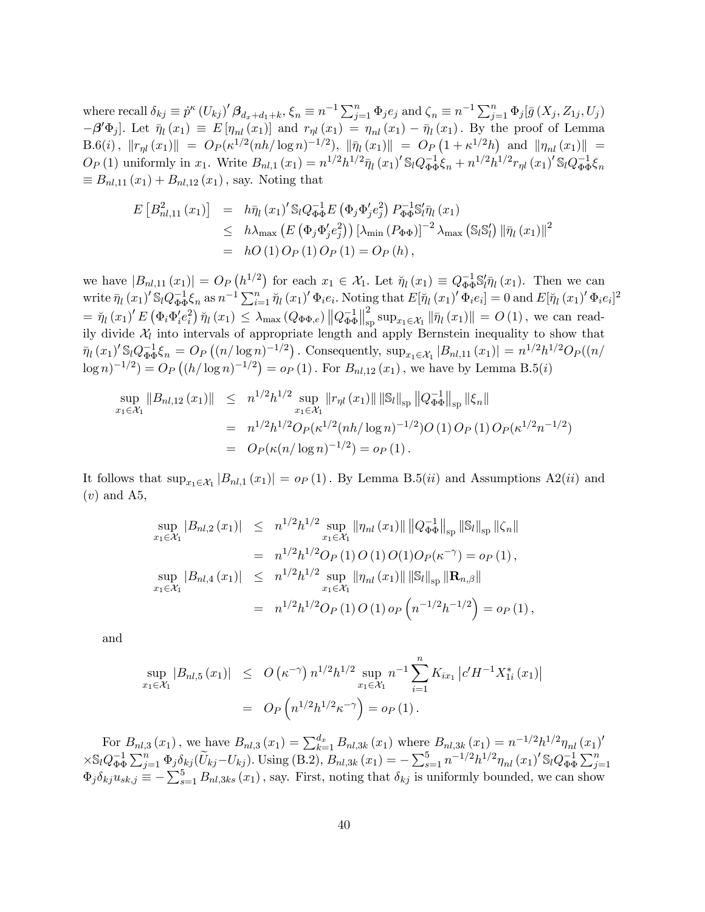where recall  $\delta_{kj} \equiv \dot{p}^{\kappa} (U_{kj})' \beta_{d_x+d_1+k}, \xi_n \equiv n^{-1} \sum_{j=1}^n \Phi_j e_j$  and  $\zeta_n \equiv n^{-1} \sum_{j=1}^n \Phi_j [\bar{g}(X_j, Z_{1j}, U_j)]$  $-\beta' \Phi_j$ . Let  $\bar{\eta}_l(x_1) \equiv E[\eta_{nl}(x_1)]$  and  $r_{nl}(x_1) = \eta_{nl}(x_1) - \bar{\eta}_l(x_1)$ . By the proof of Lemma B.6(i),  $||r_{\eta l}(x_1)|| = O_P(\kappa^{1/2} (nh/\log n)^{-1/2}), ||\bar{\eta}_l(x_1)|| = O_P(1 + \kappa^{1/2}h)$  and  $||\eta_{nl}(x_1)||$  =  $O_P(1)$  uniformly in  $x_1$ . Write  $B_{nl,1}(x_1) = n^{1/2}h^{1/2}\bar{\eta}_l(x_1)'\mathbb{S}_lQ_{\Phi\Phi}^{-1}\xi_n + n^{1/2}h^{1/2}r_{\eta l}(x_1)'\mathbb{S}_lQ_{\Phi\Phi}^{-1}\xi_n$  $\equiv B_{nl,11}(x_1) + B_{nl,12}(x_1)$ , say. Noting that

$$
E\left[B_{nl,11}^2(x_1)\right] = h\bar{\eta}_l(x_1)' \, \mathbb{S}_l Q_{\Phi\Phi}^{-1} E\left(\Phi_j \Phi_j' e_j^2\right) P_{\Phi\Phi}^{-1} \mathbb{S}_l' \bar{\eta}_l(x_1)
$$
  
\n
$$
\leq h\lambda_{\max} \left(E\left(\Phi_j \Phi_j' e_j^2\right)\right) \left[\lambda_{\min} (P_{\Phi\Phi})\right]^{-2} \lambda_{\max} \left(\mathbb{S}_l \mathbb{S}_l'\right) \left\|\bar{\eta}_l(x_1)\right\|^2
$$
  
\n
$$
= hO\left(1\right) O_P\left(1\right) O_P\left(1\right) = O_P\left(h\right),
$$

we have  $|B_{nl,11}(x_1)| = O_P(h^{1/2})$  for each  $x_1 \in \mathcal{X}_1$ . Let  $\check{\eta}_l(x_1) \equiv Q_{\Phi \Phi}^{-1} \mathbb{S}_l' \bar{\eta}_l(x_1)$ . Then we can write  $\bar{\eta}_l(x_1)' \mathcal{S}_l Q_{\Phi \Phi}^{-1} \xi_n$  as  $n^{-1} \sum_{i=1}^n \check{\eta}_l(x_1)' \Phi_i e_i$ . Noting that  $E[\check{\eta}_l(x_1)' \Phi_i e_i] = 0$  and  $E[\check{\eta}_l(x_1)' \Phi_i e_i]^2$  $=\tilde{\eta}_l(x_1)' E\left(\Phi_i \Phi_i' e_i^2\right) \tilde{\eta}_l(x_1) \leq \lambda_{\max} (Q_{\Phi \Phi, e}) ||Q_{\Phi \Phi}^{-1}||_{\text{sp}}^2 \sup_{x_1 \in \mathcal{X}_1} ||\bar{\eta}_l(x_1)|| = O(1)$ , we can readily divide  $\mathcal{X}_l$  into intervals of appropriate length and apply Bernstein inequality to show that  $\bar{\eta}_l(x_1)' \mathbb{S}_l Q_{\Phi\Phi}^{-1} \xi_n = O_P((n/\log n)^{-1/2})$ . Consequently,  $\sup_{x_1 \in \mathcal{X}_1} |B_{nl,11}(x_1)| = n^{1/2} h^{1/2} O_P((n/\log n)^{-1/2})$  $\log n)^{-1/2}$ ) =  $O_P((h/\log n)^{-1/2}) = o_P(1)$ . For  $B_{nl,12}(x_1)$ , we have by Lemma B.5(*i*)

$$
\sup_{x_1 \in \mathcal{X}_1} \|B_{nl,12}(x_1)\| \leq n^{1/2} h^{1/2} \sup_{x_1 \in \mathcal{X}_1} \|r_{\eta l}(x_1)\| \|\mathbb{S}_l\|_{\mathrm{sp}} \|Q_{\Phi\Phi}^{-1}\|_{\mathrm{sp}} \|\xi_n\|
$$
  
=  $n^{1/2} h^{1/2} O_P(\kappa^{1/2} (nh/\log n)^{-1/2}) O(1) O_P(1) O_P(\kappa^{1/2} n^{-1/2})$   
=  $O_P(\kappa(n/\log n)^{-1/2}) = o_P(1).$ 

It follows that  $\sup_{x_1 \in \mathcal{X}_1} |B_{nl,1}(x_1)| = o_P(1)$ . By Lemma B.5(*ii*) and Assumptions A2(*ii*) and  $(v)$  and A5,

$$
\sup_{x_1 \in \mathcal{X}_1} |B_{nl,2}(x_1)| \leq n^{1/2} h^{1/2} \sup_{x_1 \in \mathcal{X}_1} \|\eta_{nl}(x_1)\| \|Q_{\Phi\Phi}^{-1}\|_{\mathrm{sp}} \|S_l\|_{\mathrm{sp}} \|C_n\|
$$
  
\n
$$
= n^{1/2} h^{1/2} O_P(1) O(1) O(1) O_P(\kappa^{-\gamma}) = o_P(1),
$$
  
\n
$$
\sup_{x_1 \in \mathcal{X}_1} |B_{nl,4}(x_1)| \leq n^{1/2} h^{1/2} \sup_{x_1 \in \mathcal{X}_1} \|\eta_{nl}(x_1)\| \|S_l\|_{\mathrm{sp}} \|R_{n,\beta}\|
$$
  
\n
$$
= n^{1/2} h^{1/2} O_P(1) O(1) o_P\left(n^{-1/2} h^{-1/2}\right) = o_P(1),
$$

and

$$
\sup_{x_1 \in \mathcal{X}_1} |B_{nl,5}(x_1)| \le O\left(\kappa^{-\gamma}\right) n^{1/2} h^{1/2} \sup_{x_1 \in \mathcal{X}_1} n^{-1} \sum_{i=1}^n K_{ix_1} |c'H^{-1}X_{1i}^*(x_1)|
$$
  
=  $O_P\left(n^{1/2}h^{1/2}\kappa^{-\gamma}\right) = o_P(1).$ 

For  $B_{nl,3}(x_1)$ , we have  $B_{nl,3}(x_1) = \sum_{k=1}^{d_x} B_{nl,3k}(x_1)$  where  $B_{nl,3k}(x_1) = n^{-1/2}h^{1/2}\eta_{nl}(x_1)'$  $\times \mathcal{S}_l Q_{\Phi\Phi}^{-1} \sum_{j=1}^n \Phi_j \delta_{kj} (\widetilde{U}_{kj} - U_{kj})$ . Using (B.2),  $B_{nl,3k}(x_1) = -\sum_{s=1}^5 n^{-1/2} h^{1/2} \eta_{nl}(x_1)' \mathcal{S}_l Q_{\Phi\Phi}^{-1} \sum_{j=1}^n \Phi_j \delta_{kj} u_{sk,j} \equiv -\sum_{s=1}^5 B_{nl,3ks}(x_1)$ , say. First, noting that  $\delta_{kj}$  is uniformly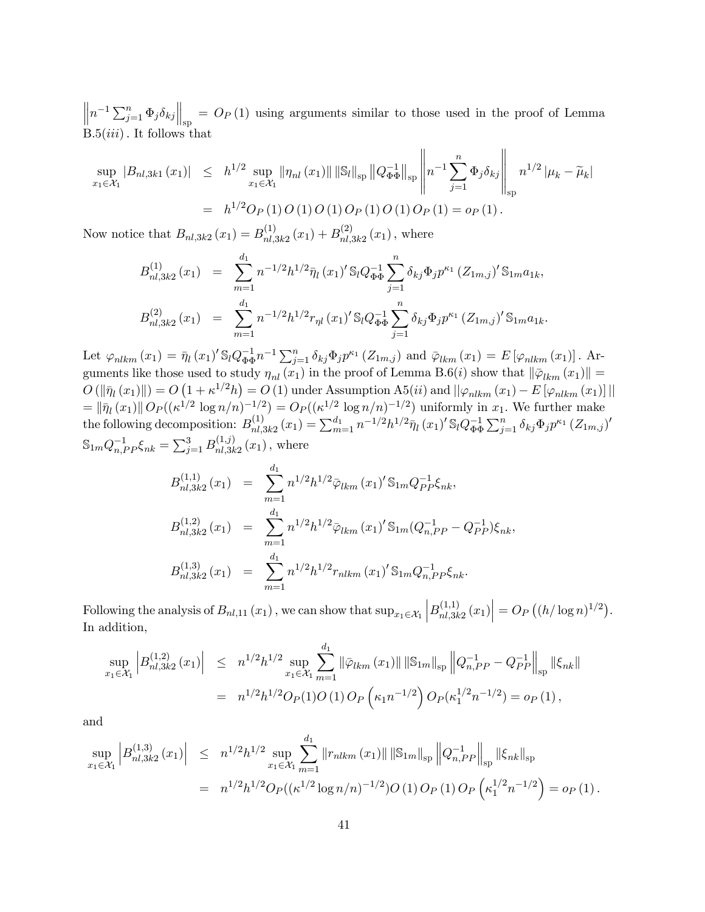$\left\| n^{-1} \sum_{j=1}^n \Phi_j \delta_{kj} \right\|_{\text{sp}} = O_P(1)$  using arguments similar to those used in the proof of Lemma  $B.5(iii)$ . It follows that

$$
\sup_{x_1 \in \mathcal{X}_1} |B_{nl,3k1}(x_1)| \leq h^{1/2} \sup_{x_1 \in \mathcal{X}_1} \|\eta_{nl}(x_1)\| \|\mathbb{S}_l\|_{\mathrm{sp}} \|Q_{\Phi\Phi}^{-1}\|_{\mathrm{sp}} \left\| n^{-1} \sum_{j=1}^n \Phi_j \delta_{kj} \right\|_{\mathrm{sp}} n^{1/2} |\mu_k - \widetilde{\mu}_k|
$$
  
=  $h^{1/2} O_P(1) O(1) O(1) O_P(1) O(P(1) O_P(1) = o_P(1).$ 

Now notice that  $B_{nl,3k2}(x_1) = B_{nl,3k2}^{(1)}(x_1) + B_{nl,3k2}^{(2)}(x_1)$ , where

$$
B_{nl,3k2}^{(1)}(x_1) = \sum_{m=1}^{d_1} n^{-1/2} h^{1/2} \bar{\eta}_l(x_1)' \, \mathbb{S}_l Q_{\Phi\Phi}^{-1} \sum_{j=1}^n \delta_{kj} \Phi_j p^{\kappa_1} (Z_{1m,j})' \, \mathbb{S}_{1m} a_{1k},
$$
  

$$
B_{nl,3k2}^{(2)}(x_1) = \sum_{m=1}^{d_1} n^{-1/2} h^{1/2} r_{\eta l} (x_1)' \, \mathbb{S}_l Q_{\Phi\Phi}^{-1} \sum_{j=1}^n \delta_{kj} \Phi_j p^{\kappa_1} (Z_{1m,j})' \, \mathbb{S}_{1m} a_{1k}.
$$

Let  $\varphi_{nlkm}(x_1) = \bar{\eta}_l(x_1)' \mathbb{S}_l Q_{\Phi\Phi}^{-1} n^{-1} \sum_{j=1}^n \delta_{kj} \Phi_j p^{\kappa_1}(Z_{1m,j})$  and  $\bar{\varphi}_{lkm}(x_1) = E[\varphi_{nlkm}(x_1)].$  Arguments like those used to study  $\eta_{nl}(x_1)$  in the proof of Lemma B.6(*i*) show that  $\|\bar{\varphi}_{lkm}(x_1)\| =$  $O(|\bar{\eta}_l(x_1)||) = O(1 + \kappa^{1/2}h) = O(1)$  under Assumption  $\text{A5}(ii)$  and  $||\varphi_{nlkm}(x_1) - E[\varphi_{nlkm}(x_1)||]$  $=\|\bar{\eta}_l(x_1)\| O_P((\kappa^{1/2} \log n/n)^{-1/2}) = O_P((\kappa^{1/2} \log n/n)^{-1/2})$  uniformly in  $x_1$ . We further make the following decomposition:  $B_{nl,3k2}^{(1)}(x_1) = \sum_{m=1}^{d_1} n^{-1/2} h^{1/2} \bar{\eta}_l(x_1)' \, \mathbb{S}_l Q_{\Phi\Phi}^{-1} \sum_{j=1}^n \delta_{kj} \Phi_j p^{\kappa_1} (Z_{1m,j})'$  $\mathbb{S}_{1m} Q^{-1}_{n,PP} \xi_{nk} = \sum_{j=1}^{3} B^{(1,j)}_{nl,3k2}(x_1)$ , where

$$
B_{nl,3k2}^{(1,1)}(x_1) = \sum_{m=1}^{d_1} n^{1/2} h^{1/2} \bar{\varphi}_{lkm}(x_1)' \mathbb{S}_{1m} Q_{PP}^{-1} \xi_{nk},
$$
  
\n
$$
B_{nl,3k2}^{(1,2)}(x_1) = \sum_{m=1}^{d_1} n^{1/2} h^{1/2} \bar{\varphi}_{lkm}(x_1)' \mathbb{S}_{1m} (Q_{n,PP}^{-1} - Q_{PP}^{-1}) \xi_{nk},
$$
  
\n
$$
B_{nl,3k2}^{(1,3)}(x_1) = \sum_{m=1}^{d_1} n^{1/2} h^{1/2} r_{nlkm}(x_1)' \mathbb{S}_{1m} Q_{n,PP}^{-1} \xi_{nk}.
$$

Following the analysis of  $B_{nl,11}(x_1)$ , we can show that  $\sup_{x_1 \in \mathcal{X}_1} |B_{nl,3k2}^{(1,1)}(x_1)| = O_P((h/\log n)^{1/2}).$ In addition,

$$
\sup_{x_1 \in \mathcal{X}_1} \left| B_{nl,3k2}^{(1,2)}(x_1) \right| \leq n^{1/2} h^{1/2} \sup_{x_1 \in \mathcal{X}_1} \sum_{m=1}^{d_1} \left\| \bar{\varphi}_{lkm}(x_1) \right\| \left\| \mathbb{S}_{1m} \right\|_{\text{sp}} \left\| Q_{n,PP}^{-1} - Q_{PP}^{-1} \right\|_{\text{sp}} \left\| \xi_{nk} \right\|
$$

$$
= n^{1/2} h^{1/2} O_P(1) O(1) O_P\left(\kappa_1 n^{-1/2}\right) O_P(\kappa_1^{1/2} n^{-1/2}) = o_P(1),
$$

and

$$
\sup_{x_1 \in \mathcal{X}_1} \left| B_{nl,3k2}^{(1,3)}(x_1) \right| \leq n^{1/2} h^{1/2} \sup_{x_1 \in \mathcal{X}_1} \sum_{m=1}^{d_1} \|r_{nlkm}(x_1)\| \|\mathbb{S}_{1m}\|_{\text{sp}} \left\|Q_{n,PP}^{-1}\right\|_{\text{sp}} \|\xi_{nk}\|_{\text{sp}} = n^{1/2} h^{1/2} O_P((\kappa^{1/2} \log n/n)^{-1/2}) O(1) O_P(1) O_P\left(\kappa_1^{1/2} n^{-1/2}\right) = o_P(1).
$$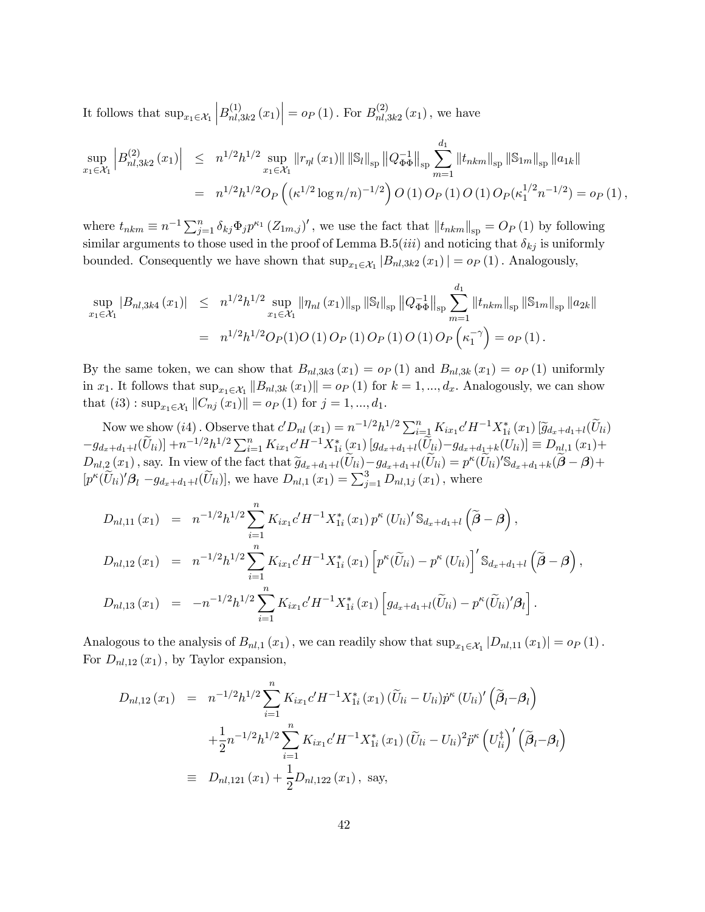It follows that  $\sup_{x_1 \in \mathcal{X}_1} |B_{nl,3k2}^{(1)}(x_1)| = o_P(1)$ . For  $B_{nl,3k2}^{(2)}(x_1)$ , we have

$$
\sup_{x_1 \in \mathcal{X}_1} \left| B_{nl,3k2}^{(2)}(x_1) \right| \leq n^{1/2} h^{1/2} \sup_{x_1 \in \mathcal{X}_1} \|r_{\eta l}(x_1)\| \|\mathbb{S}_l\|_{\mathrm{sp}} \|Q_{\Phi\Phi}^{-1}\|_{\mathrm{sp}} \sum_{m=1}^{d_1} \|t_{nkm}\|_{\mathrm{sp}} \|\mathbb{S}_{1m}\|_{\mathrm{sp}} \|a_{1k}\|
$$
  

$$
= n^{1/2} h^{1/2} O_P \left( (\kappa^{1/2} \log n/n)^{-1/2} \right) O\left(1\right) O_P\left(1\right) O\left(1\right) O_P(\kappa_1^{1/2} n^{-1/2}) = o_P\left(1\right),
$$

where  $t_{nkm} \equiv n^{-1} \sum_{j=1}^n \delta_{kj} \Phi_j p^{\kappa_1} (Z_{1m,j})'$ , we use the fact that  $||t_{nkm}||_{sp} = O_P(1)$  by following similar arguments to those used in the proof of Lemma B.5(*iii*) and noticing that  $\delta_{kj}$  is uniformly bounded. Consequently we have shown that  $\sup_{x_1 \in X_1} |B_{nl,3k2}(x_1)| = o_P(1)$ . Analogously,

$$
\sup_{x_1 \in \mathcal{X}_1} |B_{nl,3k4}(x_1)| \leq n^{1/2} h^{1/2} \sup_{x_1 \in \mathcal{X}_1} \|\eta_{nl}(x_1)\|_{\text{sp}} \|\mathbb{S}_l\|_{\text{sp}} \|Q_{\Phi\Phi}^{-1}\|_{\text{sp}} \sum_{m=1}^{d_1} \|t_{nkm}\|_{\text{sp}} \|\mathbb{S}_{1m}\|_{\text{sp}} \|a_{2k}\|
$$

$$
= n^{1/2} h^{1/2} O_P(1) O(1) O_P(1) O_P(1) O(P_1) O_P(\kappa_1^{-\gamma}) = o_P(1).
$$

By the same token, we can show that  $B_{nl,3k3}(x_1) = o_P(1)$  and  $B_{nl,3k}(x_1) = o_P(1)$  uniformly in  $x_1$ . It follows that  $\sup_{x_1 \in \mathcal{X}_1} ||B_{nl,3k} (x_1)|| = o_P(1)$  for  $k = 1, ..., d_x$ . Analogously, we can show that  $(i3)$ :  $\sup_{x_1 \in \mathcal{X}_1} ||C_{nj}(x_1)|| = o_P(1)$  for  $j = 1, ..., d_1$ .

Now we show (i4). Observe that  $c'D_{nl}(x_1) = n^{-1/2}h^{1/2}\sum_{i=1}^n K_{ix_1}c'H^{-1}X_{1i}^*(x_1) [\widetilde{g}_{d_x+d_1+l}(\widetilde{U}_{li})]$  $-g_{d_x+d_1+l}(\widetilde{U}_{li})] + n^{-1/2}h^{1/2}\sum_{i=1}^n K_{ix_1}c'H^{-1}X_{1i}^*(x_1)\left[g_{d_x+d_1+l}(\widetilde{U}_{li})-g_{d_x+d_1+k}(U_{li})\right] \equiv D_{n,l}(x_1) +$  $D_{nl,2}(x_1)$ , say. In view of the fact that  $\widetilde{g}_{d_x+d_1+l}(\widetilde{U}_{li})-g_{d_x+d_1+l}(\widetilde{U}_{li})=p^{\kappa}(\widetilde{U}_{li})'\mathbb{S}_{d_x+d_1+k}(\widetilde{\boldsymbol{\beta}}-\boldsymbol{\beta})+\sum_{i=1}^{\kappa}p^{\kappa}(\widetilde{U}_{i}),$  $[p^{\kappa}(\widetilde{U}_{li})'\beta_l - g_{d_x+d_1+l}(\widetilde{U}_{li})],$  we have  $D_{nl,1}(x_1) = \sum_{j=1}^3 D_{nl,1j}(x_1)$ , where

$$
D_{nl,11}(x_1) = n^{-1/2}h^{1/2}\sum_{i=1}^n K_{ix_1}c'H^{-1}X_{1i}^*(x_1)p^{\kappa}(U_{li})^{\prime}S_{d_x+d_1+l}(\tilde{\beta}-\beta),
$$
  
\n
$$
D_{nl,12}(x_1) = n^{-1/2}h^{1/2}\sum_{i=1}^n K_{ix_1}c'H^{-1}X_{1i}^*(x_1)\left[p^{\kappa}(\tilde{U}_{li})-p^{\kappa}(U_{li})\right]^{\prime}S_{d_x+d_1+l}(\tilde{\beta}-\beta),
$$
  
\n
$$
D_{nl,13}(x_1) = -n^{-1/2}h^{1/2}\sum_{i=1}^n K_{ix_1}c'H^{-1}X_{1i}^*(x_1)\left[g_{d_x+d_1+l}(\tilde{U}_{li})-p^{\kappa}(\tilde{U}_{li})^{\prime}\beta_l\right].
$$

Analogous to the analysis of  $B_{nl,1}(x_1)$ , we can readily show that  $\sup_{x_1 \in X_1} |D_{nl,11}(x_1)| = o_P(1)$ . For  $D_{nl,12}(x_1)$ , by Taylor expansion,

$$
D_{nl,12}(x_1) = n^{-1/2}h^{1/2}\sum_{i=1}^n K_{ix_1}c'H^{-1}X_{1i}^*(x_1)(\widetilde{U}_{li} - U_{li})p^{\kappa}(U_{li})'\left(\widetilde{\beta}_l - \beta_l\right)
$$
  
+ 
$$
\frac{1}{2}n^{-1/2}h^{1/2}\sum_{i=1}^n K_{ix_1}c'H^{-1}X_{1i}^*(x_1)(\widetilde{U}_{li} - U_{li})^2p^{\kappa}\left(U_{li}^{\dagger}\right')'\left(\widetilde{\beta}_l - \beta_l\right)
$$
  
\n
$$
\equiv D_{nl,121}(x_1) + \frac{1}{2}D_{nl,122}(x_1), \text{ say,}
$$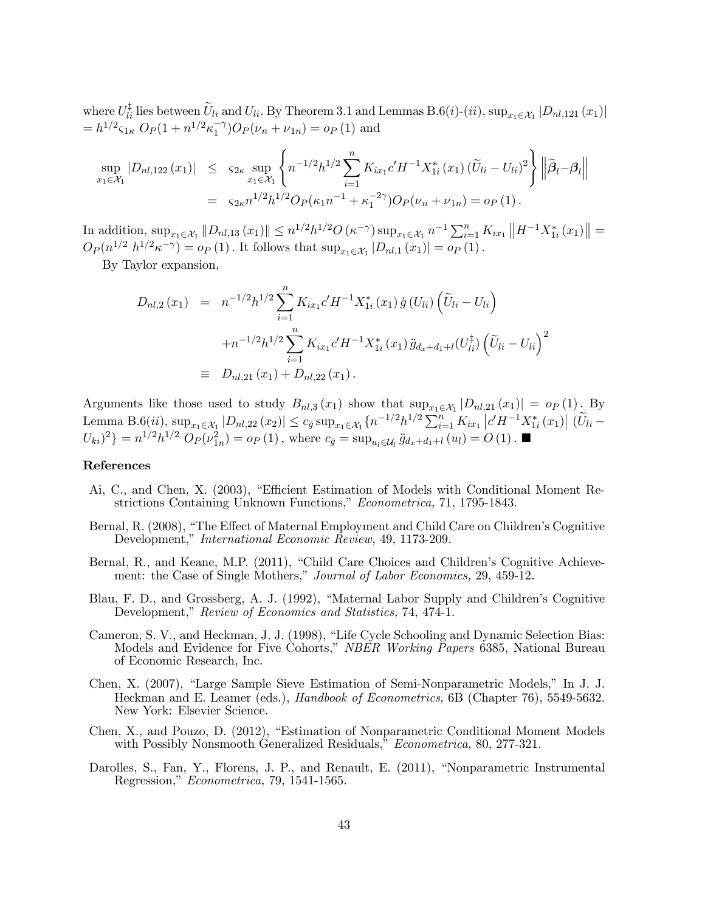where  $U_{li}^{\dagger}$  lies between  $U_{li}$  and  $U_{li}$ . By Theorem 3.1 and Lemmas B.6(i)-(ii),  $\sup_{x_1 \in X_1} |D_{nl,121}(x_1)|$  $= h^{1/2} \varsigma_{1\kappa} O_P(1 + n^{1/2} \kappa_1^{-\gamma}) O_P(\nu_n + \nu_{1n}) = o_P(1)$  and

$$
\sup_{x_1 \in \mathcal{X}_1} |D_{nl,122}(x_1)| \leq \sup_{x_1 \in \mathcal{X}_1} \left\{ n^{-1/2} h^{1/2} \sum_{i=1}^n K_{ix_1} c' H^{-1} X_{1i}^*(x_1) (\widetilde{U}_{li} - U_{li})^2 \right\} \left\| \widetilde{\beta}_l - \beta_l \right\|
$$
  
=  $\varsigma_{2\kappa} n^{1/2} h^{1/2} O_P(\kappa_1 n^{-1} + \kappa_1^{-2\gamma}) O_P(\nu_n + \nu_{1n}) = o_P(1).$ 

 $\text{In addition, } \sup_{x_1 \in \mathcal{X}_1} ||D_{nl,13}(x_1)|| \leq n^{1/2} h^{1/2} O\left(\kappa^{-\gamma}\right) \sup_{x_1 \in \mathcal{X}_1} n^{-1} \sum_{i=1}^n K_{ix_1} ||H^{-1} X_{1i}^*(x_1)|| =$  $O_P(n^{1/2} h^{1/2} \kappa^{-\gamma}) = o_P(1)$ . It follows that  $\sup_{x_1 \in \mathcal{X}_1} |D_{nl,1}(x_1)| = o_P(1)$ .

By Taylor expansion,

$$
D_{nl,2}(x_1) = n^{-1/2}h^{1/2} \sum_{i=1}^n K_{ix_1} c'H^{-1}X_{1i}^*(x_1) \dot{g}(U_{li}) (\tilde{U}_{li} - U_{li})
$$
  
+
$$
n^{-1/2}h^{1/2} \sum_{i=1}^n K_{ix_1} c'H^{-1}X_{1i}^*(x_1) \ddot{g}_{d_x+d_1+l}(U_{li}^{\dagger}) (\tilde{U}_{li} - U_{li})^2
$$
  
= 
$$
D_{nl,21}(x_1) + D_{nl,22}(x_1).
$$

Arguments like those used to study  $B_{nl,3}(x_1)$  show that  $\sup_{x_1 \in \mathcal{X}_1} |D_{nl,21}(x_1)| = o_P(1)$ . By Lemma B.6(*ii*),  $\sup_{x_1 \in \mathcal{X}_1} |D_{nl,22}(x_2)| \leq c_{\tilde{g}} \sup_{x_1 \in \mathcal{X}_1} \{n^{-1/2}h^{1/2} \sum_{i=1}^n K_{ix_1} |c'H^{-1}X_{1i}^*(x_1)| \left(\tilde{U}_{li} - \tilde{U}_{li}\right)$  $(U_{ki})^2 = n^{1/2}h^{1/2} O_P(\nu_{1n}^2) = o_P(1)$ , where  $c_{\ddot{g}} = \sup_{u_l \in \mathcal{U}_l} \ddot{g}_{d_x + d_1 + l}(u_l) = O(1)$ .

#### References

- Ai, C., and Chen, X. (2003), "Efficient Estimation of Models with Conditional Moment Restrictions Containing Unknown Functions," Econometrica, 71, 1795-1843.
- Bernal, R. (2008), "The Effect of Maternal Employment and Child Care on Children's Cognitive Development," International Economic Review, 49, 1173-209.
- Bernal, R., and Keane, M.P. (2011), "Child Care Choices and Children's Cognitive Achievement: the Case of Single Mothers," Journal of Labor Economics, 29, 459-12.
- Blau, F. D., and Grossberg, A. J. (1992), "Maternal Labor Supply and Children's Cognitive Development," Review of Economics and Statistics, 74, 474-1.
- Cameron, S. V., and Heckman, J. J. (1998), "Life Cycle Schooling and Dynamic Selection Bias: Models and Evidence for Five Cohorts," NBER Working Papers 6385, National Bureau of Economic Research, Inc.
- Chen, X. (2007), "Large Sample Sieve Estimation of Semi-Nonparametric Models," In J. J. Heckman and E. Leamer (eds.), Handbook of Econometrics, 6B (Chapter 76), 5549-5632. New York: Elsevier Science.
- Chen, X., and Pouzo, D. (2012), "Estimation of Nonparametric Conditional Moment Models with Possibly Nonsmooth Generalized Residuals," *Econometrica*, 80, 277-321.
- Darolles, S., Fan, Y., Florens, J. P., and Renault, E. (2011), "Nonparametric Instrumental Regression," Econometrica, 79, 1541-1565.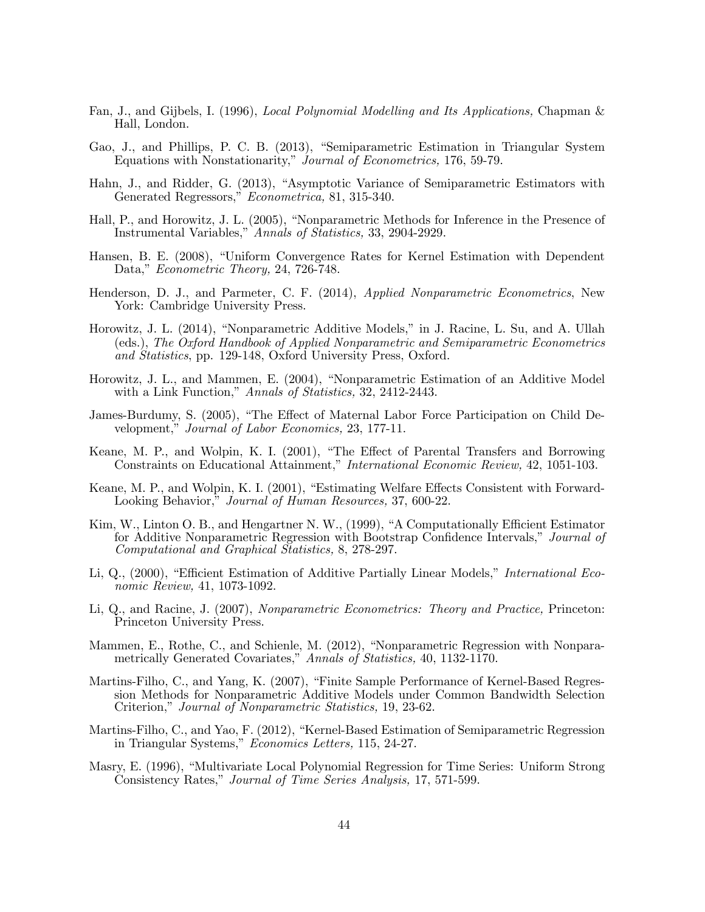- Fan, J., and Gijbels, I. (1996), Local Polynomial Modelling and Its Applications, Chapman & Hall, London.
- Gao, J., and Phillips, P. C. B. (2013), "Semiparametric Estimation in Triangular System Equations with Nonstationarity," Journal of Econometrics, 176, 59-79.
- Hahn, J., and Ridder, G. (2013), "Asymptotic Variance of Semiparametric Estimators with Generated Regressors," Econometrica, 81, 315-340.
- Hall, P., and Horowitz, J. L. (2005), "Nonparametric Methods for Inference in the Presence of Instrumental Variables," Annals of Statistics, 33, 2904-2929.
- Hansen, B. E. (2008), "Uniform Convergence Rates for Kernel Estimation with Dependent Data," Econometric Theory, 24, 726-748.
- Henderson, D. J., and Parmeter, C. F. (2014), Applied Nonparametric Econometrics, New York: Cambridge University Press.
- Horowitz, J. L. (2014), "Nonparametric Additive Models," in J. Racine, L. Su, and A. Ullah (eds.), The Oxford Handbook of Applied Nonparametric and Semiparametric Econometrics and Statistics, pp. 129-148, Oxford University Press, Oxford.
- Horowitz, J. L., and Mammen, E. (2004), "Nonparametric Estimation of an Additive Model with a Link Function," Annals of Statistics, 32, 2412-2443.
- James-Burdumy, S. (2005), "The Effect of Maternal Labor Force Participation on Child Development," Journal of Labor Economics, 23, 177-11.
- Keane, M. P., and Wolpin, K. I. (2001), "The Effect of Parental Transfers and Borrowing Constraints on Educational Attainment," International Economic Review, 42, 1051-103.
- Keane, M. P., and Wolpin, K. I. (2001), "Estimating Welfare Effects Consistent with Forward-Looking Behavior," *Journal of Human Resources*, 37, 600-22.
- Kim, W., Linton O. B., and Hengartner N. W., (1999), "A Computationally Efficient Estimator for Additive Nonparametric Regression with Bootstrap Confidence Intervals," Journal of Computational and Graphical Statistics, 8, 278-297.
- Li, Q., (2000), "Efficient Estimation of Additive Partially Linear Models," *International Eco*nomic Review, 41, 1073-1092.
- Li, Q., and Racine, J. (2007), Nonparametric Econometrics: Theory and Practice, Princeton: Princeton University Press.
- Mammen, E., Rothe, C., and Schienle, M. (2012), "Nonparametric Regression with Nonparametrically Generated Covariates," Annals of Statistics, 40, 1132-1170.
- Martins-Filho, C., and Yang, K. (2007), "Finite Sample Performance of Kernel-Based Regression Methods for Nonparametric Additive Models under Common Bandwidth Selection Criterion," Journal of Nonparametric Statistics, 19, 23-62.
- Martins-Filho, C., and Yao, F. (2012), "Kernel-Based Estimation of Semiparametric Regression in Triangular Systems," Economics Letters, 115, 24-27.
- Masry, E. (1996), "Multivariate Local Polynomial Regression for Time Series: Uniform Strong Consistency Rates," Journal of Time Series Analysis, 17, 571-599.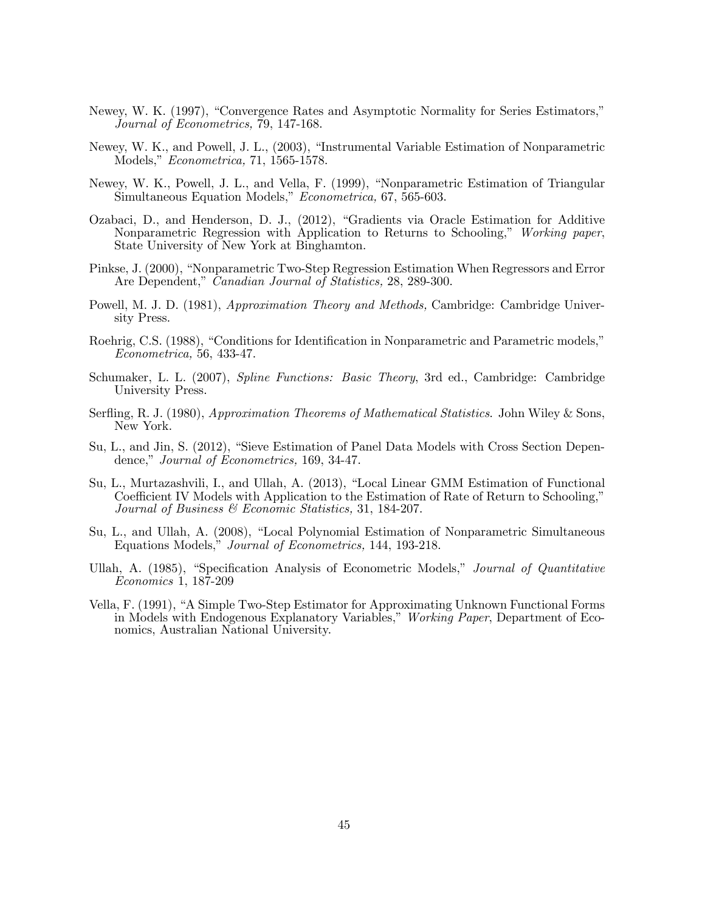- Newey, W. K. (1997), "Convergence Rates and Asymptotic Normality for Series Estimators," Journal of Econometrics, 79, 147-168.
- Newey, W. K., and Powell, J. L., (2003), "Instrumental Variable Estimation of Nonparametric Models," Econometrica, 71, 1565-1578.
- Newey, W. K., Powell, J. L., and Vella, F. (1999), "Nonparametric Estimation of Triangular Simultaneous Equation Models," Econometrica, 67, 565-603.
- Ozabaci, D., and Henderson, D. J., (2012), "Gradients via Oracle Estimation for Additive Nonparametric Regression with Application to Returns to Schooling," Working paper, State University of New York at Binghamton.
- Pinkse, J. (2000), "Nonparametric Two-Step Regression Estimation When Regressors and Error Are Dependent," *Canadian Journal of Statistics*, 28, 289-300.
- Powell, M. J. D. (1981), Approximation Theory and Methods, Cambridge: Cambridge University Press.
- Roehrig, C.S. (1988), "Conditions for Identification in Nonparametric and Parametric models," Econometrica, 56, 433-47.
- Schumaker, L. L. (2007), Spline Functions: Basic Theory, 3rd ed., Cambridge: Cambridge University Press.
- Serfling, R. J. (1980), Approximation Theorems of Mathematical Statistics. John Wiley & Sons, New York.
- Su, L., and Jin, S. (2012), "Sieve Estimation of Panel Data Models with Cross Section Dependence," *Journal of Econometrics*, 169, 34-47.
- Su, L., Murtazashvili, I., and Ullah, A. (2013), "Local Linear GMM Estimation of Functional Coefficient IV Models with Application to the Estimation of Rate of Return to Schooling," Journal of Business & Economic Statistics, 31, 184-207.
- Su, L., and Ullah, A. (2008), "Local Polynomial Estimation of Nonparametric Simultaneous Equations Models," Journal of Econometrics, 144, 193-218.
- Ullah, A. (1985), "Specification Analysis of Econometric Models," Journal of Quantitative Economics 1, 187-209
- Vella, F. (1991), "A Simple Two-Step Estimator for Approximating Unknown Functional Forms in Models with Endogenous Explanatory Variables," Working Paper, Department of Economics, Australian National University.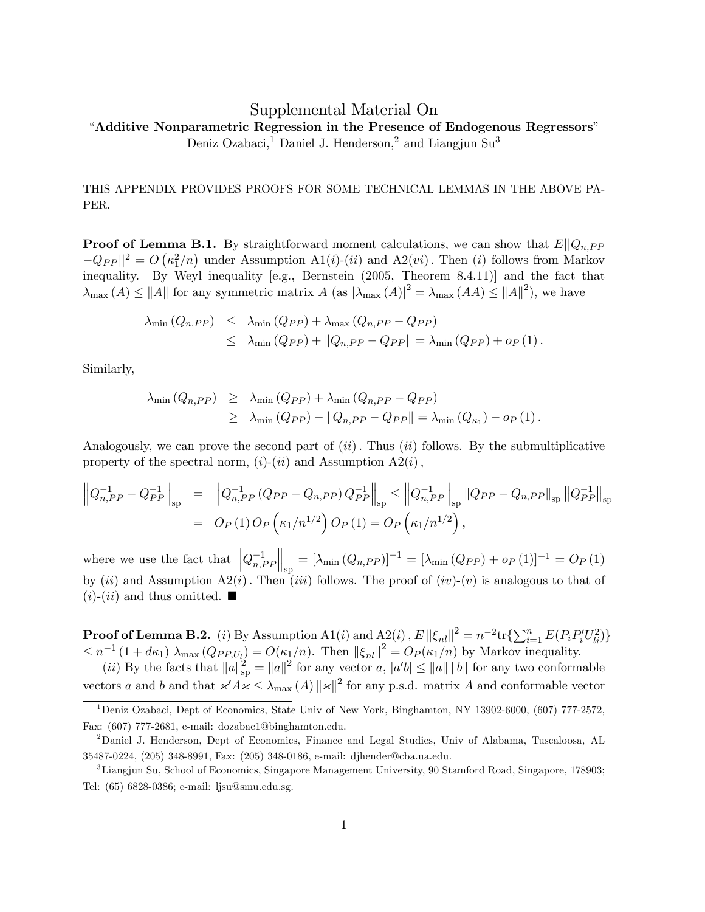## Supplemental Material On "Additive Nonparametric Regression in the Presence of Endogenous Regressors" Deniz Ozabaci,<sup>1</sup> Daniel J. Henderson,<sup>2</sup> and Liangjun Su<sup>3</sup>

THIS APPENDIX PROVIDES PROOFS FOR SOME TECHNICAL LEMMAS IN THE ABOVE PA-PER.

**Proof of Lemma B.1.** By straightforward moment calculations, we can show that  $E||Q_{n,PF}$  $-Q_{PP}||^2 = O\left(\kappa_1^2/n\right)$  under Assumption A1(i)-(ii) and A2(vi). Then (i) follows from Markov inequality. By Weyl inequality [e.g., Bernstein (2005, Theorem 8.4.11)] and the fact that  $\lambda_{\max}(A) \leq ||A||$  for any symmetric matrix  $A$  (as  $|\lambda_{\max}(A)|^2 = \lambda_{\max}(AA) \leq ||A||^2$ ), we have

$$
\lambda_{\min}(Q_{n,PP}) \leq \lambda_{\min}(Q_{PP}) + \lambda_{\max}(Q_{n,PP} - Q_{PP})
$$
  
 
$$
\leq \lambda_{\min}(Q_{PP}) + ||Q_{n,PP} - Q_{PP}|| = \lambda_{\min}(Q_{PP}) + op(1).
$$

Similarly,

$$
\lambda_{\min}(Q_{n,PP}) \geq \lambda_{\min}(Q_{PP}) + \lambda_{\min}(Q_{n,PP} - Q_{PP})
$$
  
 
$$
\geq \lambda_{\min}(Q_{PP}) - ||Q_{n,PP} - Q_{PP}|| = \lambda_{\min}(Q_{\kappa_1}) - op(1).
$$

Analogously, we can prove the second part of  $(ii)$ . Thus  $(ii)$  follows. By the submultiplicative property of the spectral norm,  $(i)-(ii)$  and Assumption  $A2(i)$ ,

$$
\left\| Q_{n,PP}^{-1} - Q_{PP}^{-1} \right\|_{\rm sp} = \left\| Q_{n,PP}^{-1} (Q_{PP} - Q_{n,PP}) Q_{PP}^{-1} \right\|_{\rm sp} \le \left\| Q_{n,PP}^{-1} \right\|_{\rm sp} \left\| Q_{PP} - Q_{n,PP} \right\|_{\rm sp} \left\| Q_{PP}^{-1} \right\|_{\rm sp}
$$
  
=  $O_P(1) O_P\left(\kappa_1/n^{1/2}\right) O_P(1) = O_P\left(\kappa_1/n^{1/2}\right),$ 

where we use the fact that  $||Q_{n,PF}^{-1}||$  $\Big\|_{\rm sp} = \left[ \lambda_{\rm min} (Q_{n, PP}) \right]^{-1} = \left[ \lambda_{\rm min} (Q_{PP}) + o_P \left( 1 \right) \right]^{-1} = O_P \left( 1 \right)$ by  $(ii)$  and Assumption  $A2(i)$ . Then  $(iii)$  follows. The proof of  $(iv)$ - $(v)$  is analogous to that of  $(i)-(ii)$  and thus omitted.  $\blacksquare$ 

**Proof of Lemma B.2.** (i) By Assumption A1(i) and A2(i),  $E \|\xi_{nl}\|^2 = n^{-2} \text{tr} \{\sum_{i=1}^n E(P_i P_i' U_{li}^2)\}$  $\leq n^{-1} (1 + d\kappa_1) \lambda_{\max} (Q_{PP,U_1}) = O(\kappa_1/n)$ . Then  $\|\xi_{nl}\|^2 = O_P(\kappa_1/n)$  by Markov inequality.

(*ii*) By the facts that  $||a||_{\text{sp}}^2 = ||a||^2$  for any vector a,  $|a'b| \le ||a|| ||b||$  for any two conformable vectors *a* and *b* and that  $\mathcal{A}A\mathcal{A} \leq \lambda_{\max}(A) ||\mathcal{A}||^2$  for any p.s.d. matrix *A* and conformable vector

<sup>&</sup>lt;sup>1</sup>Deniz Ozabaci, Dept of Economics, State Univ of New York, Binghamton, NY 13902-6000, (607) 777-2572, Fax: (607) 777-2681, e-mail: dozabac1@binghamton.edu.

<sup>2</sup>Daniel J. Henderson, Dept of Economics, Finance and Legal Studies, Univ of Alabama, Tuscaloosa, AL 35487-0224, (205) 348-8991, Fax: (205) 348-0186, e-mail: djhender@cba.ua.edu.

<sup>3</sup>Liangjun Su, School of Economics, Singapore Management University, 90 Stamford Road, Singapore, 178903; Tel: (65) 6828-0386; e-mail: ljsu@smu.edu.sg.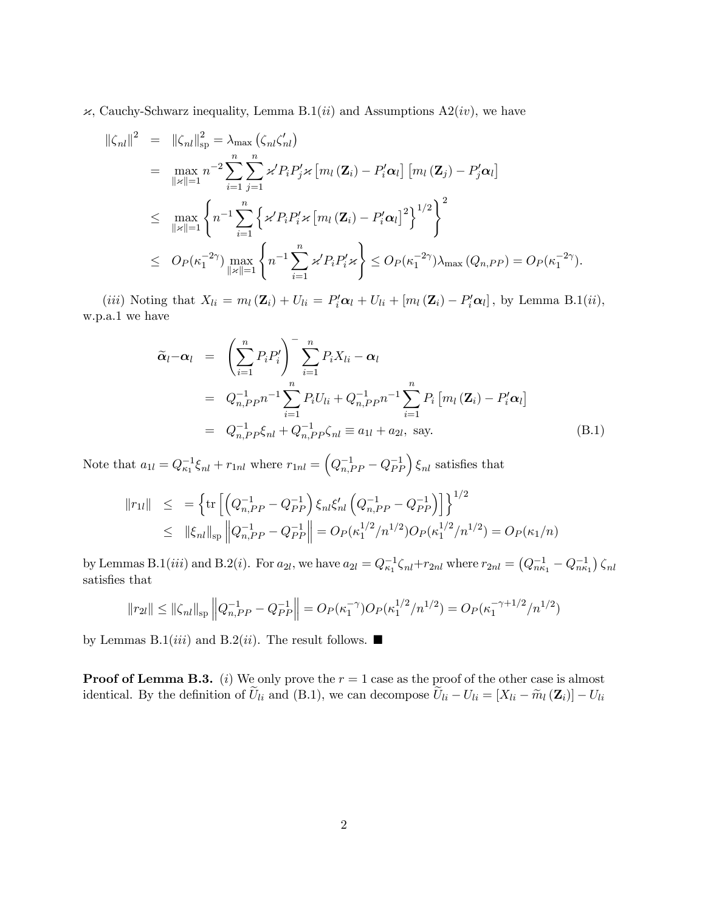$\varkappa$ , Cauchy-Schwarz inequality, Lemma B.1(*ii*) and Assumptions A2(*iv*), we have

$$
\|\zeta_{nl}\|^2 = \|\zeta_{nl}\|_{\rm sp}^2 = \lambda_{\max} (\zeta_{nl}\zeta'_{nl})
$$
  
\n
$$
= \max_{\|x\|=1} n^{-2} \sum_{i=1}^n \sum_{j=1}^n \varkappa' P_i P_j' \varkappa [m_l (\mathbf{Z}_i) - P_i' \alpha_l] [m_l (\mathbf{Z}_j) - P_j' \alpha_l]
$$
  
\n
$$
\leq \max_{\|x\|=1} \left\{ n^{-1} \sum_{i=1}^n \left\{ \varkappa' P_i P_i' \varkappa [m_l (\mathbf{Z}_i) - P_i' \alpha_l]^2 \right\}^{1/2} \right\}^2
$$
  
\n
$$
\leq O_P(\kappa_1^{-2\gamma}) \max_{\|x\|=1} \left\{ n^{-1} \sum_{i=1}^n \varkappa' P_i P_i' \varkappa \right\} \leq O_P(\kappa_1^{-2\gamma}) \lambda_{\max} (Q_{n,PP}) = O_P(\kappa_1^{-2\gamma}).
$$

(*iii*) Noting that  $X_{li} = m_l (\mathbf{Z}_i) + U_{li} = P'_i \alpha_l + U_{li} + [m_l (\mathbf{Z}_i) - P'_i \alpha_l],$  by Lemma B.1(*ii*), w.p.a.1 we have

$$
\tilde{\alpha}_{l} - \alpha_{l} = \left(\sum_{i=1}^{n} P_{i} P'_{i}\right)^{-1} \sum_{i=1}^{n} P_{i} X_{li} - \alpha_{l}
$$
\n
$$
= Q_{n,PP}^{-1} n^{-1} \sum_{i=1}^{n} P_{i} U_{li} + Q_{n,PP}^{-1} n^{-1} \sum_{i=1}^{n} P_{i} \left[m_{l} \left(\mathbf{Z}_{i}\right) - P'_{i} \alpha_{l}\right]
$$
\n
$$
= Q_{n,PP}^{-1} \xi_{nl} + Q_{n,PP}^{-1} \zeta_{nl} \equiv a_{1l} + a_{2l}, \text{ say.}
$$
\n(B.1)

Note that  $a_{1l} = Q_{\kappa_1}^{-1} \xi_{nl} + r_{1nl}$  where  $r_{1nl} = \left(Q_{n,PP}^{-1} - Q_{PP}^{-1}\right) \xi_{nl}$  satisfies that

$$
||r_{1l}|| \leq = \left\{ \text{tr} \left[ \left( Q_{n,PP}^{-1} - Q_{PP}^{-1} \right) \xi_{nl} \xi'_{nl} \left( Q_{n,PP}^{-1} - Q_{PP}^{-1} \right) \right] \right\}^{1/2}
$$
  

$$
\leq ||\xi_{nl}||_{\text{sp}} \left\| Q_{n,PP}^{-1} - Q_{PP}^{-1} \right\| = O_P(\kappa_1^{1/2}/n^{1/2}) O_P(\kappa_1^{1/2}/n^{1/2}) = O_P(\kappa_1/n)
$$

by Lemmas B.1(*iii*) and B.2(*i*). For  $a_{2l}$ , we have  $a_{2l} = Q_{\kappa_1}^{-1} \zeta_{nl} + r_{2nl}$  where  $r_{2nl} = (Q_{n\kappa_1}^{-1} - Q_{n\kappa_1}^{-1}) \zeta_{nl}$ satisfies that

$$
||r_{2l}|| \le ||\zeta_{nl}||_{\rm sp} ||Q_{n,PP}^{-1} - Q_{PP}^{-1}|| = O_P(\kappa_1^{-\gamma})O_P(\kappa_1^{1/2}/n^{1/2}) = O_P(\kappa_1^{-\gamma+1/2}/n^{1/2})
$$

by Lemmas B.1(*iii*) and B.2(*ii*). The result follows.  $\blacksquare$ 

**Proof of Lemma B.3.** (i) We only prove the  $r = 1$  case as the proof of the other case is almost identical. By the definition of  $\tilde{U}_{li}$  and (B.1), we can decompose  $\tilde{U}_{li} - U_{li} = [X_{li} - \tilde{m}_l (\mathbf{Z}_i)] - U_{li}$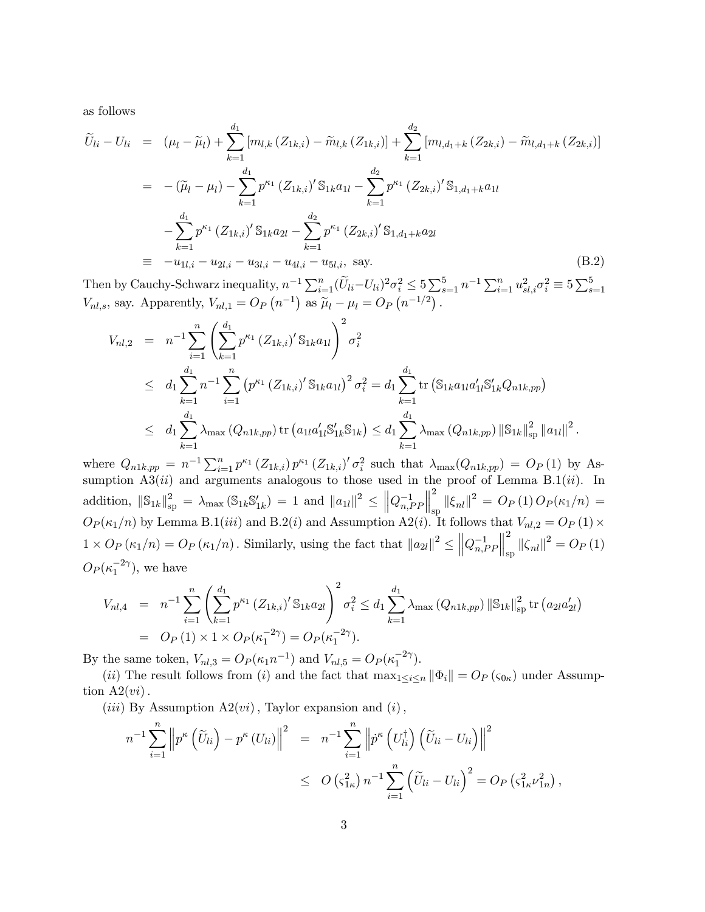as follows

$$
\widetilde{U}_{li} - U_{li} = (\mu_l - \widetilde{\mu}_l) + \sum_{k=1}^{d_1} [m_{l,k} (Z_{1k,i}) - \widetilde{m}_{l,k} (Z_{1k,i})] + \sum_{k=1}^{d_2} [m_{l,d_1+k} (Z_{2k,i}) - \widetilde{m}_{l,d_1+k} (Z_{2k,i})]
$$
\n
$$
= -(\widetilde{\mu}_l - \mu_l) - \sum_{k=1}^{d_1} p^{\kappa_1} (Z_{1k,i})' \mathbb{S}_{1k} a_{1l} - \sum_{k=1}^{d_2} p^{\kappa_1} (Z_{2k,i})' \mathbb{S}_{1,d_1+k} a_{1l}
$$
\n
$$
- \sum_{k=1}^{d_1} p^{\kappa_1} (Z_{1k,i})' \mathbb{S}_{1k} a_{2l} - \sum_{k=1}^{d_2} p^{\kappa_1} (Z_{2k,i})' \mathbb{S}_{1,d_1+k} a_{2l}
$$
\n
$$
\equiv -u_{1l,i} - u_{2l,i} - u_{3l,i} - u_{4l,i} - u_{5l,i}, \text{ say.}
$$
\n(B.2)

Then by Cauchy-Schwarz inequality,  $n^{-1} \sum_{i=1}^{n} (\widetilde{U}_{li} - U_{li})^2 \sigma_i^2 \leq 5 \sum_{s=1}^{5} n^{-1} \sum_{i=1}^{n} u_{sl,i}^2 \sigma_i^2 \equiv 5 \sum_{s=1}^{5}$  $V_{nl,s}$ , say. Apparently,  $V_{nl,1} = O_P(n^{-1})$  as  $\tilde{\mu}_l - \mu_l = O_P(n^{-1/2})$ .

$$
V_{nl,2} = n^{-1} \sum_{i=1}^{n} \left( \sum_{k=1}^{d_1} p^{\kappa_1} (Z_{1k,i})' \mathbb{S}_{1k} a_{1l} \right)^2 \sigma_i^2
$$
  
\n
$$
\leq d_1 \sum_{k=1}^{d_1} n^{-1} \sum_{i=1}^{n} \left( p^{\kappa_1} (Z_{1k,i})' \mathbb{S}_{1k} a_{1l} \right)^2 \sigma_i^2 = d_1 \sum_{k=1}^{d_1} \text{tr} \left( \mathbb{S}_{1k} a_{1l} a'_{1l} \mathbb{S}'_{1k} Q_{n1k,pp} \right)
$$
  
\n
$$
\leq d_1 \sum_{k=1}^{d_1} \lambda_{\max} (Q_{n1k,pp}) \text{tr} \left( a_{1l} a'_{1l} \mathbb{S}'_{1k} \mathbb{S}_{1k} \right) \leq d_1 \sum_{k=1}^{d_1} \lambda_{\max} (Q_{n1k,pp}) \|\mathbb{S}_{1k}\|_{\text{sp}}^2 \|a_{1l}\|^2.
$$

where  $Q_{n1k,pp} = n^{-1} \sum_{i=1}^{n} p^{\kappa_1} (Z_{1k,i}) p^{\kappa_1} (Z_{1k,i})' \sigma_i^2$  such that  $\lambda_{\max}(Q_{n1k,pp}) = O_P(1)$  by Assumption  $A3(ii)$  and arguments analogous to those used in the proof of Lemma B.1(*ii*). In addition,  $||\mathbb{S}_{1k}||_{sp}^2 = \lambda_{\max} (\mathbb{S}_{1k} \mathbb{S}'_{1k}) = 1$  and  $||a_{1l}||^2 \le ||Q_{n,PP}^{-1}||$ ° ° ° 2  $\int_{\text{sp}}^2 ||\xi_{nl}||^2 = O_P(1) O_P(\kappa_1/n) =$  $O_P(\kappa_1/n)$  by Lemma B.1(*iii*) and B.2(*i*) and Assumption A2(*i*). It follows that  $V_{nl,2} = O_P(1) \times$  $1 \times O_P(\kappa_1/n) = O_P(\kappa_1/n)$ . Similarly, using the fact that  $||a_{2l}||^2 \le ||Q_{n,PF}^{-1}||$  $\begin{array}{c} \hline \textbf{r} \\ \textbf{r} \end{array}$ 2  $\int_{\mathrm{sp}}^2 \|\zeta_{nl}\|^2 = O_P(1)$  $O_P(\kappa_1^{-2\gamma})$ , we have

$$
V_{nl,4} = n^{-1} \sum_{i=1}^{n} \left( \sum_{k=1}^{d_1} p^{\kappa_1} (Z_{1k,i})' \mathbb{S}_{1k} a_{2l} \right)^2 \sigma_i^2 \le d_1 \sum_{k=1}^{d_1} \lambda_{\max} (Q_{n1k,pp}) \left\| \mathbb{S}_{1k} \right\|_{\text{sp}}^2 \text{tr} (a_{2l} a'_{2l})
$$
  
=  $O_P(1) \times 1 \times O_P(\kappa_1^{-2\gamma}) = O_P(\kappa_1^{-2\gamma}).$ 

By the same token,  $V_{nl,3} = O_P(\kappa_1 n^{-1})$  and  $V_{nl,5} = O_P(\kappa_1^{-2\gamma})$ .

(*ii*) The result follows from (*i*) and the fact that  $\max_{1 \leq i \leq n} ||\Phi_i|| = O_P(\varsigma_{0\kappa})$  under Assumption  $A2(vi)$ .

(*iii*) By Assumption  $A2(vi)$ , Taylor expansion and (*i*),

$$
n^{-1} \sum_{i=1}^{n} \left\| p^{\kappa} \left( \widetilde{U}_{li} \right) - p^{\kappa} \left( U_{li} \right) \right\|^{2} = n^{-1} \sum_{i=1}^{n} \left\| p^{\kappa} \left( U_{li}^{\dagger} \right) \left( \widetilde{U}_{li} - U_{li} \right) \right\|^{2}
$$
  

$$
\leq O \left( \varsigma_{1\kappa}^{2} \right) n^{-1} \sum_{i=1}^{n} \left( \widetilde{U}_{li} - U_{li} \right)^{2} = O_{P} \left( \varsigma_{1\kappa}^{2} \nu_{1n}^{2} \right),
$$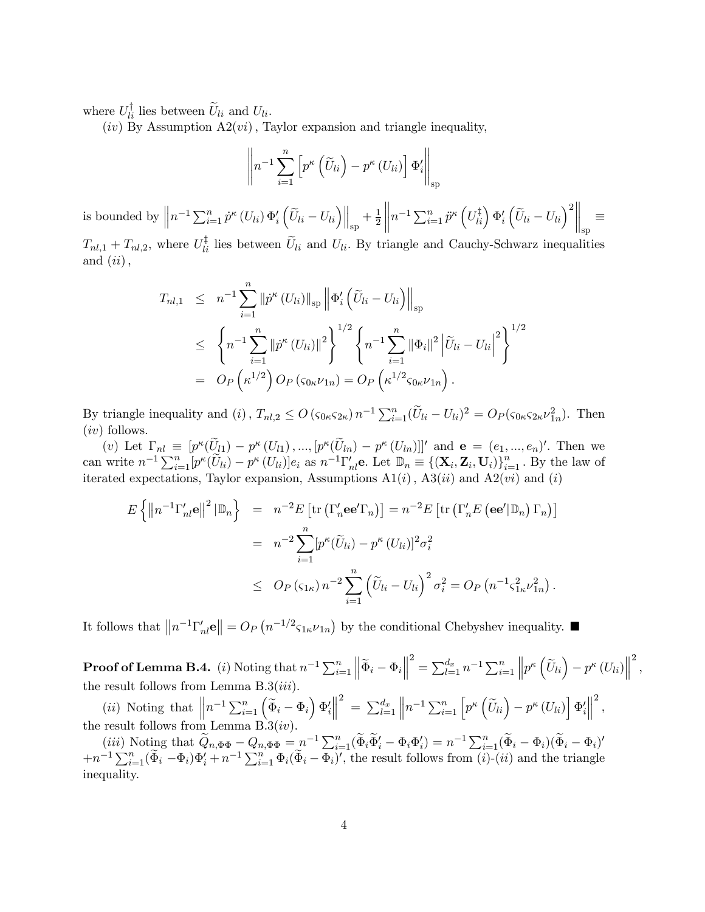where  $U_{li}^{\dagger}$  lies between  $U_{li}$  and  $U_{li}$ .

(iv) By Assumption  $A2(vi)$ , Taylor expansion and triangle inequality,

$$
\left\| n^{-1} \sum_{i=1}^{n} \left[ p^{\kappa} \left( \widetilde{U}_{li} \right) - p^{\kappa} \left( U_{li} \right) \right] \Phi'_{i} \right\|_{\text{sp}}
$$

is bounded by  $||n^{-1}\sum_{i=1}^n \dot{p}^{\kappa}(U_{li}) \Phi'_i$  $\left.\left(\widetilde{U}_{li}-U_{li}\right)\right\|_{\mathrm{sp}}+\frac{1}{2}$ ° ° ° °  $n^{-1}\sum_{i=1}^n \ddot{p}^{\kappa} \left(U_{li}^{\ddagger}\right)\Phi_i'$  $\left.\left(\widetilde{U}_{li}-U_{li}\right)^2\right\|_{\mathrm{sp}}\equiv$ 

 $T_{nl,1} + T_{nl,2}$ , where  $U_{li}^{\dagger}$  lies between  $U_{li}$  and  $U_{li}$ . By triangle and Cauchy-Schwarz inequalities and  $(ii)$ ,

$$
T_{nl,1} \leq n^{-1} \sum_{i=1}^{n} {\|\dot{p}^{\kappa} (U_{li})\|_{\rm sp} \|\Phi'_i (\tilde{U}_{li} - U_{li})\|_{\rm sp}} \leq \left\{ n^{-1} \sum_{i=1}^{n} {\|\dot{p}^{\kappa} (U_{li})\|}^2 \right\}^{1/2} \left\{ n^{-1} \sum_{i=1}^{n} {\|\Phi_i\|}^2 |\tilde{U}_{li} - U_{li}|^2 \right\}^{1/2} = O_P\left(\kappa^{1/2}\right) O_P\left(\varsigma_{0\kappa} \nu_{1n}\right) = O_P\left(\kappa^{1/2} \varsigma_{0\kappa} \nu_{1n}\right).
$$

By triangle inequality and (i),  $T_{nl,2} \leq O\left(\zeta_{0\kappa}\zeta_{2\kappa}\right) n^{-1} \sum_{i=1}^{n} (\widetilde{U}_{li} - U_{li})^2 = O_P(\zeta_{0\kappa}\zeta_{2\kappa}\nu_{1n}^2)$ . Then  $(iv)$  follows.

(v) Let  $\Gamma_{nl} \equiv [p^{\kappa}(\tilde{U}_{l1}) - p^{\kappa}(U_{l1}), ..., [p^{\kappa}(\tilde{U}_{ln}) - p^{\kappa}(U_{ln})]]'$  and  $e = (e_1, ..., e_n)'$ . Then we can write  $n^{-1}\sum_{i=1}^n [p^{\kappa}(\widetilde{U}_{li}) - p^{\kappa}(U_{li})]e_i$  as  $n^{-1}\Gamma'_{nl}$ **e**. Let  $\mathbb{D}_n \equiv \{(\mathbf{X}_i, \mathbf{Z}_i, \mathbf{U}_i)\}_{i=1}^n$ . By the law of iterated expectations, Taylor expansion, Assumptions  $A1(i)$ ,  $A3(ii)$  and  $A2(vi)$  and  $(i)$ 

$$
E\left\{\left\|n^{-1}\Gamma'_{nl}\mathbf{e}\right\|^2\left|\mathbb{D}_n\right\}\right\} = n^{-2}E\left[\text{tr}\left(\Gamma'_n\mathbf{e}\mathbf{e}'\Gamma_n\right)\right] = n^{-2}E\left[\text{tr}\left(\Gamma'_nE\left(\mathbf{e}\mathbf{e}'|\mathbb{D}_n\right)\Gamma_n\right)\right]
$$

$$
= n^{-2}\sum_{i=1}^n[p^{\kappa}(\widetilde{U}_{li}) - p^{\kappa}(U_{li})]^2\sigma_i^2
$$

$$
\leq O_P\left(\varsigma_{1\kappa}\right)n^{-2}\sum_{i=1}^n\left(\widetilde{U}_{li} - U_{li}\right)^2\sigma_i^2 = O_P\left(n^{-1}\varsigma_{1\kappa}^2\nu_{1n}^2\right).
$$

It follows that  $||n^{-1}\Gamma'_{nl}e|| = O_P(n^{-1/2} \varsigma_{1\kappa} \nu_{1n})$  by the conditional Chebyshev inequality.

**Proof of Lemma B.4.** (*i*) Noting that  $n^{-1} \sum_{i=1}^{n}$  $\left\| \widetilde{\Phi}_i - \Phi_i \right\|$  $n^2 = \sum_{l=1}^{d_x} n^{-1} \sum_{i=1}^n$  $\left\| p^{\kappa }\left( \widetilde{U}_{li}\right) -p^{\kappa }\left( U_{li}\right) \right\|$  $\begin{array}{c} 2 \end{array}$ the result follows from Lemma  $B.3(iii)$ 

(*ii*) Noting that  $\left\| n^{-1} \sum_{i=1}^n \left( \widetilde{\Phi}_i - \Phi_i \right) \Phi'_i \right\|$ ° ° °  $^2 \; = \; \sum_{l=1}^{d_x}$  $\left\| n^{-1} \sum_{i=1}^n \left[ p^{\kappa} \left( \widetilde{U}_{li} \right) - p^{\kappa} \left( U_{li} \right) \right] \Phi_i' \right\|$  $\begin{array}{c} \hline \rule{0pt}{2ex} \rule{0pt}{2ex} \rule{0pt}{2ex} \rule{0pt}{2ex} \rule{0pt}{2ex} \rule{0pt}{2ex} \rule{0pt}{2ex} \rule{0pt}{2ex} \rule{0pt}{2ex} \rule{0pt}{2ex} \rule{0pt}{2ex} \rule{0pt}{2ex} \rule{0pt}{2ex} \rule{0pt}{2ex} \rule{0pt}{2ex} \rule{0pt}{2ex} \rule{0pt}{2ex} \rule{0pt}{2ex} \rule{0pt}{2ex} \rule{0pt}{2ex} \rule{0pt}{2ex} \rule{0pt}{2ex} \rule{0pt}{2ex} \rule{$  $\frac{2}{\cdot}$ the result follows from Lemma  $B.3(iv)$ .

 $(iii)$  Noting that  $\widetilde{Q}_{n,\Phi\Phi} - Q_{n,\Phi\Phi} = n^{-1} \sum_{i=1}^{n} (\widetilde{\Phi}_i \widetilde{\Phi}'_i - \Phi_i \Phi'_i) = n^{-1} \sum_{i=1}^{n} (\widetilde{\Phi}_i - \Phi_i) (\widetilde{\Phi}_i - \Phi_i)'$  $+n^{-1}\sum_{i=1}^n(\widetilde{\Phi}_i-\Phi_i)\Phi'_i+n^{-1}\sum_{i=1}^n\Phi_i(\widetilde{\Phi}_i-\overline{\Phi}_i)'$ , the result follows from  $(i)$ - $(ii)$  and the triangle inequality.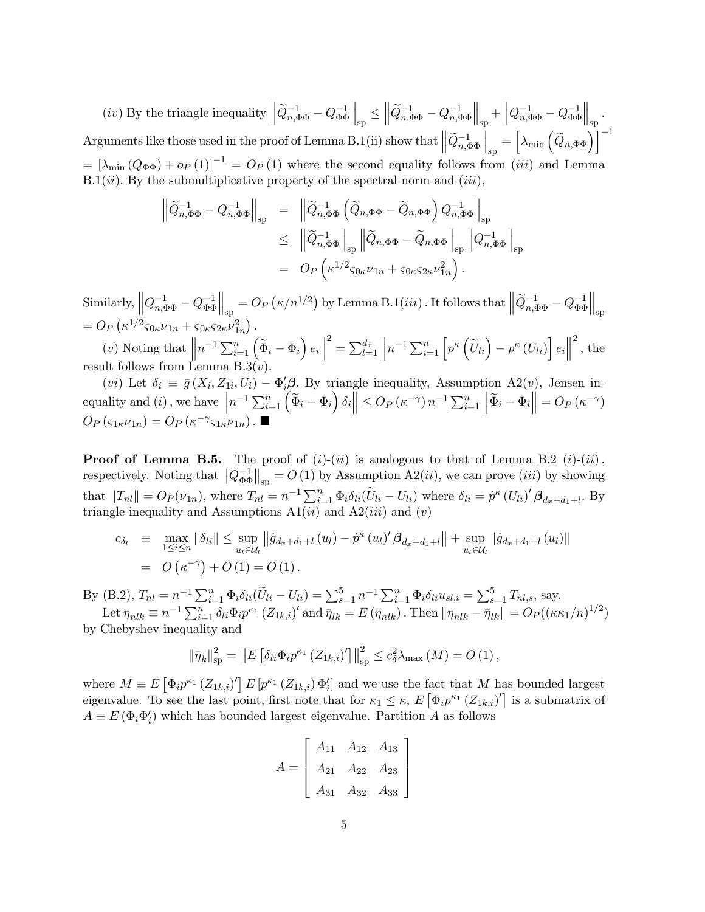(*iv*) By the triangle inequality  $\left\| \widetilde{Q}_{n, \Phi \Phi}^{-1} - Q_{\Phi \Phi}^{-1} \right\|$  $\Big\|_{\mathrm{sp}} \leq$  $\Big\|\widetilde{Q}_{n,\Phi\Phi}^{-1}-Q_{n,\Phi\Phi}^{-1}$  $\Big\|_{\rm sp} + \Big\| Q_{n,\Phi\Phi}^{-1} - Q_{\Phi\Phi}^{-1}$  $\Big\|_{\mathrm{sp}}$ . Arguments like those used in the proof of Lemma B.1(ii) show that  $\left\|\widetilde{Q}_{n,\Phi\Phi}^{-1}\right\|$  $\overline{\Big\|}_{\mathrm{sp}} = \Big[\lambda_{\mathrm{min}} \left(\widetilde{Q}_{n, \Phi \Phi}\right)\Big]^{-1}$  $= \left[\lambda_{\min} (Q_{\Phi\Phi}) + o_P(1)\right]^{-1} = O_P(1)$  where the second equality follows from (*iii*) and Lemma B.1(*ii*). By the submultiplicative property of the spectral norm and (*iii*),

$$
\begin{split}\n\left\|\tilde{Q}_{n,\Phi\Phi}^{-1} - Q_{n,\Phi\Phi}^{-1}\right\|_{\text{sp}} &= \left\|\tilde{Q}_{n,\Phi\Phi}^{-1}\left(\tilde{Q}_{n,\Phi\Phi} - \tilde{Q}_{n,\Phi\Phi}\right)Q_{n,\Phi\Phi}^{-1}\right\|_{\text{sp}} \\
&\leq \left\|\tilde{Q}_{n,\Phi\Phi}^{-1}\right\|_{\text{sp}} \left\|\tilde{Q}_{n,\Phi\Phi} - \tilde{Q}_{n,\Phi\Phi}\right\|_{\text{sp}} \left\|Q_{n,\Phi\Phi}^{-1}\right\|_{\text{sp}} \\
&= O_P\left(\kappa^{1/2}\varsigma_{0\kappa}\nu_{1n} + \varsigma_{0\kappa}\varsigma_{2\kappa}\nu_{1n}^2\right).\n\end{split}
$$

Similarly,  $||Q_{n,\Phi\Phi}^{-1} - Q_{\Phi\Phi}^{-1}$  $\left\| \varepsilon_p = O_P\left(\kappa/n^{1/2}\right)$  by Lemma B.1 $(iii)$  . It follows that  $\left\| \widetilde{Q}_{n,\Phi\Phi}^{-1} - Q_{\Phi\Phi}^{-1} \right\|$  $\Big\|_{\mathrm{sp}}$ =  $O_P\left(\kappa^{1/2} \varsigma_{0\kappa} \nu_{1n} + \varsigma_{0\kappa} \varsigma_{2\kappa} \nu_{1n}^2\right)$ .

(*v*) Noting that  $\left\| n^{-1} \sum_{i=1}^n \left( \widetilde{\Phi}_i - \Phi_i \right) e_i \right\|$  $\sum_{l=1}^2$  $\left\| n^{-1} \sum_{i=1}^n \left[ p^{\kappa} \left( \widetilde{U}_{li} \right) - p^{\kappa} \left( U_{li} \right) \right] e_i \right\|$  $^{2}$ , the result follows from Lemma  $B.3(v)$ .

(*vi*) Let  $\delta_i \equiv \bar{g}(X_i, Z_{1i}, U_i) - \Phi'_i \beta$ . By triangle inequality, Assumption A2(*v*<sub>)</sub>, Jensen inequality and (*i*), we have  $\left\| n^{-1} \sum_{i=1}^{n} \left( \widetilde{\Phi}_i - \Phi_i \right) \delta_i \right\| \leq O_P \left( \kappa^{-\gamma} \right) n^{-1} \sum_{i=1}^{n}$  $\left\|\widetilde{\Phi}_i - \Phi_i\right\| = O_P\left(\kappa^{-\gamma}\right)$  $O_P(\zeta_{1\kappa}\nu_{1n}) = O_P(\kappa^{-\gamma}\zeta_{1\kappa}\nu_{1n})$ .

**Proof of Lemma B.5.** The proof of  $(i)-(ii)$  is analogous to that of Lemma B.2  $(i)-(ii)$ , respectively. Noting that  $||Q_{\Phi\Phi}^{-1}||_{\text{sp}} = O(1)$  by Assumption  $A2(ii)$ , we can prove  $(iii)$  by showing that  $||T_{nl}|| = O_P(\nu_{1n}),$  where  $T_{nl} = n^{-1} \sum_{i=1}^n \Phi_i \delta_{li}(\tilde{U}_{li} - U_{li})$  where  $\delta_{li} = p^{\kappa} (U_{li})' \beta_{d_x+d_1+l}$ . By triangle inequality and Assumptions  $A1(ii)$  and  $A2(iii)$  and  $(v)$ 

$$
c_{\delta_l} \equiv \max_{1 \leq i \leq n} \|\delta_{li}\| \leq \sup_{u_l \in \mathcal{U}_l} \|\dot{g}_{d_x + d_1 + l}(u_l) - \dot{p}^{\kappa}(u_l)'\beta_{d_x + d_1 + l}\| + \sup_{u_l \in \mathcal{U}_l} \|\dot{g}_{d_x + d_1 + l}(u_l)\|
$$
  
=  $O(\kappa^{-\gamma}) + O(1) = O(1)$ .

By (B.2),  $T_{nl} = n^{-1} \sum_{i=1}^{n} \Phi_i \delta_{li} (\tilde{U}_{li} - U_{li}) = \sum_{s=1}^{5} n^{-1} \sum_{i=1}^{n} \Phi_i \delta_{li} u_{sl,i} = \sum_{s=1}^{5} T_{nl,s}$ , say. Let  $\eta_{nlk} \equiv n^{-1} \sum_{i=1}^{n} \delta_{li} \Phi_i p^{\kappa_1} (Z_{1k,i})'$  and  $\bar{\eta}_{lk} = E(\eta_{nlk})$ . Then  $\|\eta_{nlk} - \bar{\eta}_{lk}\| = O_P((\kappa \kappa_1/n)^{1/2})$ 

by Chebyshev inequality and

$$
\|\bar{\eta}_k\|_{\mathrm{sp}}^2 = \left\|E\left[\delta_{li}\Phi_i p^{\kappa_1} \left(Z_{1k,i}\right)'\right]\right\|_{\mathrm{sp}}^2 \leq c_\delta^2 \lambda_{\mathrm{max}}\left(M\right) = O\left(1\right),
$$

where  $M \equiv E\left[\Phi_i p^{\kappa_1} \left(Z_{1k,i}\right)'\right] E\left[p^{\kappa_1} \left(Z_{1k,i}\right) \Phi_i'\right]$  and we use the fact that M has bounded largest eigenvalue. To see the last point, first note that for  $\kappa_1 \leq \kappa$ ,  $E\left[\Phi_i p^{\kappa_1} (Z_{1k,i})'\right]$  is a submatrix of  $A \equiv E(\Phi_i \Phi_i')$  which has bounded largest eigenvalue. Partition A as follows

$$
A = \begin{bmatrix} A_{11} & A_{12} & A_{13} \\ A_{21} & A_{22} & A_{23} \\ A_{31} & A_{32} & A_{33} \end{bmatrix}
$$